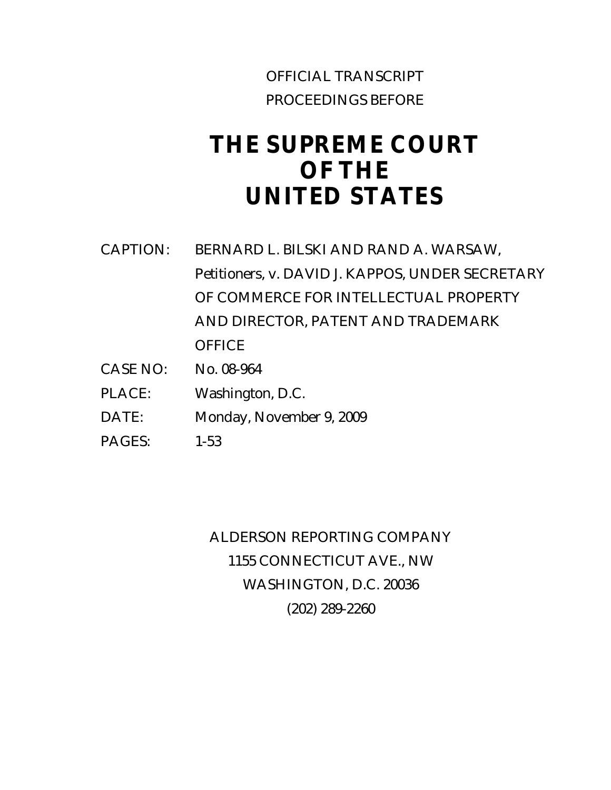# OFFICIAL TRANSCRIPT PROCEEDINGS BEFORE

# **THE SUPREME COURT OF THE UNITED STATES**

- CAPTION: BERNARD L. BILSKI AND RAND A. WARSAW, Petitioners, v. DAVID J. KAPPOS, UNDER SECRETARY OF COMMERCE FOR INTELLECTUAL PROPERTY AND DIRECTOR, PATENT AND TRADEMARK **OFFICE**
- CASE NO: No. 08-964
- PLACE: Washington, D.C.
- DATE: Monday, November 9, 2009
- PAGES: 1-53

ALDERSON REPORTING COMPANY 1155 CONNECTICUT AVE., NW WASHINGTON, D.C. 20036 (202) 289-2260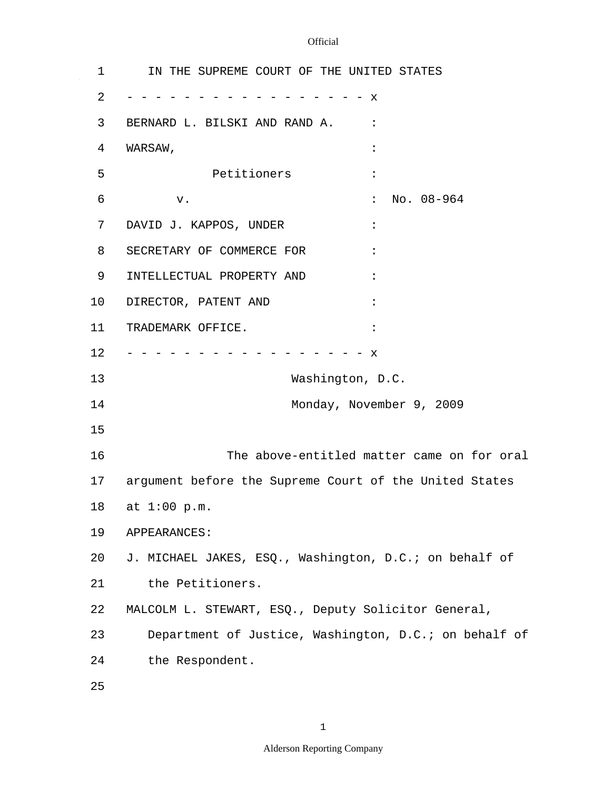$\mathcal{A}^{\mathcal{A}}$ 

| 1  | IN THE SUPREME COURT OF THE UNITED STATES              |
|----|--------------------------------------------------------|
| 2  | X                                                      |
| 3  | BERNARD L. BILSKI AND RAND A.                          |
| 4  | WARSAW,                                                |
| 5  | Petitioners                                            |
| 6  | No. 08-964<br>$\ddot{\cdot}$<br>v.                     |
| 7  | DAVID J. KAPPOS, UNDER                                 |
| 8  | SECRETARY OF COMMERCE FOR                              |
| 9  | INTELLECTUAL PROPERTY AND                              |
| 10 | DIRECTOR, PATENT AND                                   |
| 11 | TRADEMARK OFFICE.                                      |
| 12 | $\mathbf{x}$                                           |
| 13 | Washington, D.C.                                       |
| 14 | Monday, November 9, 2009                               |
| 15 |                                                        |
| 16 | The above-entitled matter came on for oral             |
| 17 | argument before the Supreme Court of the United States |
| 18 | at 1:00 p.m.                                           |
| 19 | APPEARANCES:                                           |
| 20 | J. MICHAEL JAKES, ESQ., Washington, D.C.; on behalf of |
| 21 | the Petitioners.                                       |
| 22 | MALCOLM L. STEWART, ESQ., Deputy Solicitor General,    |
| 23 | Department of Justice, Washington, D.C.; on behalf of  |
| 24 | the Respondent.                                        |
| 25 |                                                        |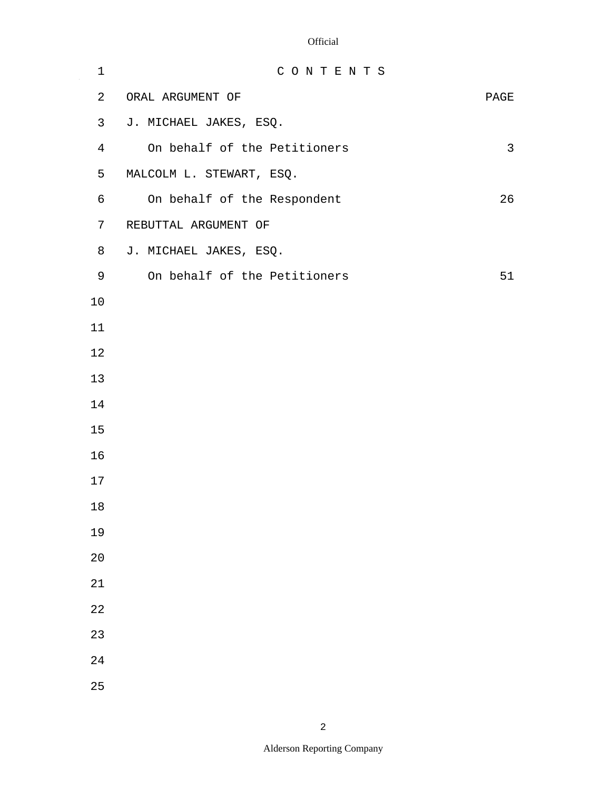$\mathbb{Z}^2$ 

| $\mathbf 1$    | CONTENTS                     |              |
|----------------|------------------------------|--------------|
| $\overline{a}$ | ORAL ARGUMENT OF             | PAGE         |
| 3              | J. MICHAEL JAKES, ESQ.       |              |
| $\overline{4}$ | On behalf of the Petitioners | $\mathsf{3}$ |
| 5              | MALCOLM L. STEWART, ESQ.     |              |
| 6              | On behalf of the Respondent  | 26           |
| 7              | REBUTTAL ARGUMENT OF         |              |
| 8              | J. MICHAEL JAKES, ESQ.       |              |
| 9              | On behalf of the Petitioners | 51           |
| 10             |                              |              |
| 11             |                              |              |
| 12             |                              |              |
| 13             |                              |              |
| 14             |                              |              |
| 15             |                              |              |
| 16             |                              |              |
| 17             |                              |              |
| $18\,$         |                              |              |
| 19             |                              |              |
| 20             |                              |              |
| $2\sqrt{1}$    |                              |              |
| 22             |                              |              |
| 23             |                              |              |
| $2\sqrt{4}$    |                              |              |
| 25             |                              |              |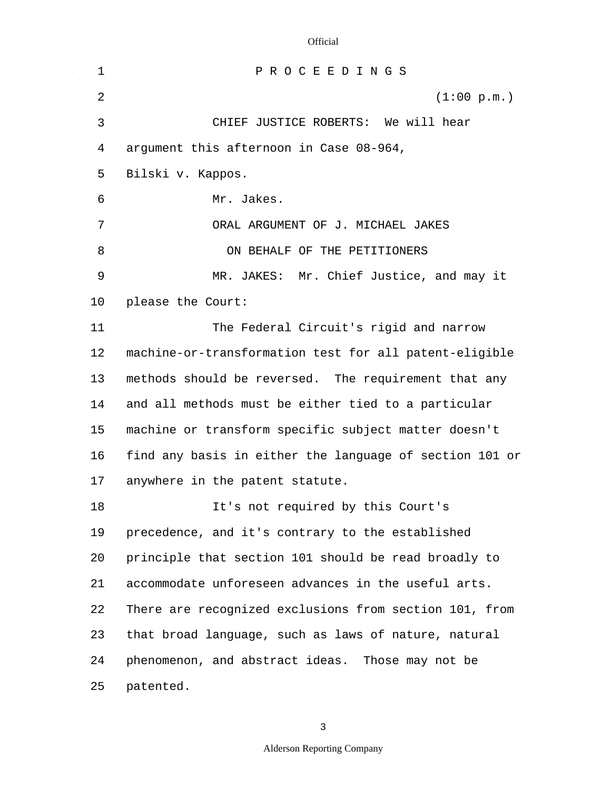$\sim$ 

| 1              | PROCEEDINGS                                             |
|----------------|---------------------------------------------------------|
| $\overline{2}$ | (1:00 p.m.)                                             |
| 3              | CHIEF JUSTICE ROBERTS: We will hear                     |
| 4              | argument this afternoon in Case 08-964,                 |
| 5              | Bilski v. Kappos.                                       |
| 6              | Mr. Jakes.                                              |
| 7              | ORAL ARGUMENT OF J. MICHAEL JAKES                       |
| 8              | ON BEHALF OF THE PETITIONERS                            |
| 9              | MR. JAKES: Mr. Chief Justice, and may it                |
| 10             | please the Court:                                       |
| 11             | The Federal Circuit's rigid and narrow                  |
| 12             | machine-or-transformation test for all patent-eligible  |
| 13             | methods should be reversed. The requirement that any    |
| 14             | and all methods must be either tied to a particular     |
| 15             | machine or transform specific subject matter doesn't    |
| 16             | find any basis in either the language of section 101 or |
| 17             | anywhere in the patent statute.                         |
| 18             | It's not required by this Court's                       |
| 19             | precedence, and it's contrary to the established        |
| 20             | principle that section 101 should be read broadly to    |
| 21             | accommodate unforeseen advances in the useful arts.     |
| 22             | There are recognized exclusions from section 101, from  |
| 23             | that broad language, such as laws of nature, natural    |
| 24             | phenomenon, and abstract ideas. Those may not be        |
| 25             | patented.                                               |

3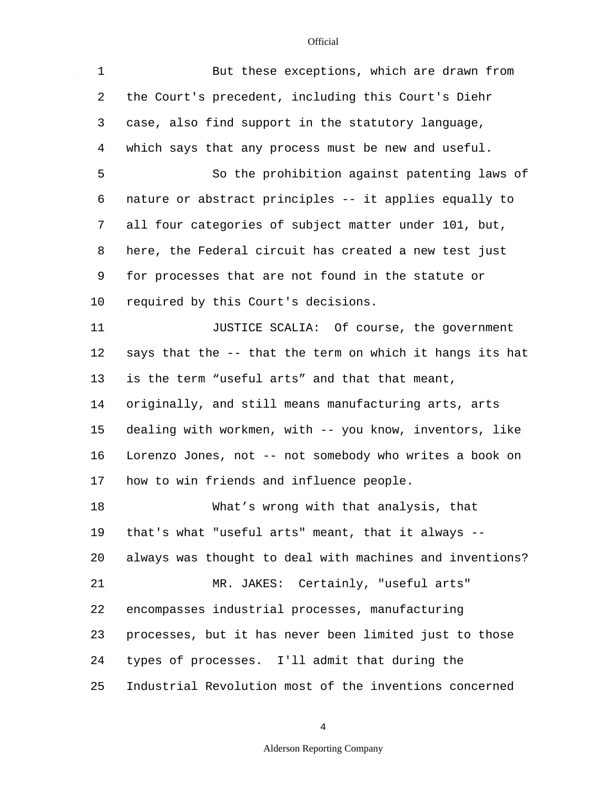$\mathbb{Z}^2$ 

| $\mathbf 1$ | But these exceptions, which are drawn from               |
|-------------|----------------------------------------------------------|
| 2           | the Court's precedent, including this Court's Diehr      |
| 3           | case, also find support in the statutory language,       |
| 4           | which says that any process must be new and useful.      |
| 5           | So the prohibition against patenting laws of             |
| 6           | nature or abstract principles -- it applies equally to   |
| 7           | all four categories of subject matter under 101, but,    |
| 8           | here, the Federal circuit has created a new test just    |
| 9           | for processes that are not found in the statute or       |
| 10          | required by this Court's decisions.                      |
| 11          | JUSTICE SCALIA: Of course, the government                |
| 12          | says that the -- that the term on which it hangs its hat |
| 13          | is the term "useful arts" and that that meant,           |
| 14          | originally, and still means manufacturing arts, arts     |
| 15          | dealing with workmen, with -- you know, inventors, like  |
| 16          | Lorenzo Jones, not -- not somebody who writes a book on  |
| 17          | how to win friends and influence people.                 |
| 18          | What's wrong with that analysis, that                    |
| 19          | that's what "useful arts" meant, that it always --       |
| 20          | always was thought to deal with machines and inventions? |
| 21          | MR. JAKES: Certainly, "useful arts"                      |
| 22          | encompasses industrial processes, manufacturing          |
| 23          | processes, but it has never been limited just to those   |
| 24          | types of processes. I'll admit that during the           |
| 25          | Industrial Revolution most of the inventions concerned   |

4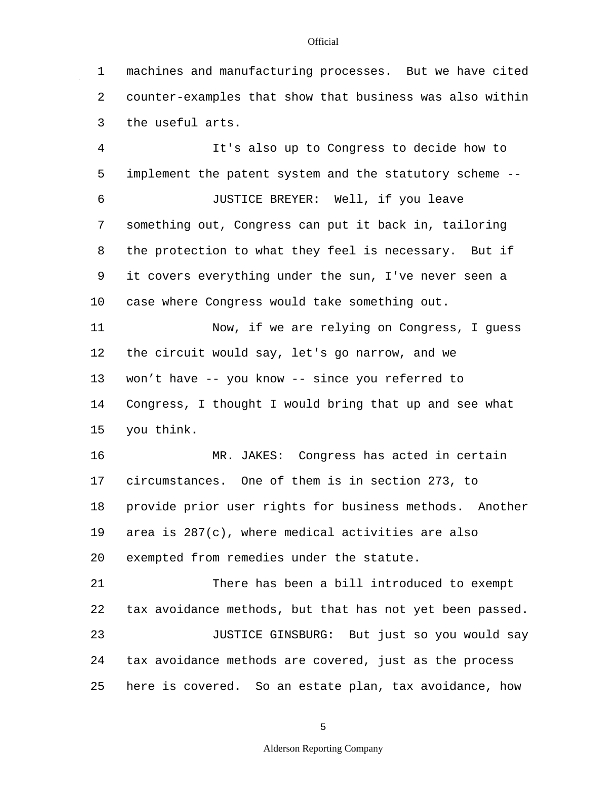1 2 3 machines and manufacturing processes. But we have cited counter-examples that show that business was also within the useful arts.

4 5 6 7 8 9 10 11 12 13 14 15 16 17 18 19 It's also up to Congress to decide how to implement the patent system and the statutory scheme -- JUSTICE BREYER: Well, if you leave something out, Congress can put it back in, tailoring the protection to what they feel is necessary. But if it covers everything under the sun, I've never seen a case where Congress would take something out. Now, if we are relying on Congress, I guess the circuit would say, let's go narrow, and we won't have -- you know -- since you referred to Congress, I thought I would bring that up and see what you think. MR. JAKES: Congress has acted in certain circumstances. One of them is in section 273, to provide prior user rights for business methods. Another area is 287(c), where medical activities are also

20 exempted from remedies under the statute.

21 22 23 24 25 There has been a bill introduced to exempt tax avoidance methods, but that has not yet been passed. JUSTICE GINSBURG: But just so you would say tax avoidance methods are covered, just as the process here is covered. So an estate plan, tax avoidance, how

#### **Official**

5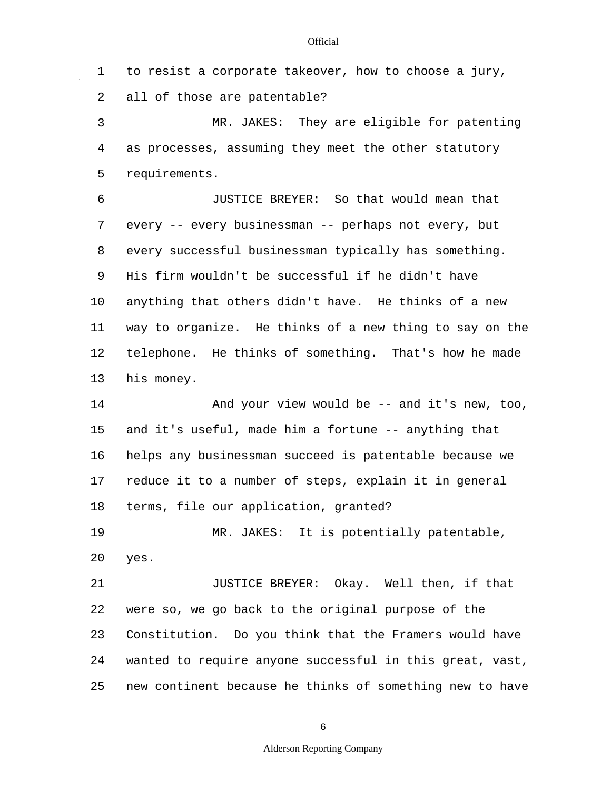1 2 3 4 5 6 7 8 9 10 11 12 13 14 15 16 17 18 19 20 21 22 23 24 25 to resist a corporate takeover, how to choose a jury, all of those are patentable? MR. JAKES: They are eligible for patenting as processes, assuming they meet the other statutory requirements. JUSTICE BREYER: So that would mean that every -- every businessman -- perhaps not every, but every successful businessman typically has something. His firm wouldn't be successful if he didn't have anything that others didn't have. He thinks of a new way to organize. He thinks of a new thing to say on the telephone. He thinks of something. That's how he made his money. And your view would be -- and it's new, too, and it's useful, made him a fortune -- anything that helps any businessman succeed is patentable because we reduce it to a number of steps, explain it in general terms, file our application, granted? MR. JAKES: It is potentially patentable, yes. JUSTICE BREYER: Okay. Well then, if that were so, we go back to the original purpose of the Constitution. Do you think that the Framers would have wanted to require anyone successful in this great, vast, new continent because he thinks of something new to have

6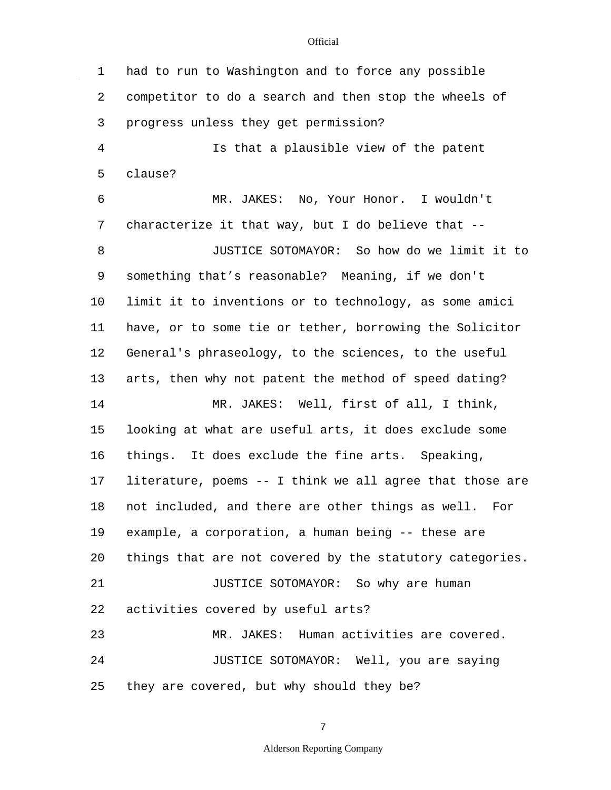1 2 3 4 5 6 7 8 9 10 11 12 13 14 15 16 17 18 19 20 21 22 23  $2.4$ 25 had to run to Washington and to force any possible competitor to do a search and then stop the wheels of progress unless they get permission? Is that a plausible view of the patent clause? MR. JAKES: No, Your Honor. I wouldn't characterize it that way, but I do believe that -- JUSTICE SOTOMAYOR: So how do we limit it to something that's reasonable? Meaning, if we don't limit it to inventions or to technology, as some amici have, or to some tie or tether, borrowing the Solicitor General's phraseology, to the sciences, to the useful arts, then why not patent the method of speed dating? MR. JAKES: Well, first of all, I think, looking at what are useful arts, it does exclude some things. It does exclude the fine arts. Speaking, literature, poems -- I think we all agree that those are not included, and there are other things as well. For example, a corporation, a human being -- these are things that are not covered by the statutory categories. JUSTICE SOTOMAYOR: So why are human activities covered by useful arts? MR. JAKES: Human activities are covered. JUSTICE SOTOMAYOR: Well, you are saying they are covered, but why should they be?

7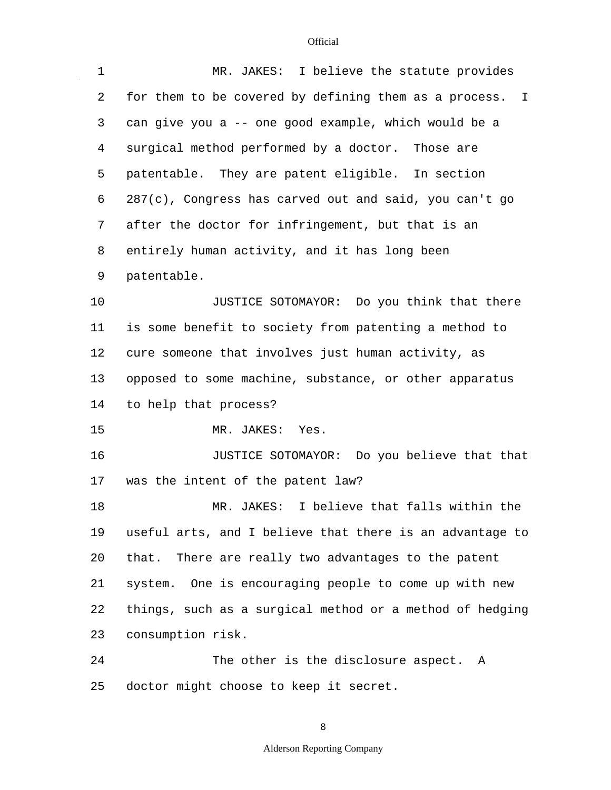$\hat{\mathcal{A}}$ 

| $\mathbf 1$ | MR. JAKES: I believe the statute provides                        |
|-------------|------------------------------------------------------------------|
| 2           | for them to be covered by defining them as a process.<br>$\perp$ |
| 3           | can give you a -- one good example, which would be a             |
| 4           | surgical method performed by a doctor. Those are                 |
| 5           | patentable. They are patent eligible. In section                 |
| 6           | 287(c), Congress has carved out and said, you can't go           |
| 7           | after the doctor for infringement, but that is an                |
| 8           | entirely human activity, and it has long been                    |
| 9           | patentable.                                                      |
| 10          | JUSTICE SOTOMAYOR: Do you think that there                       |
| 11          | is some benefit to society from patenting a method to            |
| 12          | cure someone that involves just human activity, as               |
| 13          | opposed to some machine, substance, or other apparatus           |
| 14          | to help that process?                                            |
| 15          | MR. JAKES: Yes.                                                  |
| 16          | JUSTICE SOTOMAYOR: Do you believe that that                      |
| 17          | was the intent of the patent law?                                |
| 18          | I believe that falls within the<br>MR. JAKES:                    |
| 19          | useful arts, and I believe that there is an advantage to         |
| 20          | that. There are really two advantages to the patent              |
| 21          | system. One is encouraging people to come up with new            |
| 22          | things, such as a surgical method or a method of hedging         |
| 23          | consumption risk.                                                |
| 24          | The other is the disclosure aspect. A                            |
| 25          | doctor might choose to keep it secret.                           |

8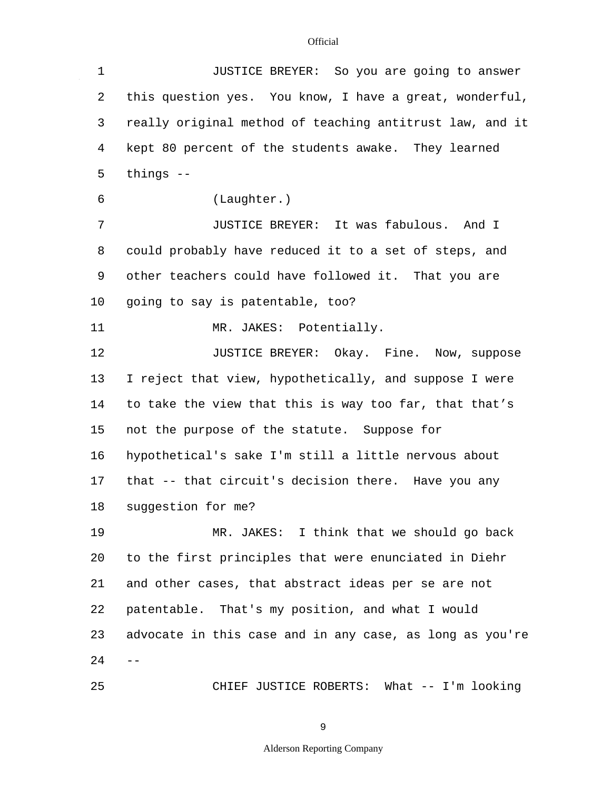$\mathbb{Z}^2$ 

| $\mathbf 1$ | JUSTICE BREYER: So you are going to answer               |
|-------------|----------------------------------------------------------|
| 2           | this question yes. You know, I have a great, wonderful,  |
| 3           | really original method of teaching antitrust law, and it |
| 4           | kept 80 percent of the students awake. They learned      |
| 5           | things $--$                                              |
| 6           | (Laughter.)                                              |
| 7           | JUSTICE BREYER: It was fabulous. And I                   |
| 8           | could probably have reduced it to a set of steps, and    |
| 9           | other teachers could have followed it. That you are      |
| 10          | going to say is patentable, too?                         |
| 11          | MR. JAKES: Potentially.                                  |
| 12          | JUSTICE BREYER: Okay. Fine. Now, suppose                 |
| 13          | I reject that view, hypothetically, and suppose I were   |
| 14          | to take the view that this is way too far, that that's   |
| 15          | not the purpose of the statute. Suppose for              |
| 16          | hypothetical's sake I'm still a little nervous about     |
| 17          | that -- that circuit's decision there. Have you any      |
| 18          | suggestion for me?                                       |
| 19          | MR. JAKES: I think that we should go back                |
| 20          | to the first principles that were enunciated in Diehr    |
| 21          | and other cases, that abstract ideas per se are not      |
| 22          | patentable. That's my position, and what I would         |
| 23          | advocate in this case and in any case, as long as you're |
| 24          |                                                          |
| 25          | CHIEF JUSTICE ROBERTS: What -- I'm looking               |

9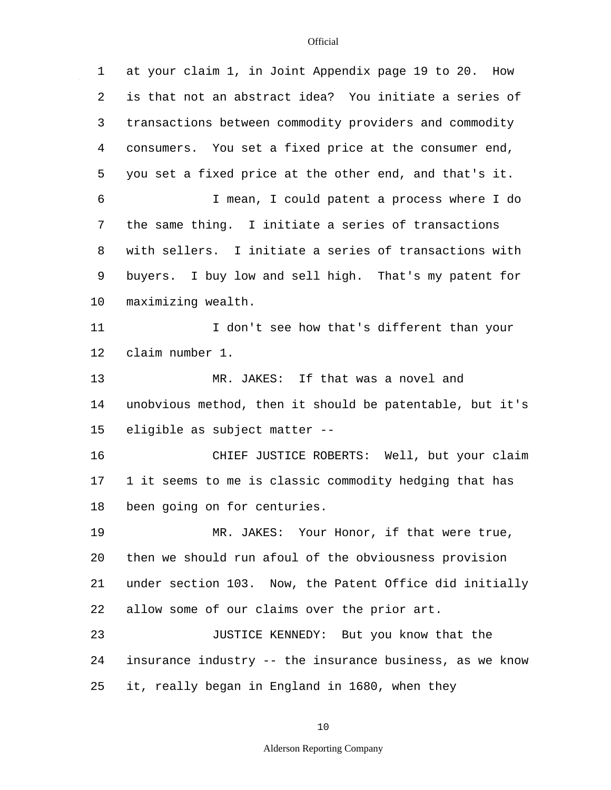$\mathcal{L}^{\mathcal{A}}$ 

| 1  | at your claim 1, in Joint Appendix page 19 to 20. How    |
|----|----------------------------------------------------------|
| 2  | is that not an abstract idea? You initiate a series of   |
| 3  | transactions between commodity providers and commodity   |
| 4  | consumers. You set a fixed price at the consumer end,    |
| 5  | you set a fixed price at the other end, and that's it.   |
| 6  | I mean, I could patent a process where I do              |
| 7  | the same thing. I initiate a series of transactions      |
| 8  | with sellers. I initiate a series of transactions with   |
| 9  | buyers. I buy low and sell high. That's my patent for    |
| 10 | maximizing wealth.                                       |
| 11 | I don't see how that's different than your               |
| 12 | claim number 1.                                          |
| 13 | MR. JAKES: If that was a novel and                       |
| 14 | unobvious method, then it should be patentable, but it's |
| 15 | eligible as subject matter --                            |
| 16 | CHIEF JUSTICE ROBERTS: Well, but your claim              |
| 17 | 1 it seems to me is classic commodity hedging that has   |
| 18 | been going on for centuries.                             |
| 19 | MR. JAKES: Your Honor, if that were true,                |
| 20 | then we should run afoul of the obviousness provision    |
| 21 | under section 103. Now, the Patent Office did initially  |
| 22 | allow some of our claims over the prior art.             |
| 23 | JUSTICE KENNEDY: But you know that the                   |
| 24 | insurance industry -- the insurance business, as we know |
| 25 | it, really began in England in 1680, when they           |

10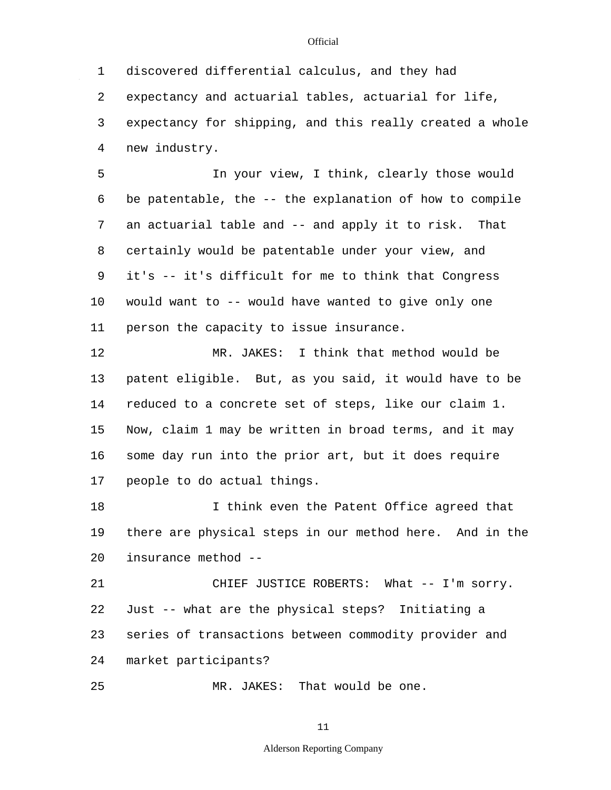1 2 3 4 discovered differential calculus, and they had expectancy and actuarial tables, actuarial for life, expectancy for shipping, and this really created a whole new industry.

5 6 7 8 9 10 11 In your view, I think, clearly those would be patentable, the -- the explanation of how to compile an actuarial table and -- and apply it to risk. That certainly would be patentable under your view, and it's -- it's difficult for me to think that Congress would want to -- would have wanted to give only one person the capacity to issue insurance.

12 13 14 15 16 17 MR. JAKES: I think that method would be patent eligible. But, as you said, it would have to be reduced to a concrete set of steps, like our claim 1. Now, claim 1 may be written in broad terms, and it may some day run into the prior art, but it does require people to do actual things.

18 19 20 I think even the Patent Office agreed that there are physical steps in our method here. And in the insurance method --

21 22 23 24 CHIEF JUSTICE ROBERTS: What -- I'm sorry. Just -- what are the physical steps? Initiating a series of transactions between commodity provider and market participants?

25 MR. JAKES: That would be one.

11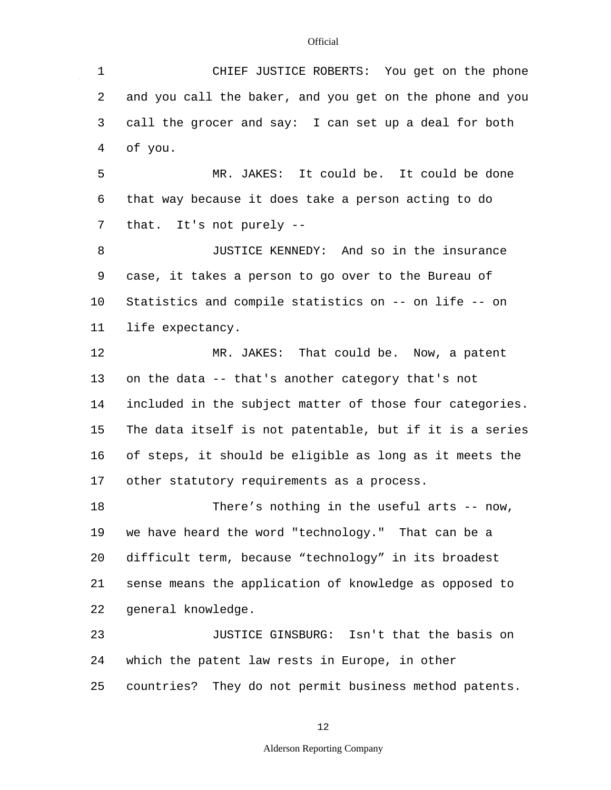1 2 3 4 5 6 7 8 9 10 11 12 13 14 15 16 17 18 19 20 21 22 23 24 25 CHIEF JUSTICE ROBERTS: You get on the phone and you call the baker, and you get on the phone and you call the grocer and say: I can set up a deal for both of you. MR. JAKES: It could be. It could be done that way because it does take a person acting to do that. It's not purely -- JUSTICE KENNEDY: And so in the insurance case, it takes a person to go over to the Bureau of Statistics and compile statistics on -- on life -- on life expectancy. MR. JAKES: That could be. Now, a patent on the data -- that's another category that's not included in the subject matter of those four categories. The data itself is not patentable, but if it is a series of steps, it should be eligible as long as it meets the other statutory requirements as a process. There's nothing in the useful arts -- now, we have heard the word "technology." That can be a difficult term, because "technology" in its broadest sense means the application of knowledge as opposed to general knowledge. JUSTICE GINSBURG: Isn't that the basis on which the patent law rests in Europe, in other countries? They do not permit business method patents.

12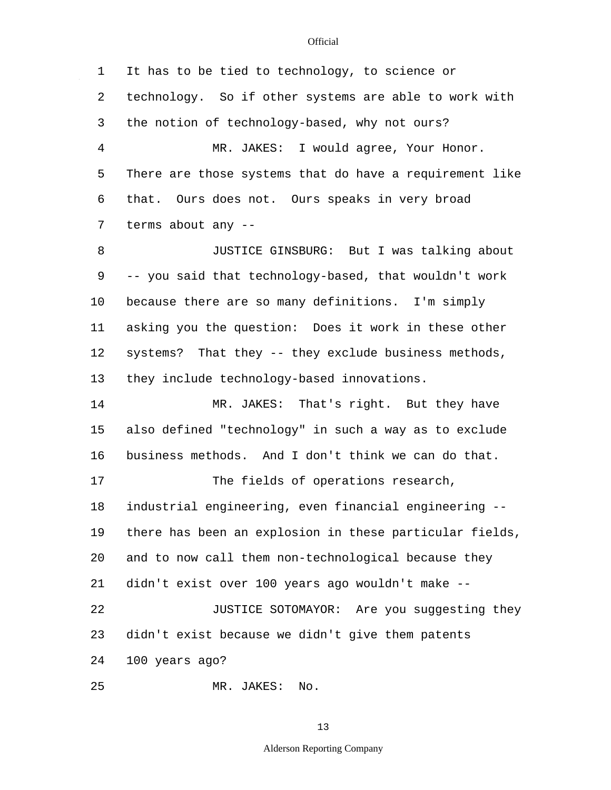$\sim$   $\sim$ 

| 1              | It has to be tied to technology, to science or          |
|----------------|---------------------------------------------------------|
| 2              | technology. So if other systems are able to work with   |
| 3              | the notion of technology-based, why not ours?           |
| $\overline{4}$ | MR. JAKES: I would agree, Your Honor.                   |
| 5              | There are those systems that do have a requirement like |
| 6              | Ours does not. Ours speaks in very broad<br>that.       |
| 7              | terms about any --                                      |
| 8              | JUSTICE GINSBURG: But I was talking about               |
| 9              | -- you said that technology-based, that wouldn't work   |
| $10 \,$        | because there are so many definitions. I'm simply       |
| 11             | asking you the question: Does it work in these other    |
| 12             | systems? That they -- they exclude business methods,    |
| 13             | they include technology-based innovations.              |
| 14             | MR. JAKES: That's right. But they have                  |
| 15             | also defined "technology" in such a way as to exclude   |
| 16             | business methods. And I don't think we can do that.     |
| 17             | The fields of operations research,                      |
| 18             | industrial engineering, even financial engineering --   |
| 19             | there has been an explosion in these particular fields, |
| 20             | and to now call them non-technological because they     |
| 21             | didn't exist over 100 years ago wouldn't make --        |
| 22             | JUSTICE SOTOMAYOR: Are you suggesting they              |
| 23             | didn't exist because we didn't give them patents        |
| 24             | 100 years ago?                                          |
| 25             | MR. JAKES: No.                                          |

13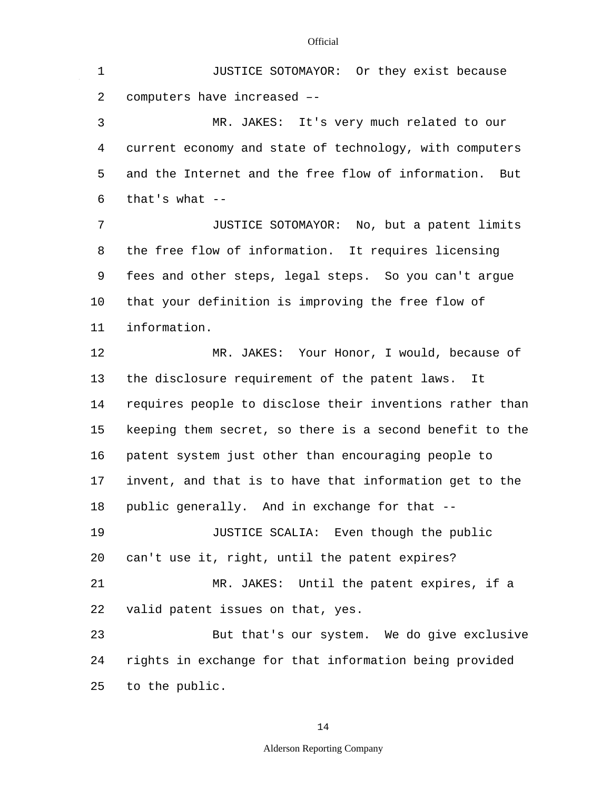1 2 3 4 5 6 7 8 9 10 11 12 13 14 15 16 17 18 19 20 21 22 23 24 JUSTICE SOTOMAYOR: Or they exist because computers have increased –- MR. JAKES: It's very much related to our current economy and state of technology, with computers and the Internet and the free flow of information. But that's what  $--$ JUSTICE SOTOMAYOR: No, but a patent limits the free flow of information. It requires licensing fees and other steps, legal steps. So you can't argue that your definition is improving the free flow of information. MR. JAKES: Your Honor, I would, because of the disclosure requirement of the patent laws. It requires people to disclose their inventions rather than keeping them secret, so there is a second benefit to the patent system just other than encouraging people to invent, and that is to have that information get to the public generally. And in exchange for that -- JUSTICE SCALIA: Even though the public can't use it, right, until the patent expires? MR. JAKES: Until the patent expires, if a valid patent issues on that, yes. But that's our system. We do give exclusive rights in exchange for that information being provided

**Official** 

25 to the public.

14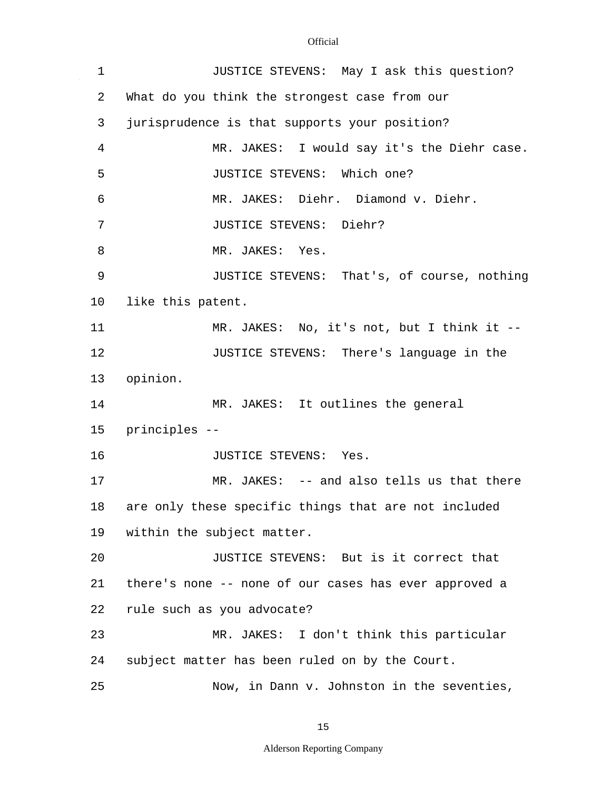$\mathcal{A}^{\mathcal{A}}$ 

| 1  | JUSTICE STEVENS: May I ask this question?             |
|----|-------------------------------------------------------|
| 2  | What do you think the strongest case from our         |
| 3  | jurisprudence is that supports your position?         |
| 4  | MR. JAKES: I would say it's the Diehr case.           |
| 5  | JUSTICE STEVENS: Which one?                           |
| 6  | MR. JAKES: Diehr. Diamond v. Diehr.                   |
| 7  | JUSTICE STEVENS: Diehr?                               |
| 8  | MR. JAKES: Yes.                                       |
| 9  | JUSTICE STEVENS: That's, of course, nothing           |
| 10 | like this patent.                                     |
| 11 | MR. JAKES: No, it's not, but I think it --            |
| 12 | JUSTICE STEVENS: There's language in the              |
| 13 | opinion.                                              |
| 14 | MR. JAKES: It outlines the general                    |
| 15 | principles --                                         |
| 16 | JUSTICE STEVENS: Yes.                                 |
| 17 | MR. JAKES: -- and also tells us that there            |
| 18 | are only these specific things that are not included  |
| 19 | within the subject matter.                            |
| 20 | JUSTICE STEVENS: But is it correct that               |
| 21 | there's none -- none of our cases has ever approved a |
| 22 | rule such as you advocate?                            |
| 23 | MR. JAKES: I don't think this particular              |
| 24 | subject matter has been ruled on by the Court.        |
| 25 | Now, in Dann v. Johnston in the seventies,            |

15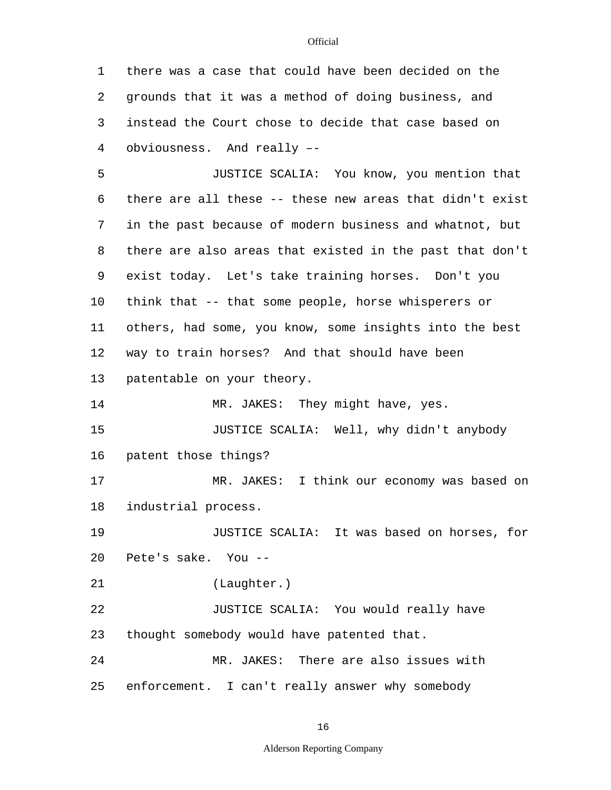1 2 3 4 5 6 7 8 9 10 11 12 13 14 15 16 17 18 19 20 21 22 23  $2.4$ 25 there was a case that could have been decided on the grounds that it was a method of doing business, and instead the Court chose to decide that case based on obviousness. And really –- JUSTICE SCALIA: You know, you mention that there are all these -- these new areas that didn't exist in the past because of modern business and whatnot, but there are also areas that existed in the past that don't exist today. Let's take training horses. Don't you think that -- that some people, horse whisperers or others, had some, you know, some insights into the best way to train horses? And that should have been patentable on your theory. MR. JAKES: They might have, yes. JUSTICE SCALIA: Well, why didn't anybody patent those things? MR. JAKES: I think our economy was based on industrial process. JUSTICE SCALIA: It was based on horses, for Pete's sake. You -- (Laughter.) JUSTICE SCALIA: You would really have thought somebody would have patented that. MR. JAKES: There are also issues with enforcement. I can't really answer why somebody

16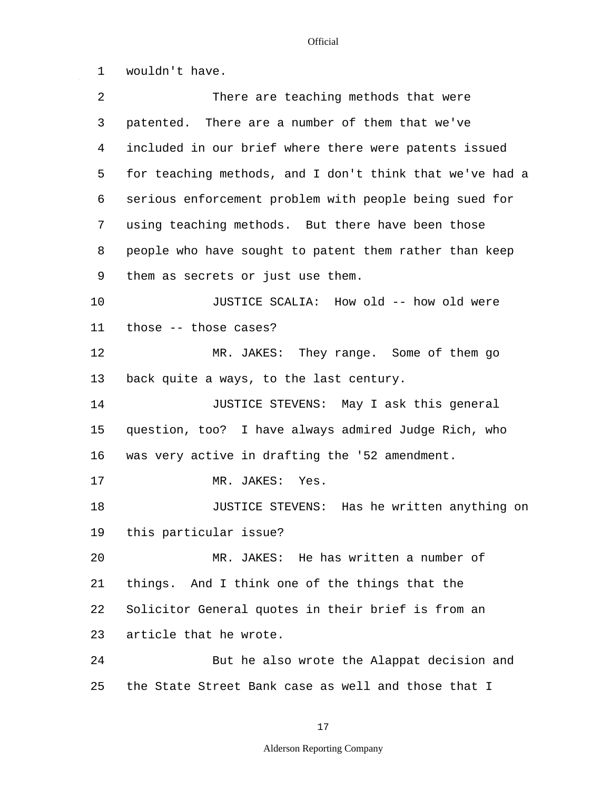1 2 3 4 5 6 7 8 9 10 11 12 13 14 15 16 17 18 19 20 21 22 23  $2.4$ 25 wouldn't have. There are teaching methods that were patented. There are a number of them that we've included in our brief where there were patents issued for teaching methods, and I don't think that we've had a serious enforcement problem with people being sued for using teaching methods. But there have been those people who have sought to patent them rather than keep them as secrets or just use them. JUSTICE SCALIA: How old -- how old were those -- those cases? MR. JAKES: They range. Some of them go back quite a ways, to the last century. JUSTICE STEVENS: May I ask this general question, too? I have always admired Judge Rich, who was very active in drafting the '52 amendment. MR. JAKES: Yes. JUSTICE STEVENS: Has he written anything on this particular issue? MR. JAKES: He has written a number of things. And I think one of the things that the Solicitor General quotes in their brief is from an article that he wrote. But he also wrote the Alappat decision and the State Street Bank case as well and those that I

17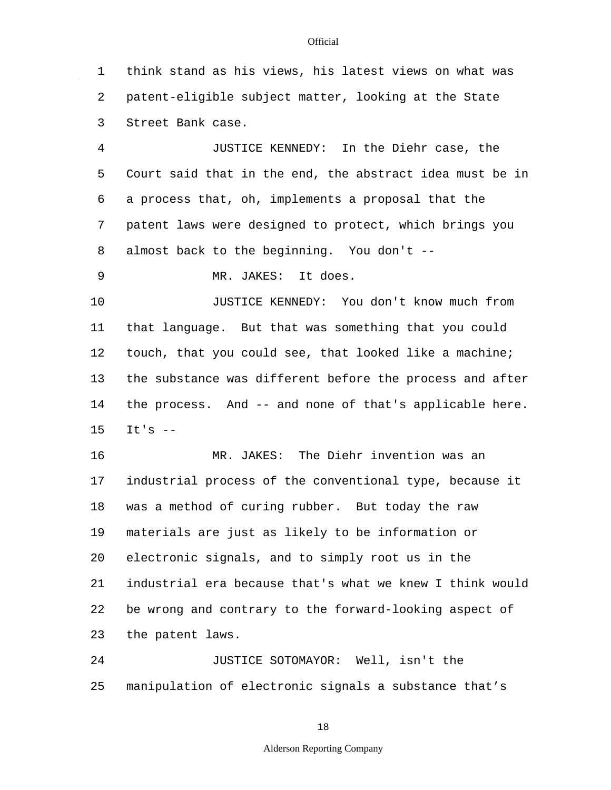1 2 3 think stand as his views, his latest views on what was patent-eligible subject matter, looking at the State Street Bank case.

4 5 6 7 8 JUSTICE KENNEDY: In the Diehr case, the Court said that in the end, the abstract idea must be in a process that, oh, implements a proposal that the patent laws were designed to protect, which brings you almost back to the beginning. You don't --

9 MR. JAKES: It does.

10 11 12 13 14 15 JUSTICE KENNEDY: You don't know much from that language. But that was something that you could touch, that you could see, that looked like a machine; the substance was different before the process and after the process. And -- and none of that's applicable here.  $Tt's$   $-$ 

16 17 18 19 20 21 22 23 MR. JAKES: The Diehr invention was an industrial process of the conventional type, because it was a method of curing rubber. But today the raw materials are just as likely to be information or electronic signals, and to simply root us in the industrial era because that's what we knew I think would be wrong and contrary to the forward-looking aspect of the patent laws.

 $2.4$ 25 JUSTICE SOTOMAYOR: Well, isn't the manipulation of electronic signals a substance that's

#### 18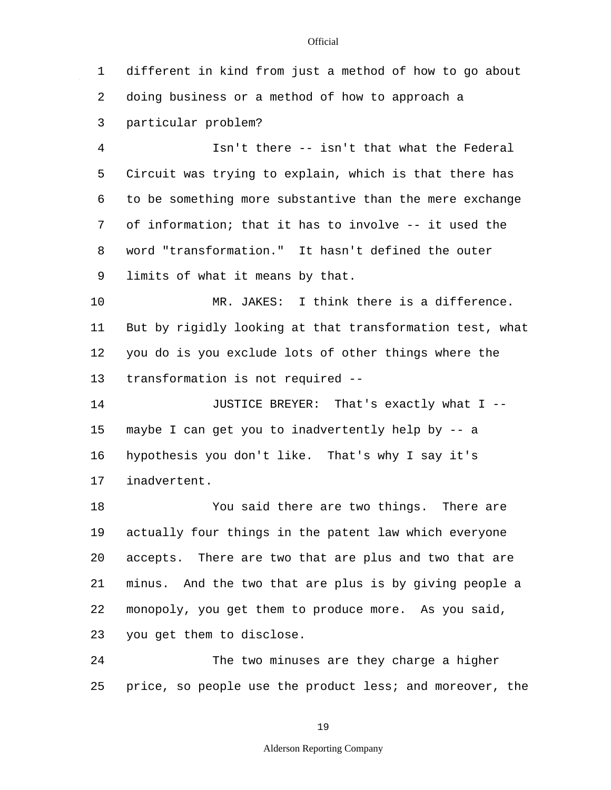1 2 3 4 5 6 7 8 9 10 11 12 13 14 15 16 17 18 19 20 21 22 23  $2.4$ 25 different in kind from just a method of how to go about doing business or a method of how to approach a particular problem? Isn't there -- isn't that what the Federal Circuit was trying to explain, which is that there has to be something more substantive than the mere exchange of information; that it has to involve -- it used the word "transformation." It hasn't defined the outer limits of what it means by that. MR. JAKES: I think there is a difference. But by rigidly looking at that transformation test, what you do is you exclude lots of other things where the transformation is not required -- JUSTICE BREYER: That's exactly what I - maybe I can get you to inadvertently help by -- a hypothesis you don't like. That's why I say it's inadvertent. You said there are two things. There are actually four things in the patent law which everyone accepts. There are two that are plus and two that are minus. And the two that are plus is by giving people a monopoly, you get them to produce more. As you said, you get them to disclose. The two minuses are they charge a higher price, so people use the product less; and moreover, the

19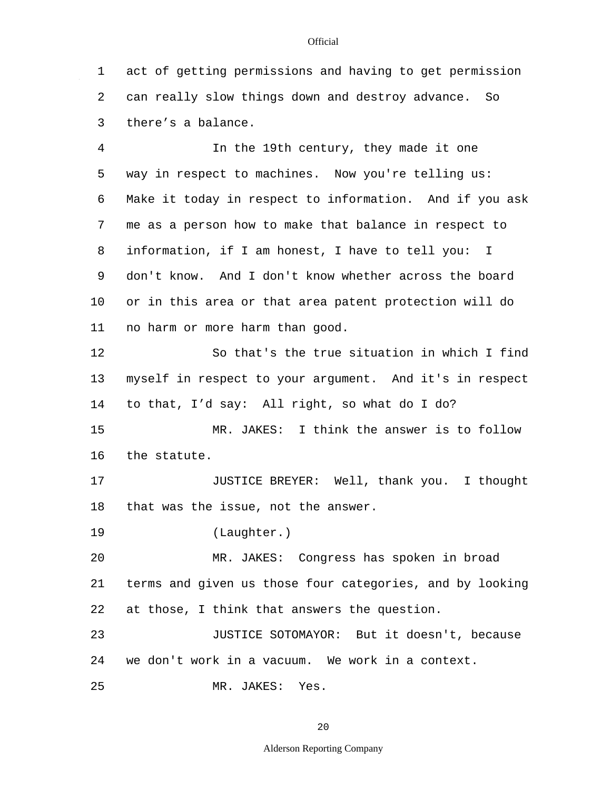1 2 3 4 act of getting permissions and having to get permission can really slow things down and destroy advance. So there's a balance. In the 19th century, they made it one

5 6 7 8 9 10 11 way in respect to machines. Now you're telling us: Make it today in respect to information. And if you ask me as a person how to make that balance in respect to information, if I am honest, I have to tell you: I don't know. And I don't know whether across the board or in this area or that area patent protection will do no harm or more harm than good.

12 13 14 So that's the true situation in which I find myself in respect to your argument. And it's in respect to that, I'd say: All right, so what do I do?

15 16 MR. JAKES: I think the answer is to follow the statute.

17 18 JUSTICE BREYER: Well, thank you. I thought that was the issue, not the answer.

19 (Laughter.)

20 21 22 MR. JAKES: Congress has spoken in broad terms and given us those four categories, and by looking at those, I think that answers the question.

23 24 JUSTICE SOTOMAYOR: But it doesn't, because we don't work in a vacuum. We work in a context.

25 MR. JAKES: Yes.

20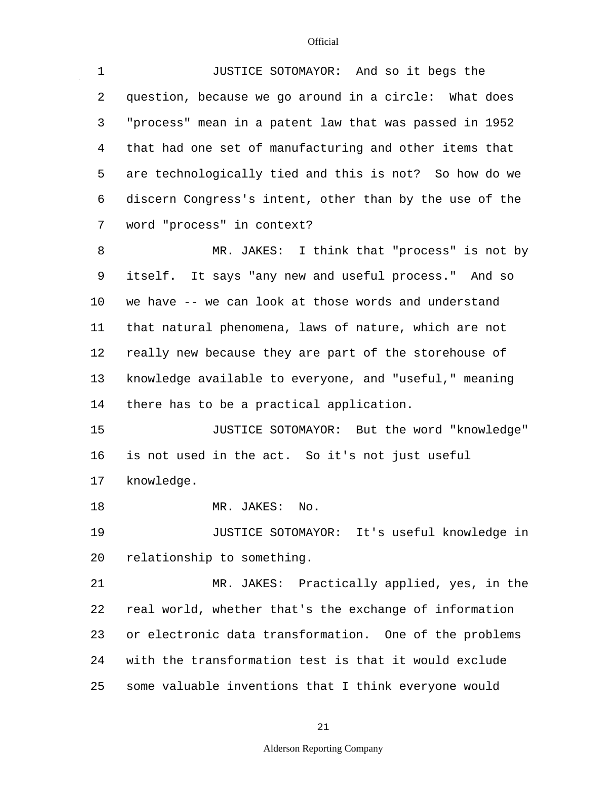$\mathcal{L}^{\mathcal{A}}$ 

| $\mathbf 1$ | JUSTICE SOTOMAYOR: And so it begs the                   |
|-------------|---------------------------------------------------------|
| 2           | question, because we go around in a circle: What does   |
| 3           | "process" mean in a patent law that was passed in 1952  |
| 4           | that had one set of manufacturing and other items that  |
| 5           | are technologically tied and this is not? So how do we  |
| 6           | discern Congress's intent, other than by the use of the |
| 7           | word "process" in context?                              |
| 8           | MR. JAKES: I think that "process" is not by             |
| 9           | itself. It says "any new and useful process." And so    |
| $10 \,$     | we have -- we can look at those words and understand    |
| 11          | that natural phenomena, laws of nature, which are not   |
| 12          | really new because they are part of the storehouse of   |
| 13          | knowledge available to everyone, and "useful," meaning  |
| 14          | there has to be a practical application.                |
| 15          | JUSTICE SOTOMAYOR: But the word "knowledge"             |
| 16          | is not used in the act. So it's not just useful         |
| 17          | knowledge.                                              |
| 18          | MR. JAKES:<br>No.                                       |
| 19          | JUSTICE SOTOMAYOR: It's useful knowledge in             |
| 20          | relationship to something.                              |
| 21          | MR. JAKES: Practically applied, yes, in the             |
| 22          | real world, whether that's the exchange of information  |
| 23          | or electronic data transformation. One of the problems  |
| 24          | with the transformation test is that it would exclude   |
| 25          | some valuable inventions that I think everyone would    |

21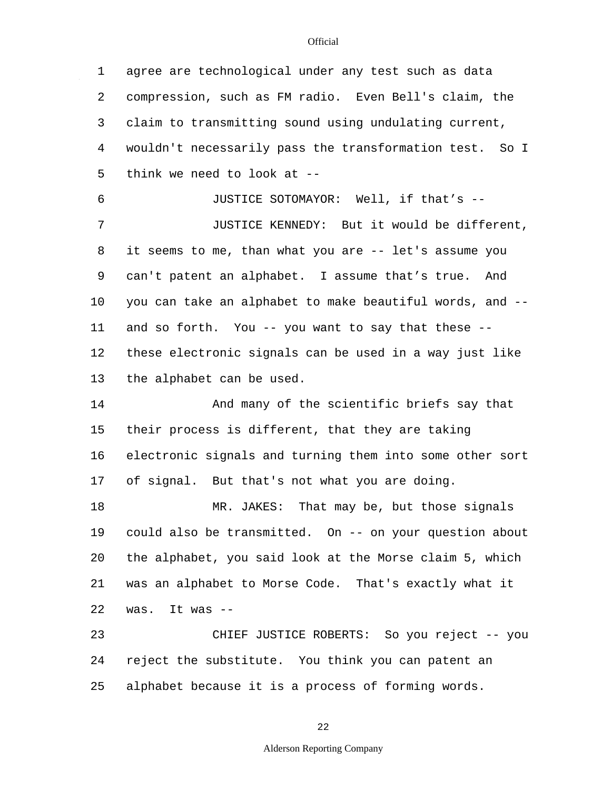1 2 3 4 5 6 7 8 9 10 11 12 13 14 15 16 17 18 19 20 21 22 23 24 25 agree are technological under any test such as data compression, such as FM radio. Even Bell's claim, the claim to transmitting sound using undulating current, wouldn't necessarily pass the transformation test. So I think we need to look at -- JUSTICE SOTOMAYOR: Well, if that's -- JUSTICE KENNEDY: But it would be different, it seems to me, than what you are -- let's assume you can't patent an alphabet. I assume that's true. And you can take an alphabet to make beautiful words, and - and so forth. You -- you want to say that these - these electronic signals can be used in a way just like the alphabet can be used. And many of the scientific briefs say that their process is different, that they are taking electronic signals and turning them into some other sort of signal. But that's not what you are doing. MR. JAKES: That may be, but those signals could also be transmitted. On -- on your question about the alphabet, you said look at the Morse claim 5, which was an alphabet to Morse Code. That's exactly what it was. It was -- CHIEF JUSTICE ROBERTS: So you reject -- you reject the substitute. You think you can patent an alphabet because it is a process of forming words.

22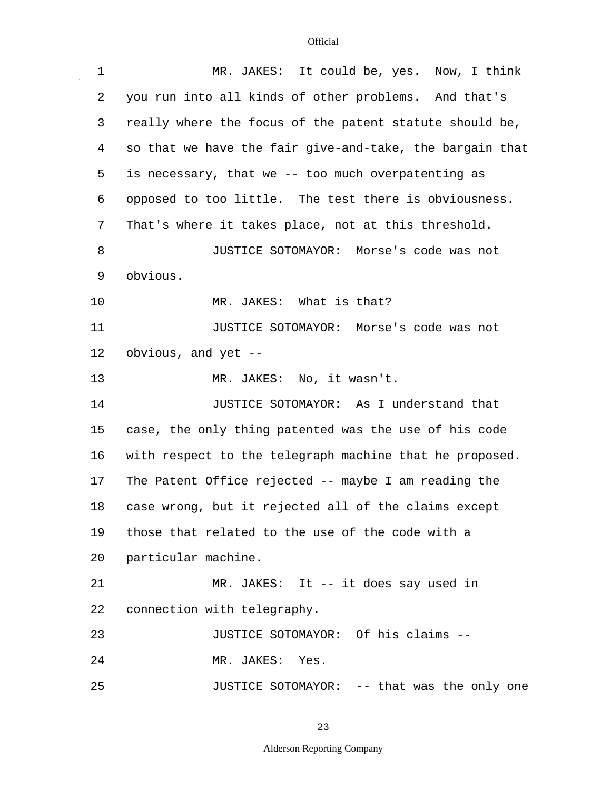$\mathcal{L}^{\mathcal{A}}$ 

| $\mathbf 1$ | MR. JAKES: It could be, yes. Now, I think                |
|-------------|----------------------------------------------------------|
| 2           | you run into all kinds of other problems. And that's     |
| 3           | really where the focus of the patent statute should be,  |
| 4           | so that we have the fair give-and-take, the bargain that |
| 5           | is necessary, that we -- too much overpatenting as       |
| 6           | opposed to too little. The test there is obviousness.    |
| 7           | That's where it takes place, not at this threshold.      |
| 8           | JUSTICE SOTOMAYOR: Morse's code was not                  |
| 9           | obvious.                                                 |
| 10          | MR. JAKES: What is that?                                 |
| 11          | JUSTICE SOTOMAYOR: Morse's code was not                  |
| 12          | obvious, and yet --                                      |
| 13          | MR. JAKES: No, it wasn't.                                |
| 14          | JUSTICE SOTOMAYOR: As I understand that                  |
| 15          | case, the only thing patented was the use of his code    |
| 16          | with respect to the telegraph machine that he proposed.  |
| 17          | The Patent Office rejected -- maybe I am reading the     |
| 18          | case wrong, but it rejected all of the claims except     |
| 19          | those that related to the use of the code with a         |
| 20          | particular machine.                                      |
| 21          | MR. JAKES: It -- it does say used in                     |
| 22          | connection with telegraphy.                              |
| 23          | JUSTICE SOTOMAYOR: Of his claims --                      |
| 24          | MR. JAKES: Yes.                                          |
| 25          | JUSTICE SOTOMAYOR: -- that was the only one              |

23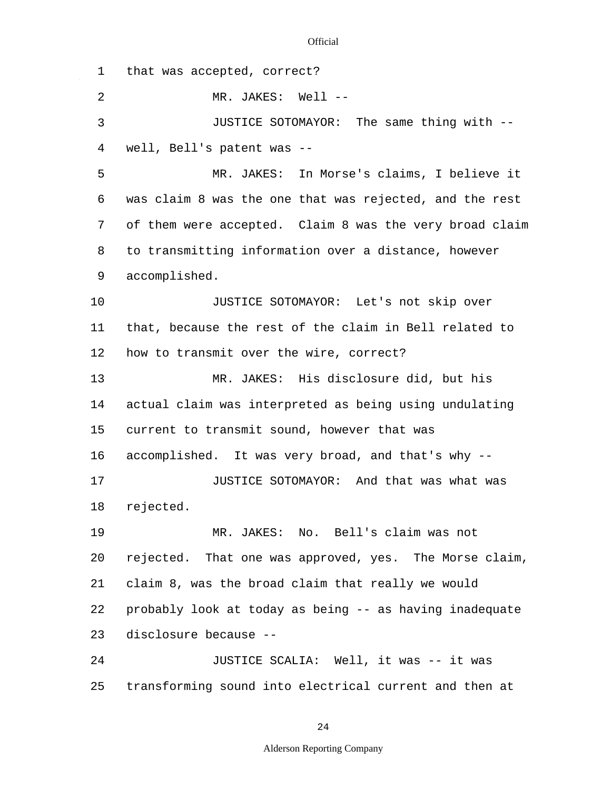1 2 3 4 5 6 7 8 9 10 11 12 13 14 15 16 17 18 19 20 21 22 23  $2.4$ 25 that was accepted, correct? MR. JAKES: Well --JUSTICE SOTOMAYOR: The same thing with - well, Bell's patent was -- MR. JAKES: In Morse's claims, I believe it was claim 8 was the one that was rejected, and the rest of them were accepted. Claim 8 was the very broad claim to transmitting information over a distance, however accomplished. JUSTICE SOTOMAYOR: Let's not skip over that, because the rest of the claim in Bell related to how to transmit over the wire, correct? MR. JAKES: His disclosure did, but his actual claim was interpreted as being using undulating current to transmit sound, however that was accomplished. It was very broad, and that's why -- JUSTICE SOTOMAYOR: And that was what was rejected. MR. JAKES: No. Bell's claim was not rejected. That one was approved, yes. The Morse claim, claim 8, was the broad claim that really we would probably look at today as being -- as having inadequate disclosure because -- JUSTICE SCALIA: Well, it was -- it was transforming sound into electrical current and then at

24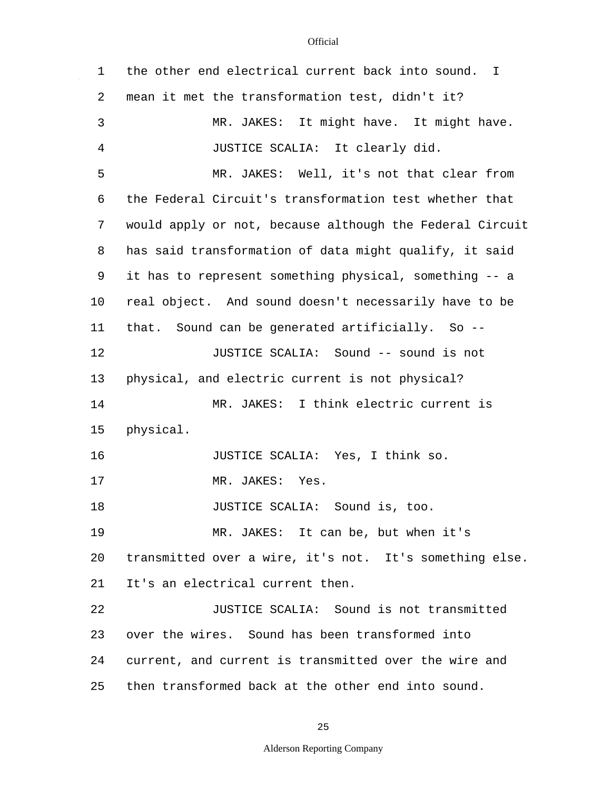$\mathcal{L}^{\mathcal{A}}$ 

| 1  | the other end electrical current back into sound. I      |
|----|----------------------------------------------------------|
| 2  | mean it met the transformation test, didn't it?          |
| 3  | MR. JAKES: It might have. It might have.                 |
| 4  | JUSTICE SCALIA: It clearly did.                          |
| 5  | MR. JAKES: Well, it's not that clear from                |
| 6  | the Federal Circuit's transformation test whether that   |
| 7  | would apply or not, because although the Federal Circuit |
| 8  | has said transformation of data might qualify, it said   |
| 9  | it has to represent something physical, something -- a   |
| 10 | real object. And sound doesn't necessarily have to be    |
| 11 | that. Sound can be generated artificially. So --         |
| 12 | JUSTICE SCALIA: Sound -- sound is not                    |
| 13 | physical, and electric current is not physical?          |
| 14 | MR. JAKES: I think electric current is                   |
| 15 | physical.                                                |
| 16 | JUSTICE SCALIA: Yes, I think so.                         |
| 17 | Yes.<br>MR. JAKES:                                       |
| 18 | JUSTICE SCALIA: Sound is, too.                           |
| 19 | MR. JAKES: It can be, but when it's                      |
| 20 | transmitted over a wire, it's not. It's something else.  |
| 21 | It's an electrical current then.                         |
| 22 | JUSTICE SCALIA: Sound is not transmitted                 |
| 23 | over the wires. Sound has been transformed into          |
| 24 | current, and current is transmitted over the wire and    |
| 25 | then transformed back at the other end into sound.       |

25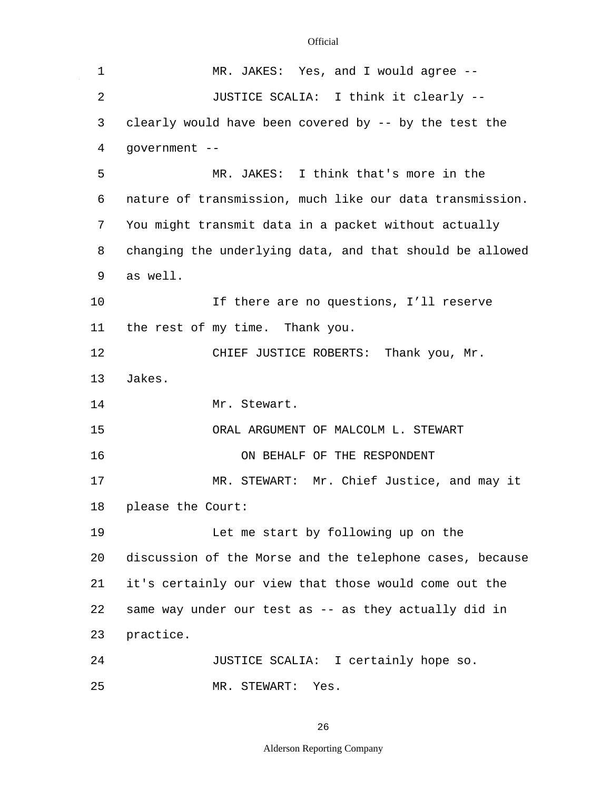$\sim$   $\sim$ 

| 1  | MR. JAKES: Yes, and I would agree --                     |
|----|----------------------------------------------------------|
| 2  | JUSTICE SCALIA: I think it clearly --                    |
| 3  | clearly would have been covered by -- by the test the    |
| 4  | government --                                            |
| 5  | MR. JAKES: I think that's more in the                    |
| 6  | nature of transmission, much like our data transmission. |
| 7  | You might transmit data in a packet without actually     |
| 8  | changing the underlying data, and that should be allowed |
| 9  | as well.                                                 |
| 10 | If there are no questions, I'll reserve                  |
| 11 | the rest of my time. Thank you.                          |
| 12 | CHIEF JUSTICE ROBERTS: Thank you, Mr.                    |
| 13 | Jakes.                                                   |
| 14 | Mr. Stewart.                                             |
| 15 | ORAL ARGUMENT OF MALCOLM L. STEWART                      |
| 16 | ON BEHALF OF THE RESPONDENT                              |
| 17 | MR. STEWART: Mr. Chief Justice, and may it               |
| 18 | please the Court:                                        |
| 19 | Let me start by following up on the                      |
| 20 | discussion of the Morse and the telephone cases, because |
| 21 | it's certainly our view that those would come out the    |
| 22 | same way under our test as -- as they actually did in    |
| 23 | practice.                                                |
| 24 | JUSTICE SCALIA: I certainly hope so.                     |
| 25 | MR. STEWART: Yes.                                        |

26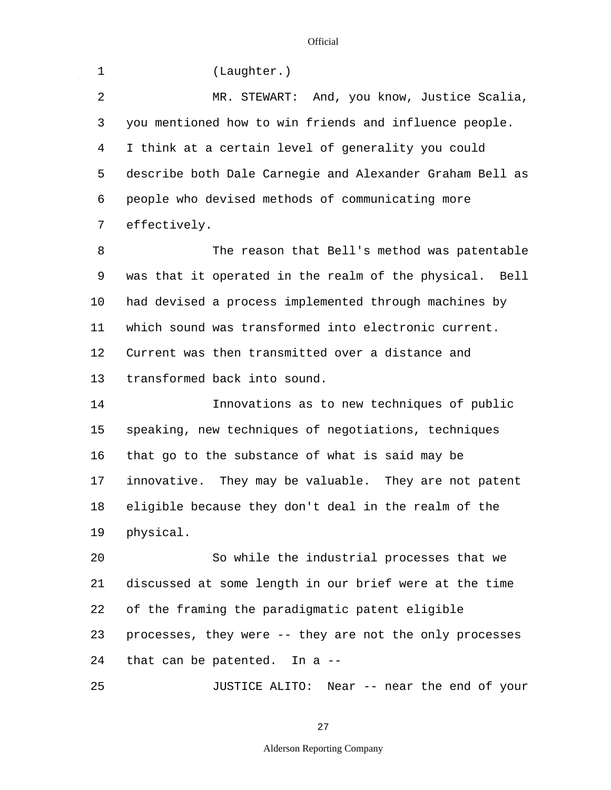$\mathcal{L}^{\mathcal{A}}$ 

| $\mathbf 1$    | (Laughter.)                                              |
|----------------|----------------------------------------------------------|
| $\overline{2}$ | MR. STEWART: And, you know, Justice Scalia,              |
| 3              | you mentioned how to win friends and influence people.   |
| 4              | I think at a certain level of generality you could       |
| 5              | describe both Dale Carnegie and Alexander Graham Bell as |
| 6              | people who devised methods of communicating more         |
| 7              | effectively.                                             |
| 8              | The reason that Bell's method was patentable             |
| 9              | was that it operated in the realm of the physical. Bell  |
| 10             | had devised a process implemented through machines by    |
| 11             | which sound was transformed into electronic current.     |
| 12             | Current was then transmitted over a distance and         |
| 13             | transformed back into sound.                             |
| 14             | Innovations as to new techniques of public               |
| 15             | speaking, new techniques of negotiations, techniques     |
| 16             | that go to the substance of what is said may be          |
| 17             | innovative. They may be valuable. They are not patent    |
| 18             | eligible because they don't deal in the realm of the     |
| 19             | physical.                                                |
| 20             | So while the industrial processes that we                |
| 21             | discussed at some length in our brief were at the time   |
| 22             | of the framing the paradigmatic patent eligible          |
| 23             | processes, they were -- they are not the only processes  |
| 24             | that can be patented. In a --                            |
| 25             | JUSTICE ALITO: Near -- near the end of your              |

27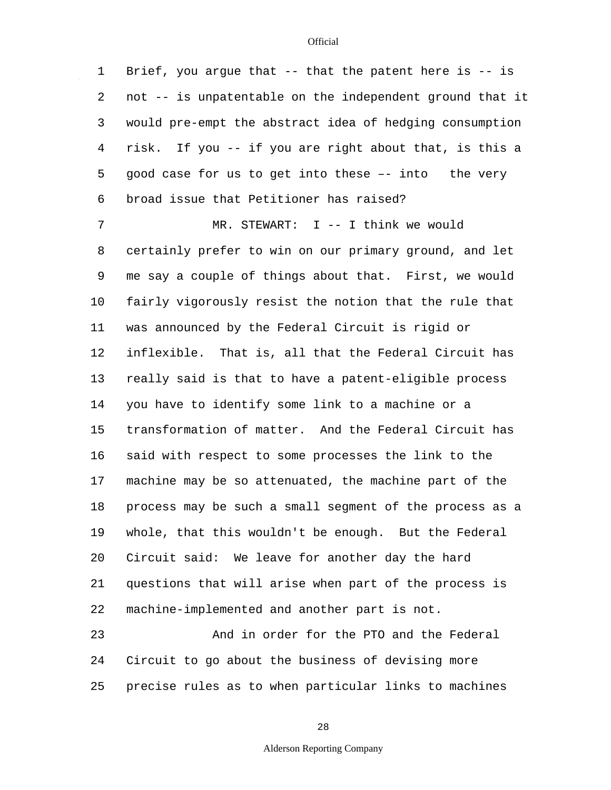1 2 3 4 5 6 7 8 9 10 11 12 13 14 15 16 17 18 19 20 21 22 23 24 25 Brief, you argue that  $--$  that the patent here is  $--$  is not -- is unpatentable on the independent ground that it would pre-empt the abstract idea of hedging consumption risk. If you -- if you are right about that, is this a good case for us to get into these –- into the very broad issue that Petitioner has raised? MR. STEWART: I -- I think we would certainly prefer to win on our primary ground, and let me say a couple of things about that. First, we would fairly vigorously resist the notion that the rule that was announced by the Federal Circuit is rigid or inflexible. That is, all that the Federal Circuit has really said is that to have a patent-eligible process you have to identify some link to a machine or a transformation of matter. And the Federal Circuit has said with respect to some processes the link to the machine may be so attenuated, the machine part of the process may be such a small segment of the process as a whole, that this wouldn't be enough. But the Federal Circuit said: We leave for another day the hard questions that will arise when part of the process is machine-implemented and another part is not. And in order for the PTO and the Federal Circuit to go about the business of devising more precise rules as to when particular links to machines

28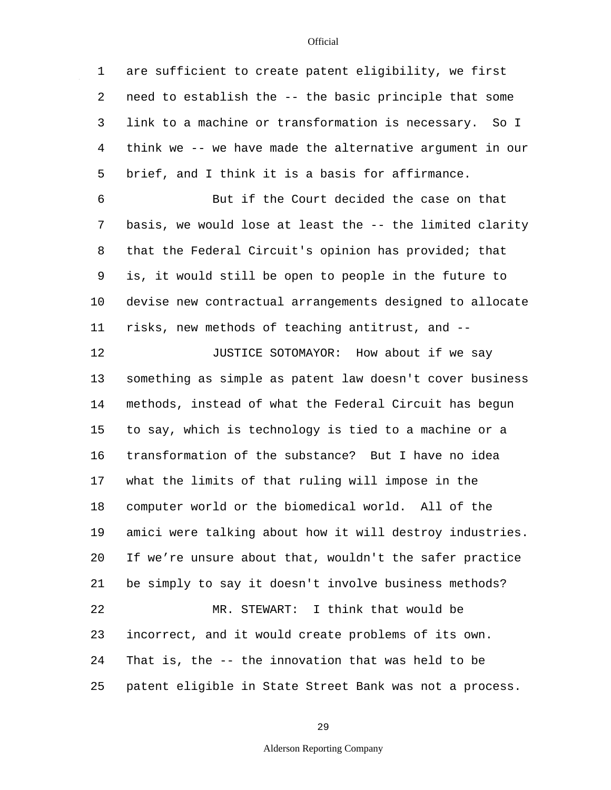$\mathbb{Z}^2$ 

| $\mathbf 1$    | are sufficient to create patent eligibility, we first    |
|----------------|----------------------------------------------------------|
| 2              | need to establish the -- the basic principle that some   |
| 3              | link to a machine or transformation is necessary. So I   |
| $\overline{4}$ | think we -- we have made the alternative argument in our |
| 5              | brief, and I think it is a basis for affirmance.         |
| 6              | But if the Court decided the case on that                |
| 7              | basis, we would lose at least the -- the limited clarity |
| 8              | that the Federal Circuit's opinion has provided; that    |
| 9              | is, it would still be open to people in the future to    |
| 10             | devise new contractual arrangements designed to allocate |
| 11             | risks, new methods of teaching antitrust, and --         |
| 12             | JUSTICE SOTOMAYOR: How about if we say                   |
| 13             | something as simple as patent law doesn't cover business |
| 14             | methods, instead of what the Federal Circuit has begun   |
| 15             | to say, which is technology is tied to a machine or a    |
| 16             | transformation of the substance? But I have no idea      |
| 17             | what the limits of that ruling will impose in the        |
| 18             | computer world or the biomedical world. All of the       |
| 19             | amici were talking about how it will destroy industries. |
| 20             | If we're unsure about that, wouldn't the safer practice  |
| 21             | be simply to say it doesn't involve business methods?    |
| 22             | MR. STEWART: I think that would be                       |
| 23             | incorrect, and it would create problems of its own.      |
| 24             | That is, the -- the innovation that was held to be       |
| 25             | patent eligible in State Street Bank was not a process.  |

29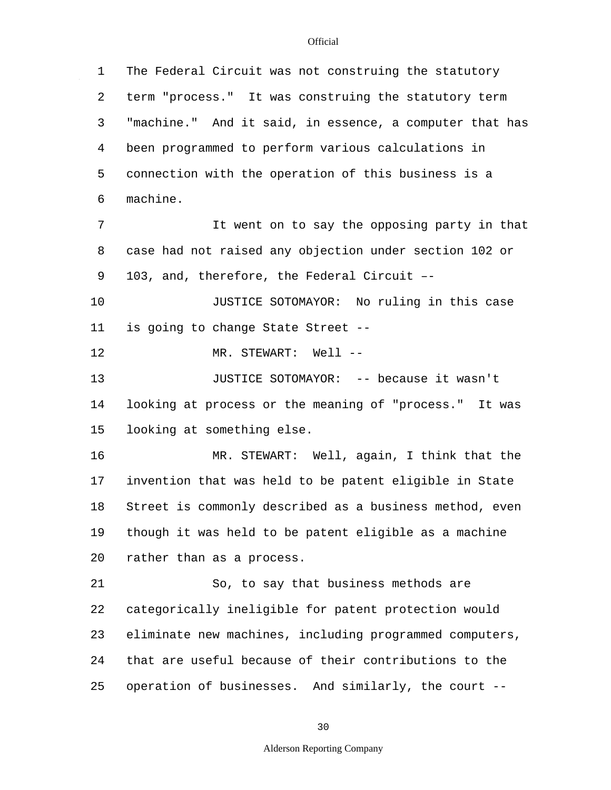1 2 3 4 5 6 7 8 9 10 11 12 13 14 15 16 17 18 19 20 21 22 23 24 25 The Federal Circuit was not construing the statutory term "process." It was construing the statutory term "machine." And it said, in essence, a computer that has been programmed to perform various calculations in connection with the operation of this business is a machine. It went on to say the opposing party in that case had not raised any objection under section 102 or 103, and, therefore, the Federal Circuit –- JUSTICE SOTOMAYOR: No ruling in this case is going to change State Street -- MR. STEWART: Well -- JUSTICE SOTOMAYOR: -- because it wasn't looking at process or the meaning of "process." It was looking at something else. MR. STEWART: Well, again, I think that the invention that was held to be patent eligible in State Street is commonly described as a business method, even though it was held to be patent eligible as a machine rather than as a process. So, to say that business methods are categorically ineligible for patent protection would eliminate new machines, including programmed computers, that are useful because of their contributions to the operation of businesses. And similarly, the court --

30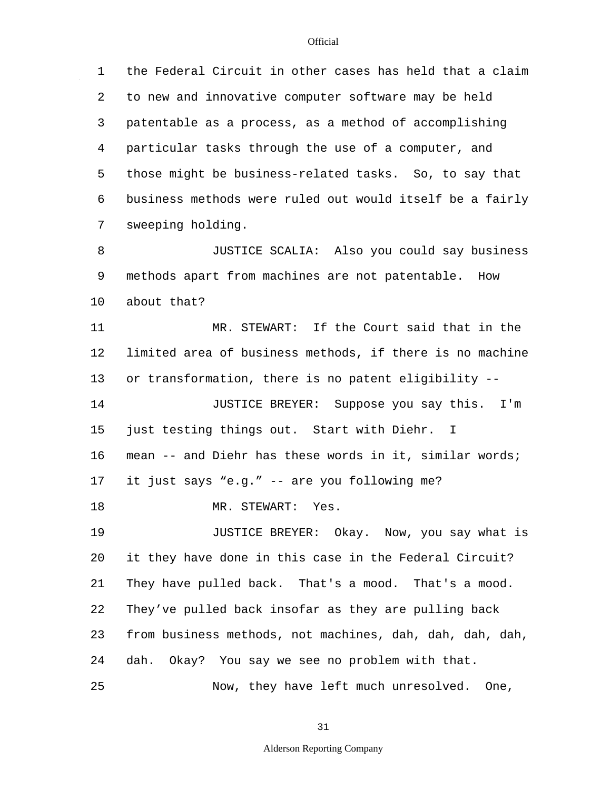1 2 3 4 5 6 7 8 9 10 11 12 13 14 15 16 17 18 19 20 21 22 23 24 25 the Federal Circuit in other cases has held that a claim to new and innovative computer software may be held patentable as a process, as a method of accomplishing particular tasks through the use of a computer, and those might be business-related tasks. So, to say that business methods were ruled out would itself be a fairly sweeping holding. JUSTICE SCALIA: Also you could say business methods apart from machines are not patentable. How about that? MR. STEWART: If the Court said that in the limited area of business methods, if there is no machine or transformation, there is no patent eligibility -- JUSTICE BREYER: Suppose you say this. I'm just testing things out. Start with Diehr. I mean -- and Diehr has these words in it, similar words; it just says "e.g." -- are you following me? MR. STEWART: Yes. JUSTICE BREYER: Okay. Now, you say what is it they have done in this case in the Federal Circuit? They have pulled back. That's a mood. That's a mood. They've pulled back insofar as they are pulling back from business methods, not machines, dah, dah, dah, dah, dah. Okay? You say we see no problem with that. Now, they have left much unresolved. One,

31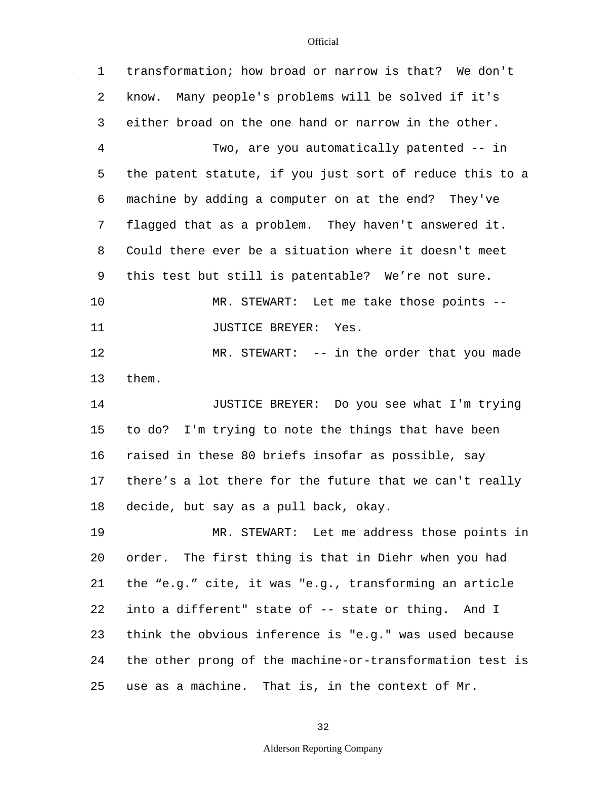$\mathcal{L}_{\mathcal{L}}$ 

| $\mathbf 1$    | transformation; how broad or narrow is that? We don't    |
|----------------|----------------------------------------------------------|
| 2              | know. Many people's problems will be solved if it's      |
| 3              | either broad on the one hand or narrow in the other.     |
| $\overline{4}$ | Two, are you automatically patented -- in                |
| 5              | the patent statute, if you just sort of reduce this to a |
| 6              | machine by adding a computer on at the end? They've      |
| 7              | flagged that as a problem. They haven't answered it.     |
| 8              | Could there ever be a situation where it doesn't meet    |
| 9              | this test but still is patentable? We're not sure.       |
| 10             | MR. STEWART: Let me take those points --                 |
| 11             | <b>JUSTICE BREYER:</b><br>Yes.                           |
| 12             | MR. STEWART: -- in the order that you made               |
| 13             | them.                                                    |
| 14             | JUSTICE BREYER: Do you see what I'm trying               |
| 15             | to do? I'm trying to note the things that have been      |
| 16             | raised in these 80 briefs insofar as possible, say       |
| 17             | there's a lot there for the future that we can't really  |
| 18             | decide, but say as a pull back, okay.                    |
| 19             | MR. STEWART: Let me address those points in              |
| 20             | order. The first thing is that in Diehr when you had     |
| 21             | the "e.g." cite, it was "e.g., transforming an article   |
| 22             | into a different" state of -- state or thing. And I      |
| 23             | think the obvious inference is "e.g." was used because   |
| 24             | the other prong of the machine-or-transformation test is |
| 25             | use as a machine. That is, in the context of Mr.         |

32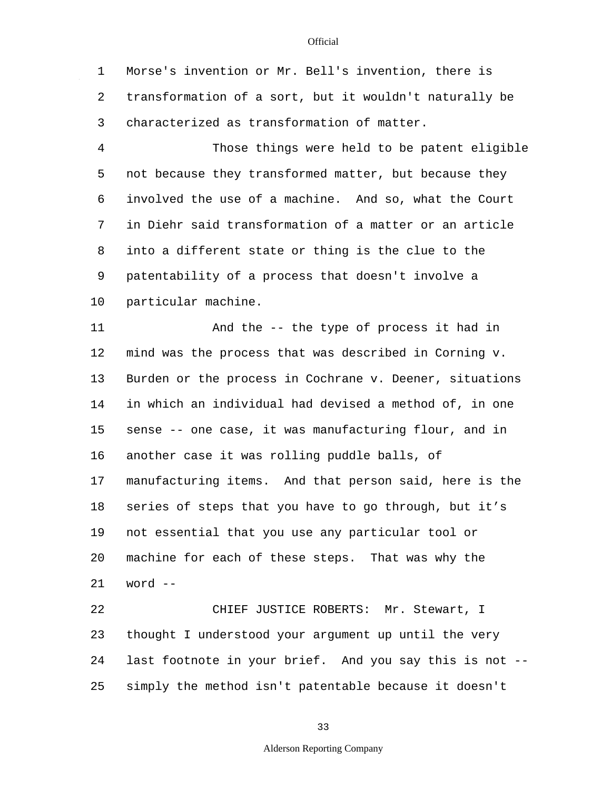1 2 3 Morse's invention or Mr. Bell's invention, there is transformation of a sort, but it wouldn't naturally be characterized as transformation of matter.

4 5 6 7 8 9 10 Those things were held to be patent eligible not because they transformed matter, but because they involved the use of a machine. And so, what the Court in Diehr said transformation of a matter or an article into a different state or thing is the clue to the patentability of a process that doesn't involve a particular machine.

11 12 13 14 15 16 17 18 19 20 21 22 And the -- the type of process it had in mind was the process that was described in Corning v. Burden or the process in Cochrane v. Deener, situations in which an individual had devised a method of, in one sense -- one case, it was manufacturing flour, and in another case it was rolling puddle balls, of manufacturing items. And that person said, here is the series of steps that you have to go through, but it's not essential that you use any particular tool or machine for each of these steps. That was why the word -- CHIEF JUSTICE ROBERTS: Mr. Stewart, I

23 24 25 thought I understood your argument up until the very last footnote in your brief. And you say this is not - simply the method isn't patentable because it doesn't

33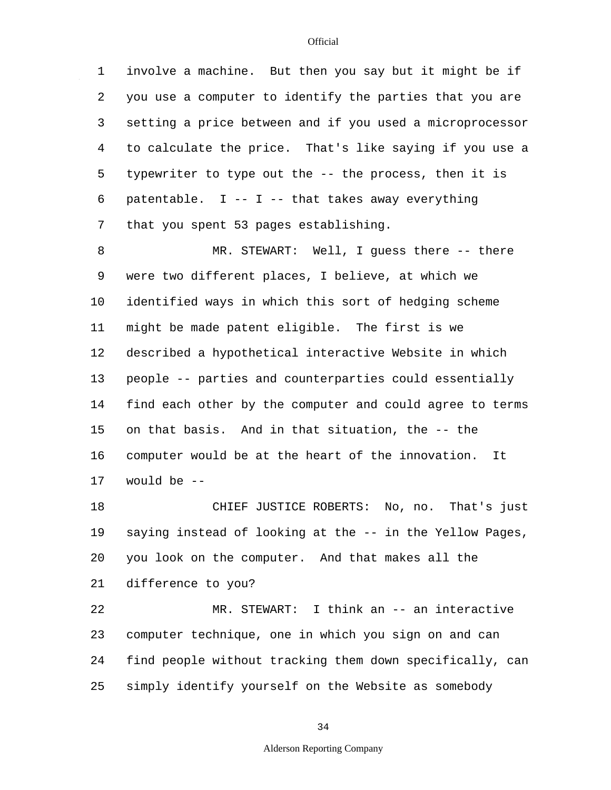1 2 3 4 5 6 involve a machine. But then you say but it might be if you use a computer to identify the parties that you are setting a price between and if you used a microprocessor to calculate the price. That's like saying if you use a typewriter to type out the -- the process, then it is patentable.  $I - I - I$  -- that takes away everything

that you spent 53 pages establishing.

7

8 9 10 11 12 13 14 15 16 17 MR. STEWART: Well, I guess there -- there were two different places, I believe, at which we identified ways in which this sort of hedging scheme might be made patent eligible. The first is we described a hypothetical interactive Website in which people -- parties and counterparties could essentially find each other by the computer and could agree to terms on that basis. And in that situation, the -- the computer would be at the heart of the innovation. It would be --

18 19 20 21 CHIEF JUSTICE ROBERTS: No, no. That's just saying instead of looking at the -- in the Yellow Pages, you look on the computer. And that makes all the difference to you?

22 23 24 25 MR. STEWART: I think an -- an interactive computer technique, one in which you sign on and can find people without tracking them down specifically, can simply identify yourself on the Website as somebody

# **Official**

### Alderson Reporting Company

34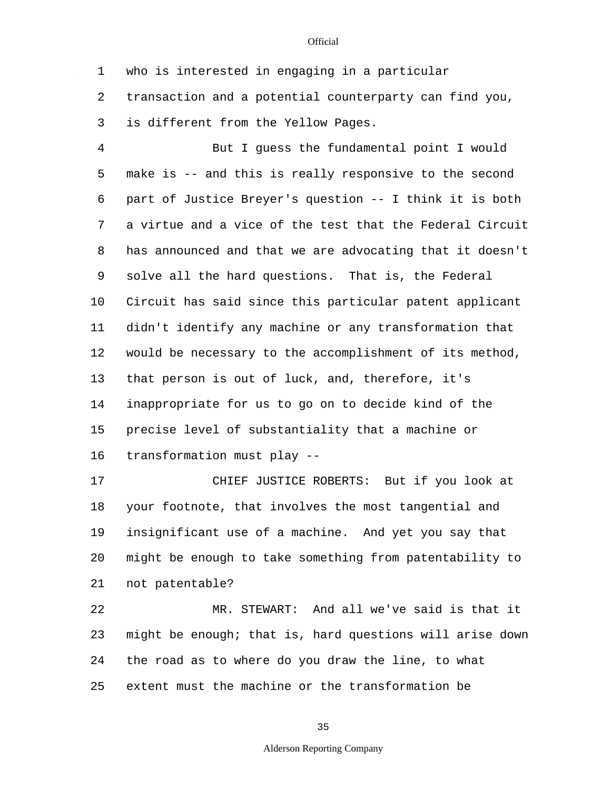1 2 who is interested in engaging in a particular transaction and a potential counterparty can find you,

3 is different from the Yellow Pages.

4 5 6 7 8 9 10 11 12 13 14 15 16 But I guess the fundamental point I would make is -- and this is really responsive to the second part of Justice Breyer's question -- I think it is both a virtue and a vice of the test that the Federal Circuit has announced and that we are advocating that it doesn't solve all the hard questions. That is, the Federal Circuit has said since this particular patent applicant didn't identify any machine or any transformation that would be necessary to the accomplishment of its method, that person is out of luck, and, therefore, it's inappropriate for us to go on to decide kind of the precise level of substantiality that a machine or transformation must play --

17 18 19 20 21 CHIEF JUSTICE ROBERTS: But if you look at your footnote, that involves the most tangential and insignificant use of a machine. And yet you say that might be enough to take something from patentability to not patentable?

22 23 24 25 MR. STEWART: And all we've said is that it might be enough; that is, hard questions will arise down the road as to where do you draw the line, to what extent must the machine or the transformation be

35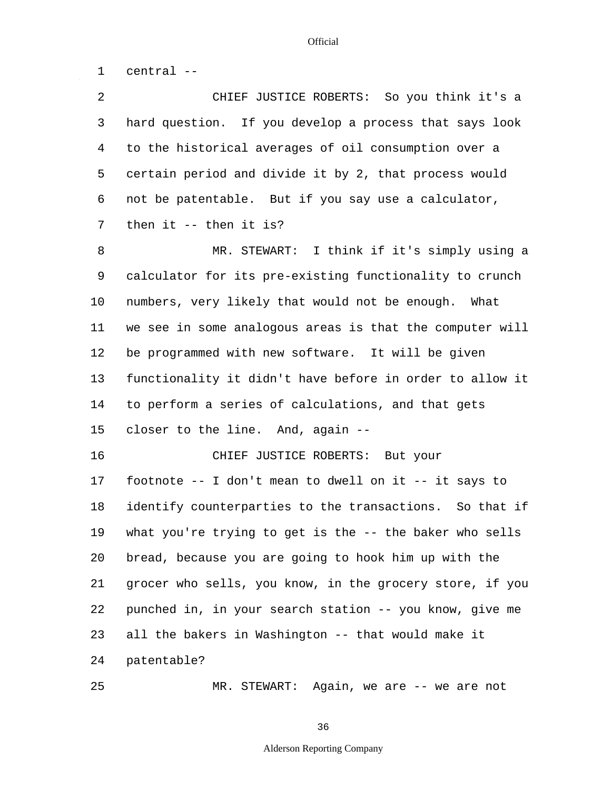1 central --

25

| $\overline{a}$ | CHIEF JUSTICE ROBERTS: So you think it's a               |
|----------------|----------------------------------------------------------|
| 3              | hard question. If you develop a process that says look   |
| 4              | to the historical averages of oil consumption over a     |
| 5              | certain period and divide it by 2, that process would    |
| 6              | not be patentable. But if you say use a calculator,      |
| 7              | then it $--$ then it is?                                 |
| 8              | MR. STEWART: I think if it's simply using a              |
| 9              | calculator for its pre-existing functionality to crunch  |
| 10             | numbers, very likely that would not be enough. What      |
| 11             | we see in some analogous areas is that the computer will |
| 12             | be programmed with new software. It will be given        |
| 13             | functionality it didn't have before in order to allow it |
| 14             | to perform a series of calculations, and that gets       |
| 15             | closer to the line. And, again --                        |
| 16             | CHIEF JUSTICE ROBERTS: But your                          |
| 17             | footnote -- I don't mean to dwell on it -- it says to    |
| 18             | identify counterparties to the transactions. So that if  |
| 19             | what you're trying to get is the -- the baker who sells  |
| 20             | bread, because you are going to hook him up with the     |
| 21             | grocer who sells, you know, in the grocery store, if you |
| 22             | punched in, in your search station -- you know, give me  |
| 23             | all the bakers in Washington -- that would make it       |
| 24             | patentable?                                              |
|                |                                                          |

MR. STEWART: Again, we are -- we are not

36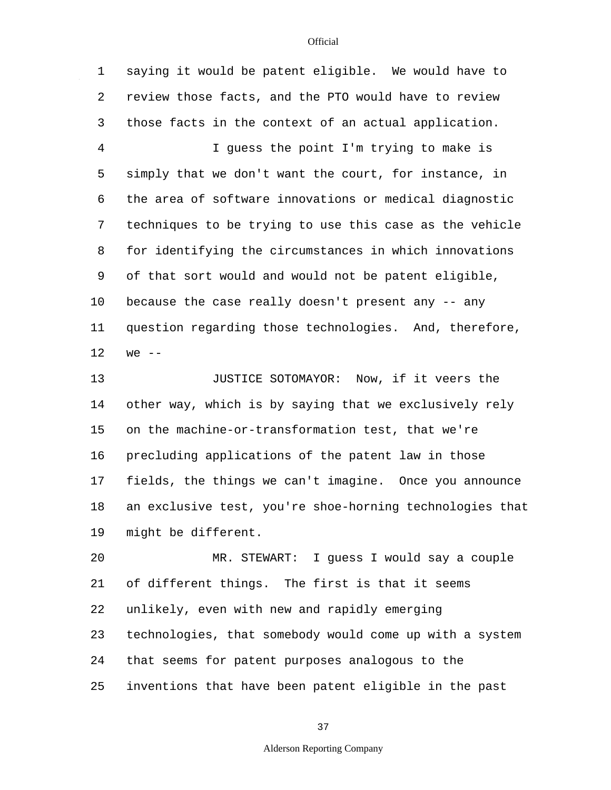1 2 3 4 5 6 7 8 9 10 11 12 saying it would be patent eligible. We would have to review those facts, and the PTO would have to review those facts in the context of an actual application. I guess the point I'm trying to make is simply that we don't want the court, for instance, in the area of software innovations or medical diagnostic techniques to be trying to use this case as the vehicle for identifying the circumstances in which innovations of that sort would and would not be patent eligible, because the case really doesn't present any -- any question regarding those technologies. And, therefore,  $we$   $-$ 

13 14 15 16 17 18 19 JUSTICE SOTOMAYOR: Now, if it veers the other way, which is by saying that we exclusively rely on the machine-or-transformation test, that we're precluding applications of the patent law in those fields, the things we can't imagine. Once you announce an exclusive test, you're shoe-horning technologies that might be different.

20 21 22 23 24 25 MR. STEWART: I guess I would say a couple of different things. The first is that it seems unlikely, even with new and rapidly emerging technologies, that somebody would come up with a system that seems for patent purposes analogous to the inventions that have been patent eligible in the past

37

### Alderson Reporting Company

**Official**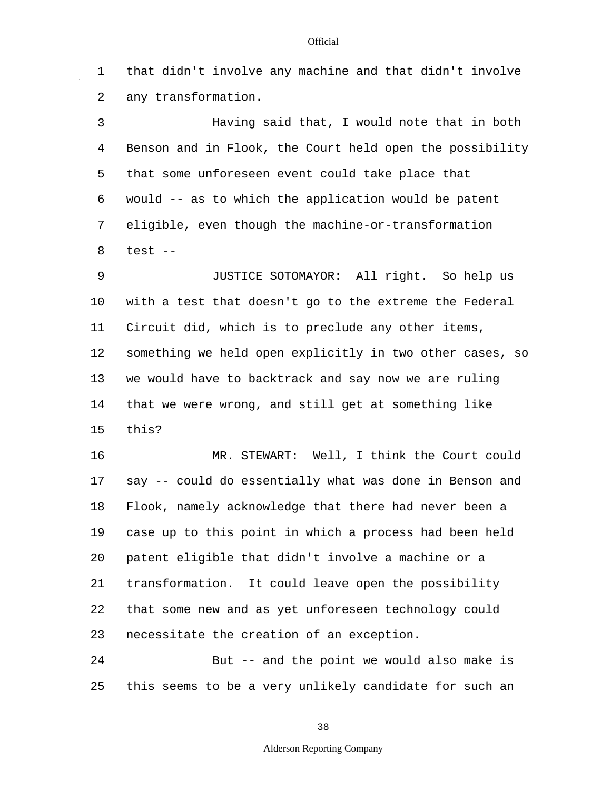1 2 that didn't involve any machine and that didn't involve any transformation.

3 4 5 6 7 8 Having said that, I would note that in both Benson and in Flook, the Court held open the possibility that some unforeseen event could take place that would -- as to which the application would be patent eligible, even though the machine-or-transformation test --

9 10 11 12 13 14 15 JUSTICE SOTOMAYOR: All right. So help us with a test that doesn't go to the extreme the Federal Circuit did, which is to preclude any other items, something we held open explicitly in two other cases, so we would have to backtrack and say now we are ruling that we were wrong, and still get at something like this?

16 17 18 19 20 21 22 23 MR. STEWART: Well, I think the Court could say -- could do essentially what was done in Benson and Flook, namely acknowledge that there had never been a case up to this point in which a process had been held patent eligible that didn't involve a machine or a transformation. It could leave open the possibility that some new and as yet unforeseen technology could necessitate the creation of an exception.

24 25 But -- and the point we would also make is this seems to be a very unlikely candidate for such an

#### **Official**

Alderson Reporting Company

38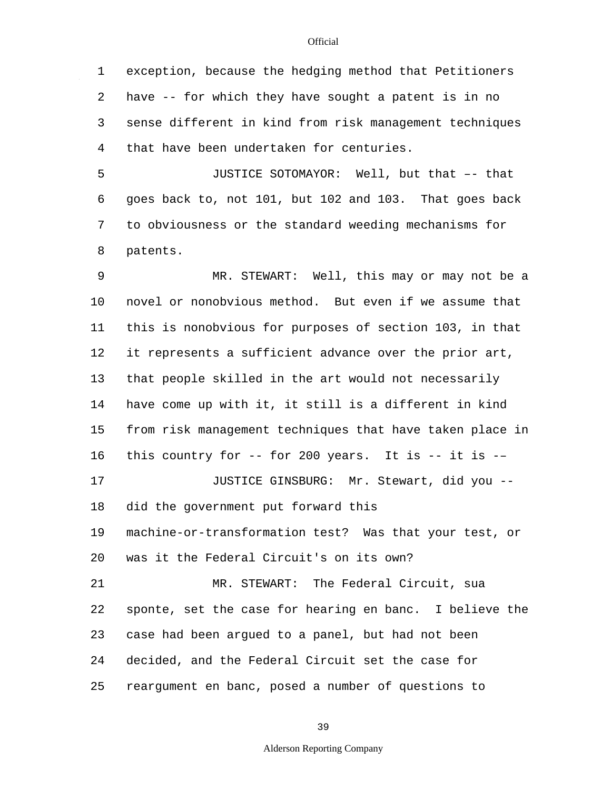1 2 3 4 exception, because the hedging method that Petitioners have -- for which they have sought a patent is in no sense different in kind from risk management techniques that have been undertaken for centuries.

5 6 7 8 JUSTICE SOTOMAYOR: Well, but that –- that goes back to, not 101, but 102 and 103. That goes back to obviousness or the standard weeding mechanisms for patents.

9 10 11 12 13 14 15 16 17 18 19 20 21 22 23 24 25 MR. STEWART: Well, this may or may not be a novel or nonobvious method. But even if we assume that this is nonobvious for purposes of section 103, in that it represents a sufficient advance over the prior art, that people skilled in the art would not necessarily have come up with it, it still is a different in kind from risk management techniques that have taken place in this country for  $-$ - for 200 years. It is  $-$ - it is  $-$ JUSTICE GINSBURG: Mr. Stewart, did you - did the government put forward this machine-or-transformation test? Was that your test, or was it the Federal Circuit's on its own? MR. STEWART: The Federal Circuit, sua sponte, set the case for hearing en banc. I believe the case had been argued to a panel, but had not been decided, and the Federal Circuit set the case for reargument en banc, posed a number of questions to

39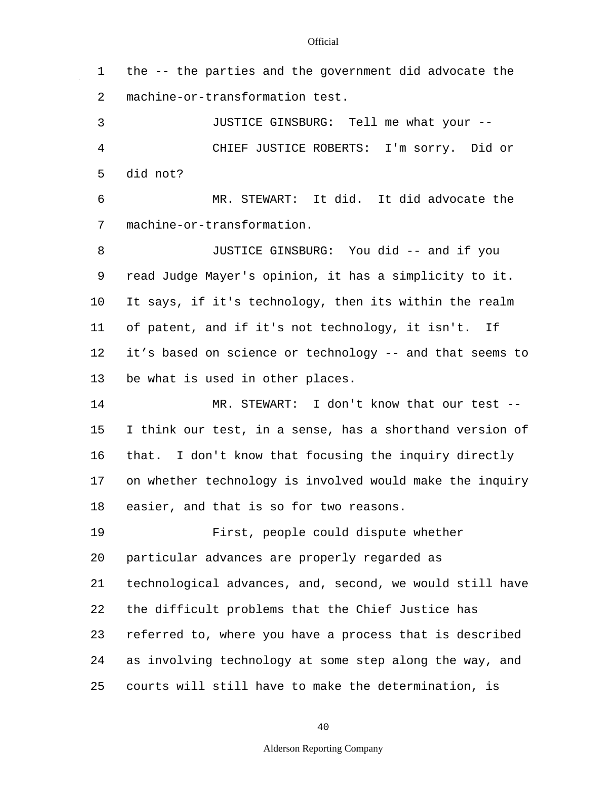$\mathbb{Z}^2$ 

| 1  | the -- the parties and the government did advocate the   |
|----|----------------------------------------------------------|
| 2  | machine-or-transformation test.                          |
| 3  | JUSTICE GINSBURG: Tell me what your --                   |
| 4  | CHIEF JUSTICE ROBERTS: I'm sorry. Did or                 |
| 5  | did not?                                                 |
| 6  | MR. STEWART: It did. It did advocate the                 |
| 7  | machine-or-transformation.                               |
| 8  | JUSTICE GINSBURG: You did -- and if you                  |
| 9  | read Judge Mayer's opinion, it has a simplicity to it.   |
| 10 | It says, if it's technology, then its within the realm   |
| 11 | of patent, and if it's not technology, it isn't. If      |
| 12 | it's based on science or technology -- and that seems to |
| 13 | be what is used in other places.                         |
| 14 | MR. STEWART: I don't know that our test --               |
| 15 | I think our test, in a sense, has a shorthand version of |
| 16 | that. I don't know that focusing the inquiry directly    |
| 17 | on whether technology is involved would make the inquiry |
| 18 | easier, and that is so for two reasons.                  |
| 19 | First, people could dispute whether                      |
| 20 | particular advances are properly regarded as             |
| 21 | technological advances, and, second, we would still have |
| 22 | the difficult problems that the Chief Justice has        |
| 23 | referred to, where you have a process that is described  |
| 24 | as involving technology at some step along the way, and  |
| 25 | courts will still have to make the determination, is     |

40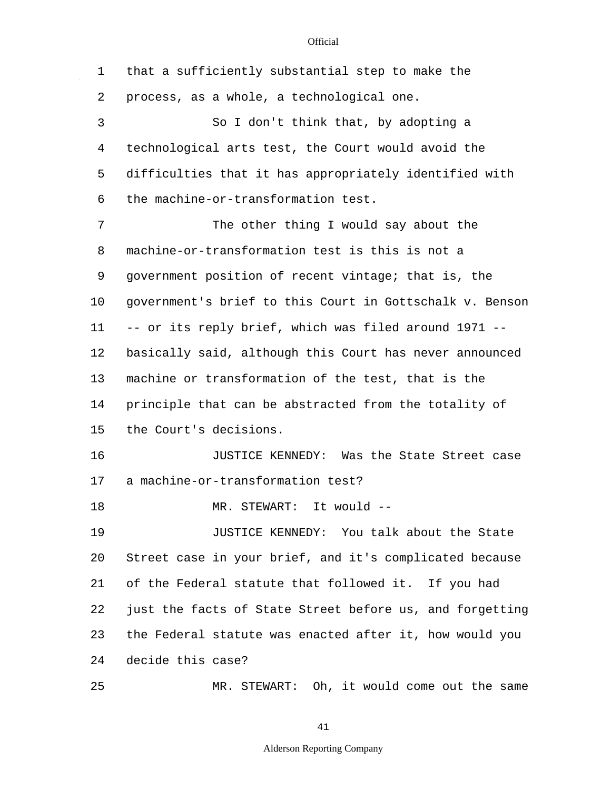$\sim 10$ 

| $\mathbf 1$ | that a sufficiently substantial step to make the         |
|-------------|----------------------------------------------------------|
| 2           | process, as a whole, a technological one.                |
| 3           | So I don't think that, by adopting a                     |
| 4           | technological arts test, the Court would avoid the       |
| 5           | difficulties that it has appropriately identified with   |
| 6           | the machine-or-transformation test.                      |
| 7           | The other thing I would say about the                    |
| 8           | machine-or-transformation test is this is not a          |
| 9           | government position of recent vintage; that is, the      |
| 10          | government's brief to this Court in Gottschalk v. Benson |
| 11          | -- or its reply brief, which was filed around 1971 --    |
| 12          | basically said, although this Court has never announced  |
| 13          | machine or transformation of the test, that is the       |
| 14          | principle that can be abstracted from the totality of    |
| 15          | the Court's decisions.                                   |
| 16          | JUSTICE KENNEDY: Was the State Street case               |
| 17          | a machine-or-transformation test?                        |
| 18          | STEWART: It would --<br>MR.                              |
| 19          | JUSTICE KENNEDY: You talk about the State                |
| 20          | Street case in your brief, and it's complicated because  |
| 21          | of the Federal statute that followed it. If you had      |
| 22          | just the facts of State Street before us, and forgetting |
| 23          | the Federal statute was enacted after it, how would you  |
| 24          | decide this case?                                        |
| 25          | MR. STEWART: Oh, it would come out the same              |

41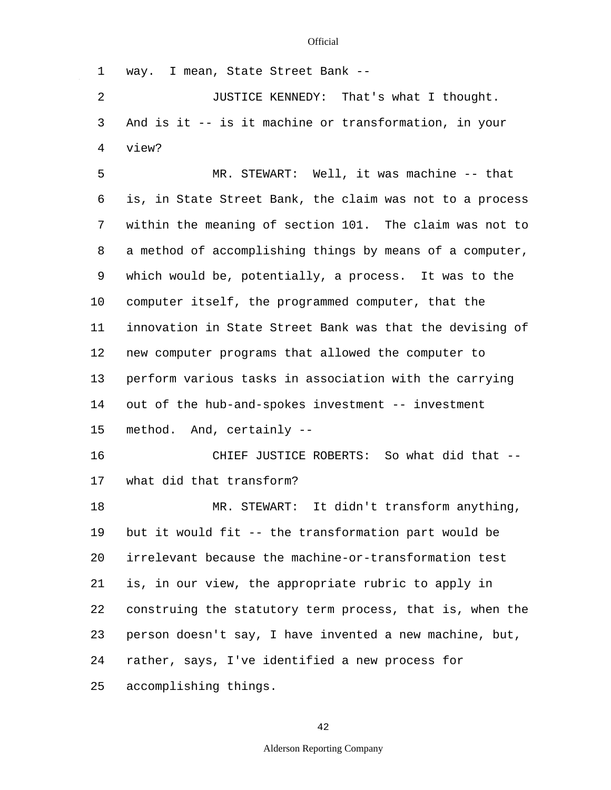1 2 3 4 5 6 7 8 9 10 11 12 13 14 15 16 17 18 19 20 21 22 23 24 25 way. I mean, State Street Bank -- JUSTICE KENNEDY: That's what I thought. And is it -- is it machine or transformation, in your view? MR. STEWART: Well, it was machine -- that is, in State Street Bank, the claim was not to a process within the meaning of section 101. The claim was not to a method of accomplishing things by means of a computer, which would be, potentially, a process. It was to the computer itself, the programmed computer, that the innovation in State Street Bank was that the devising of new computer programs that allowed the computer to perform various tasks in association with the carrying out of the hub-and-spokes investment -- investment method. And, certainly -- CHIEF JUSTICE ROBERTS: So what did that - what did that transform? MR. STEWART: It didn't transform anything, but it would fit -- the transformation part would be irrelevant because the machine-or-transformation test is, in our view, the appropriate rubric to apply in construing the statutory term process, that is, when the person doesn't say, I have invented a new machine, but, rather, says, I've identified a new process for accomplishing things.

42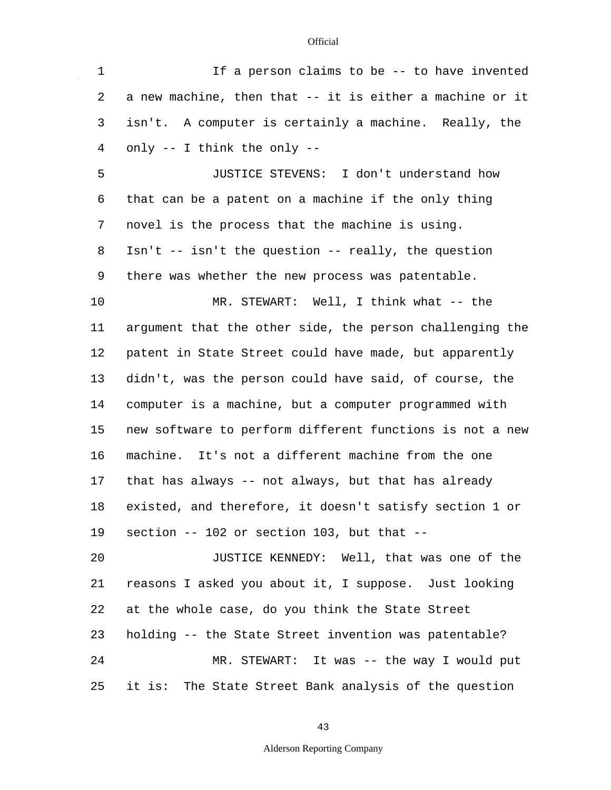$\mathcal{L}_{\mathcal{L}}$ 

| 1  | If a person claims to be -- to have invented             |
|----|----------------------------------------------------------|
| 2  | a new machine, then that -- it is either a machine or it |
| 3  | isn't. A computer is certainly a machine. Really, the    |
| 4  | only -- I think the only --                              |
| 5  | JUSTICE STEVENS: I don't understand how                  |
| 6  | that can be a patent on a machine if the only thing      |
| 7  | novel is the process that the machine is using.          |
| 8  | Isn't -- isn't the question -- really, the question      |
| 9  | there was whether the new process was patentable.        |
| 10 | MR. STEWART: Well, I think what -- the                   |
| 11 | argument that the other side, the person challenging the |
| 12 | patent in State Street could have made, but apparently   |
| 13 | didn't, was the person could have said, of course, the   |
| 14 | computer is a machine, but a computer programmed with    |
| 15 | new software to perform different functions is not a new |
| 16 | machine. It's not a different machine from the one       |
| 17 | that has always -- not always, but that has already      |
| 18 | existed, and therefore, it doesn't satisfy section 1 or  |
| 19 | section -- 102 or section 103, but that --               |
| 20 | JUSTICE KENNEDY: Well, that was one of the               |
| 21 | reasons I asked you about it, I suppose. Just looking    |
| 22 | at the whole case, do you think the State Street         |
| 23 | holding -- the State Street invention was patentable?    |
| 24 | MR. STEWART: It was -- the way I would put               |
| 25 | it is: The State Street Bank analysis of the question    |

43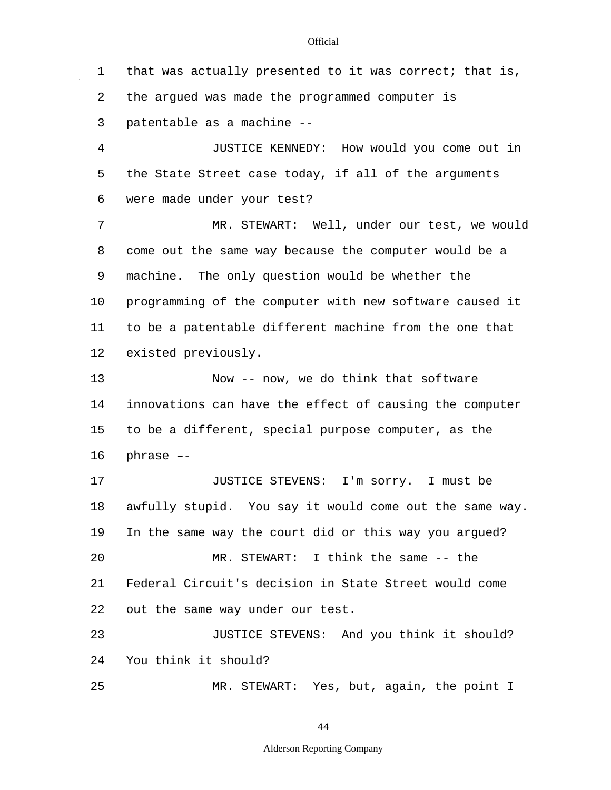1 2 3 4 5 6 7 8 9 10 11 12 13 14 15 16 17 18 19 20 21 22 23  $2.4$ 25 that was actually presented to it was correct; that is, the argued was made the programmed computer is patentable as a machine -- JUSTICE KENNEDY: How would you come out in the State Street case today, if all of the arguments were made under your test? MR. STEWART: Well, under our test, we would come out the same way because the computer would be a machine. The only question would be whether the programming of the computer with new software caused it to be a patentable different machine from the one that existed previously. Now -- now, we do think that software innovations can have the effect of causing the computer to be a different, special purpose computer, as the phrase –- JUSTICE STEVENS: I'm sorry. I must be awfully stupid. You say it would come out the same way. In the same way the court did or this way you argued? MR. STEWART: I think the same -- the Federal Circuit's decision in State Street would come out the same way under our test. JUSTICE STEVENS: And you think it should? You think it should? MR. STEWART: Yes, but, again, the point I

44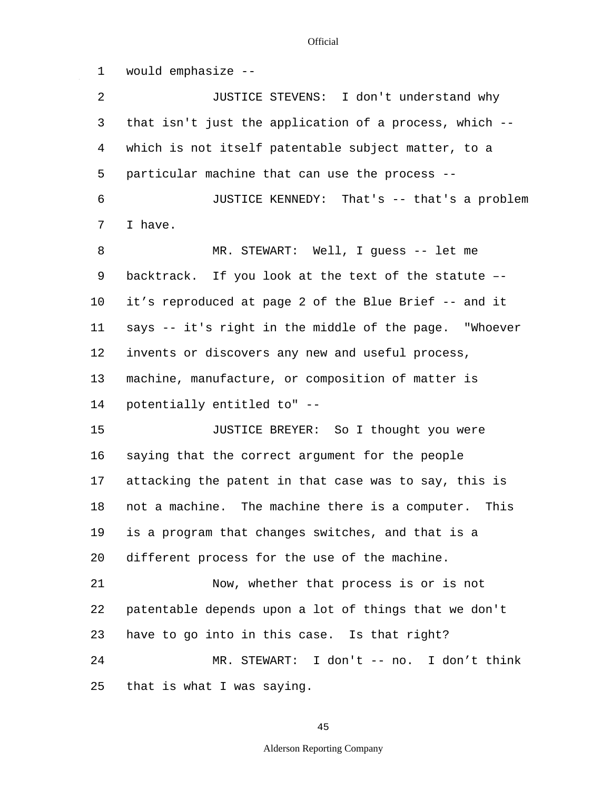1 2 3 4 5 6 7 8 9 10 11 12 13 14 15 16 17 18 19 20 21 22 23 24 25 would emphasize -- JUSTICE STEVENS: I don't understand why that isn't just the application of a process, which - which is not itself patentable subject matter, to a particular machine that can use the process -- JUSTICE KENNEDY: That's -- that's a problem I have. MR. STEWART: Well, I guess -- let me backtrack. If you look at the text of the statute – it's reproduced at page 2 of the Blue Brief -- and it says -- it's right in the middle of the page. "Whoever invents or discovers any new and useful process, machine, manufacture, or composition of matter is potentially entitled to" -- JUSTICE BREYER: So I thought you were saying that the correct argument for the people attacking the patent in that case was to say, this is not a machine. The machine there is a computer. This is a program that changes switches, and that is a different process for the use of the machine. Now, whether that process is or is not patentable depends upon a lot of things that we don't have to go into in this case. Is that right? MR. STEWART: I don't -- no. I don't think that is what I was saying.

**Official**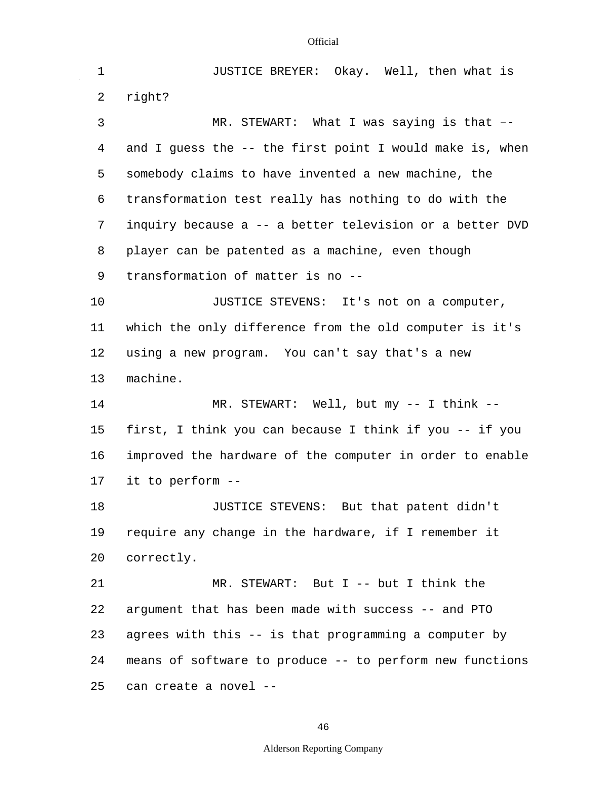1 2 3 4 5 6 7 8 9 10 11 12 13 14 15 16 17 18 19 20 21 22 23 24 25 JUSTICE BREYER: Okay. Well, then what is right? MR. STEWART: What I was saying is that – and I guess the -- the first point I would make is, when somebody claims to have invented a new machine, the transformation test really has nothing to do with the inquiry because a -- a better television or a better DVD player can be patented as a machine, even though transformation of matter is no -- JUSTICE STEVENS: It's not on a computer, which the only difference from the old computer is it's using a new program. You can't say that's a new machine. MR. STEWART: Well, but my -- I think - first, I think you can because I think if you -- if you improved the hardware of the computer in order to enable it to perform -- JUSTICE STEVENS: But that patent didn't require any change in the hardware, if I remember it correctly. MR. STEWART: But I -- but I think the argument that has been made with success -- and PTO agrees with this -- is that programming a computer by means of software to produce -- to perform new functions can create a novel --

46

#### Alderson Reporting Company

#### **Official**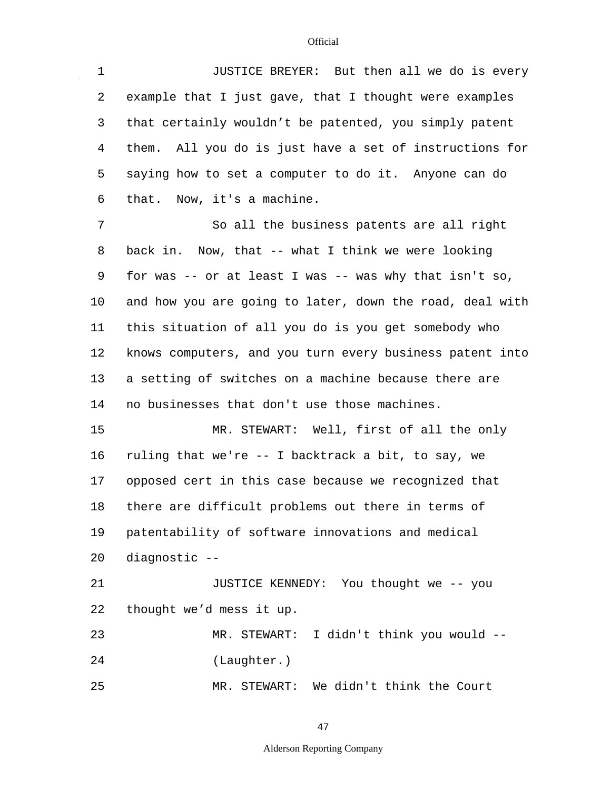$\mathcal{L}^{\mathcal{A}}$ 

| $\mathbf 1$ | JUSTICE BREYER: But then all we do is every                  |
|-------------|--------------------------------------------------------------|
| 2           | example that I just gave, that I thought were examples       |
| 3           | that certainly wouldn't be patented, you simply patent       |
| 4           | them. All you do is just have a set of instructions for      |
| 5           | saying how to set a computer to do it. Anyone can do         |
| 6           | that. Now, it's a machine.                                   |
| 7           | So all the business patents are all right                    |
| 8           | back in. Now, that -- what I think we were looking           |
| 9           | for was $-$ - or at least I was $-$ - was why that isn't so, |
| $10 \,$     | and how you are going to later, down the road, deal with     |
| 11          | this situation of all you do is you get somebody who         |
| 12          | knows computers, and you turn every business patent into     |
| 13          | a setting of switches on a machine because there are         |
| 14          | no businesses that don't use those machines.                 |
| 15          | MR. STEWART: Well, first of all the only                     |
| 16          | ruling that we're -- I backtrack a bit, to say, we           |
| 17          | opposed cert in this case because we recognized that         |
| 18          | there are difficult problems out there in terms of           |
| 19          | patentability of software innovations and medical            |
| 20          | diagnostic --                                                |
| 21          | JUSTICE KENNEDY: You thought we -- you                       |
| 22          | thought we'd mess it up.                                     |
| 23          | MR. STEWART: I didn't think you would --                     |
| 24          | (Laughter.)                                                  |
| 25          | MR. STEWART: We didn't think the Court                       |

47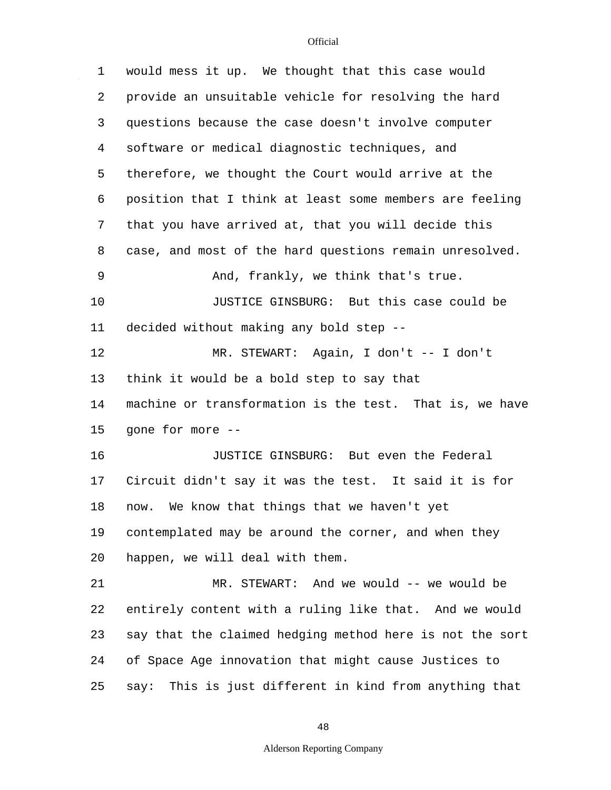$\hat{\mathcal{A}}$ 

| 1  | would mess it up. We thought that this case would         |
|----|-----------------------------------------------------------|
| 2  | provide an unsuitable vehicle for resolving the hard      |
| 3  | questions because the case doesn't involve computer       |
| 4  | software or medical diagnostic techniques, and            |
| 5  | therefore, we thought the Court would arrive at the       |
| 6  | position that I think at least some members are feeling   |
| 7  | that you have arrived at, that you will decide this       |
| 8  | case, and most of the hard questions remain unresolved.   |
| 9  | And, frankly, we think that's true.                       |
| 10 | JUSTICE GINSBURG: But this case could be                  |
| 11 | decided without making any bold step --                   |
| 12 | MR. STEWART: Again, I don't -- I don't                    |
| 13 | think it would be a bold step to say that                 |
| 14 | machine or transformation is the test. That is, we have   |
| 15 | gone for more --                                          |
| 16 | JUSTICE GINSBURG: But even the Federal                    |
| 17 | Circuit didn't say it was the test. It said it is for     |
| 18 | We know that things that we haven't yet<br>now.           |
| 19 | contemplated may be around the corner, and when they      |
| 20 | happen, we will deal with them.                           |
| 21 | MR. STEWART: And we would -- we would be                  |
| 22 | entirely content with a ruling like that. And we would    |
| 23 | say that the claimed hedging method here is not the sort  |
| 24 | of Space Age innovation that might cause Justices to      |
| 25 | This is just different in kind from anything that<br>say: |

48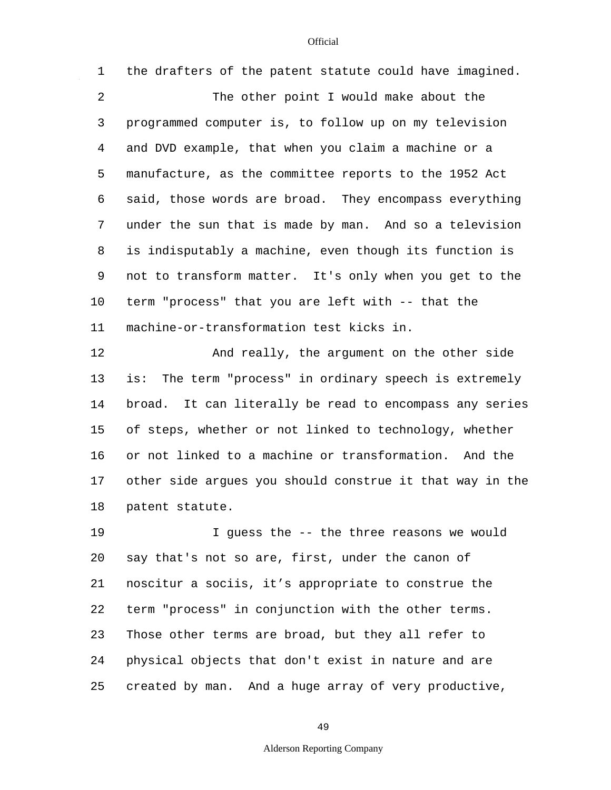$\hat{\mathcal{A}}$ 

| $\mathbf 1$    | the drafters of the patent statute could have imagined.   |
|----------------|-----------------------------------------------------------|
| $\overline{a}$ | The other point I would make about the                    |
| 3              | programmed computer is, to follow up on my television     |
| 4              | and DVD example, that when you claim a machine or a       |
| 5              | manufacture, as the committee reports to the 1952 Act     |
| 6              | said, those words are broad. They encompass everything    |
| 7              | under the sun that is made by man. And so a television    |
| 8              | is indisputably a machine, even though its function is    |
| 9              | not to transform matter. It's only when you get to the    |
| 10             | term "process" that you are left with -- that the         |
| 11             | machine-or-transformation test kicks in.                  |
| 12             | And really, the argument on the other side                |
| 13             | The term "process" in ordinary speech is extremely<br>is: |
| 14             | broad. It can literally be read to encompass any series   |
| 15             | of steps, whether or not linked to technology, whether    |
| 16             | or not linked to a machine or transformation. And the     |
| 17             | other side argues you should construe it that way in the  |
| 18             | patent statute.                                           |
| 19             | I guess the -- the three reasons we would                 |
| 20             | say that's not so are, first, under the canon of          |
| 21             | noscitur a sociis, it's appropriate to construe the       |
|                |                                                           |

23 24 Those other terms are broad, but they all refer to physical objects that don't exist in nature and are

25 created by man. And a huge array of very productive,

49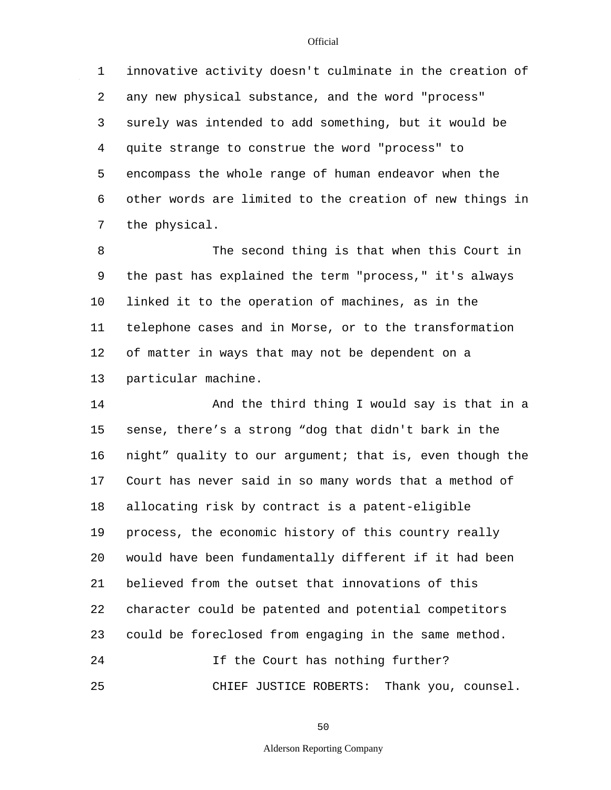1 2 3 4 5 6 7 innovative activity doesn't culminate in the creation of any new physical substance, and the word "process" surely was intended to add something, but it would be quite strange to construe the word "process" to encompass the whole range of human endeavor when the other words are limited to the creation of new things in the physical.

8 9 10 11 12 13 The second thing is that when this Court in the past has explained the term "process," it's always linked it to the operation of machines, as in the telephone cases and in Morse, or to the transformation of matter in ways that may not be dependent on a particular machine.

14 15 16 17 18 19 20 21 22 23 24 25 And the third thing I would say is that in a sense, there's a strong "dog that didn't bark in the night" quality to our argument; that is, even though the Court has never said in so many words that a method of allocating risk by contract is a patent-eligible process, the economic history of this country really would have been fundamentally different if it had been believed from the outset that innovations of this character could be patented and potential competitors could be foreclosed from engaging in the same method. If the Court has nothing further? CHIEF JUSTICE ROBERTS: Thank you, counsel.

50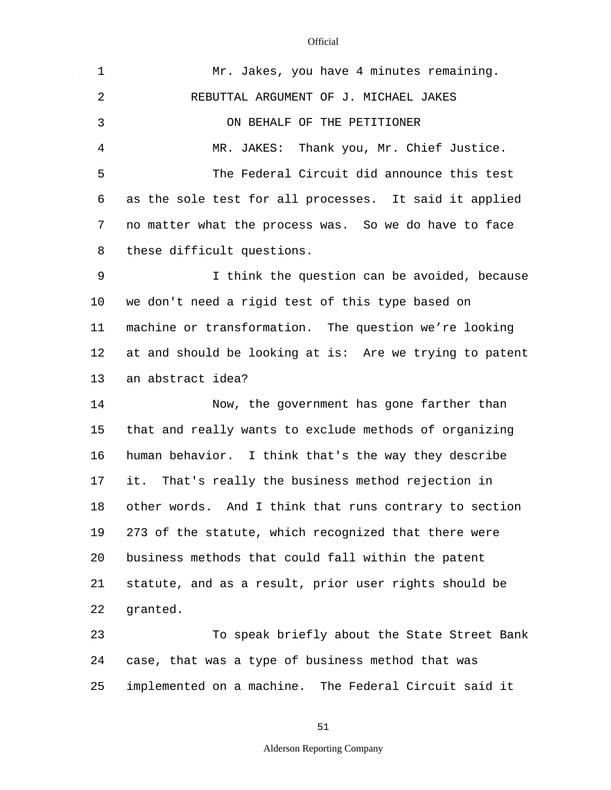$\mathcal{L}^{\mathcal{L}}$ 

| $\mathbf 1$    | Mr. Jakes, you have 4 minutes remaining.                |
|----------------|---------------------------------------------------------|
| $\overline{2}$ | REBUTTAL ARGUMENT OF J. MICHAEL JAKES                   |
| 3              | ON BEHALF OF THE PETITIONER                             |
| 4              | MR. JAKES: Thank you, Mr. Chief Justice.                |
| 5              | The Federal Circuit did announce this test              |
| 6              | as the sole test for all processes. It said it applied  |
| 7              | no matter what the process was. So we do have to face   |
| 8              | these difficult questions.                              |
| 9              | I think the question can be avoided, because            |
| 10             | we don't need a rigid test of this type based on        |
| 11             | machine or transformation. The question we're looking   |
| 12             | at and should be looking at is: Are we trying to patent |
| 13             | an abstract idea?                                       |
| 14             | Now, the government has gone farther than               |
| 15             | that and really wants to exclude methods of organizing  |
| 16             | human behavior. I think that's the way they describe    |
| 17             | it. That's really the business method rejection in      |
| 18             | other words. And I think that runs contrary to section  |
| 19             | 273 of the statute, which recognized that there were    |
| 20             | business methods that could fall within the patent      |
| 21             | statute, and as a result, prior user rights should be   |
| 22             | granted.                                                |
| 23             | To speak briefly about the State Street Bank            |
| 24             | case, that was a type of business method that was       |

25 implemented on a machine. The Federal Circuit said it

51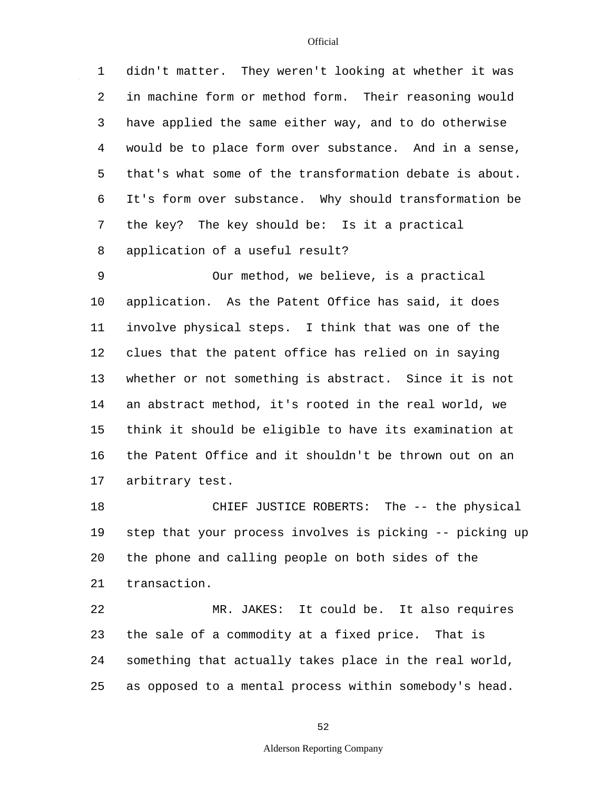1 2 3 4 5 6 7 8 didn't matter. They weren't looking at whether it was in machine form or method form. Their reasoning would have applied the same either way, and to do otherwise would be to place form over substance. And in a sense, that's what some of the transformation debate is about. It's form over substance. Why should transformation be the key? The key should be: Is it a practical application of a useful result?

9 10 11 12 13 14 15 16 17 Our method, we believe, is a practical application. As the Patent Office has said, it does involve physical steps. I think that was one of the clues that the patent office has relied on in saying whether or not something is abstract. Since it is not an abstract method, it's rooted in the real world, we think it should be eligible to have its examination at the Patent Office and it shouldn't be thrown out on an arbitrary test.

18 19 20 21 CHIEF JUSTICE ROBERTS: The -- the physical step that your process involves is picking -- picking up the phone and calling people on both sides of the transaction.

22 23 24 25 MR. JAKES: It could be. It also requires the sale of a commodity at a fixed price. That is something that actually takes place in the real world, as opposed to a mental process within somebody's head.

52

#### Alderson Reporting Company

**Official**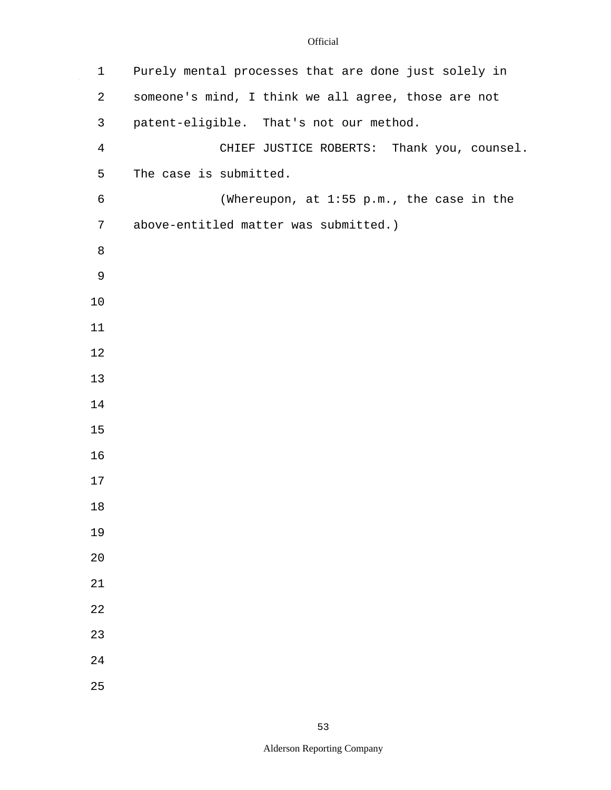$\sim$ 

| $\mathbf{1}$   | Purely mental processes that are done just solely in |
|----------------|------------------------------------------------------|
| 2              | someone's mind, I think we all agree, those are not  |
| $\mathsf{3}$   | patent-eligible. That's not our method.              |
| $\overline{4}$ | CHIEF JUSTICE ROBERTS: Thank you, counsel.           |
| 5              | The case is submitted.                               |
| $\epsilon$     | (Whereupon, at 1:55 p.m., the case in the            |
| 7              | above-entitled matter was submitted.)                |
| 8              |                                                      |
| $\mathsf 9$    |                                                      |
| 10             |                                                      |
| 11             |                                                      |
| 12             |                                                      |
| 13             |                                                      |
| 14             |                                                      |
| 15             |                                                      |
| 16             |                                                      |
| 17             |                                                      |
| 18             |                                                      |
| 19             |                                                      |
| 20             |                                                      |
| 21             |                                                      |
| 22             |                                                      |
| 23             |                                                      |
| 24             |                                                      |
| 25             |                                                      |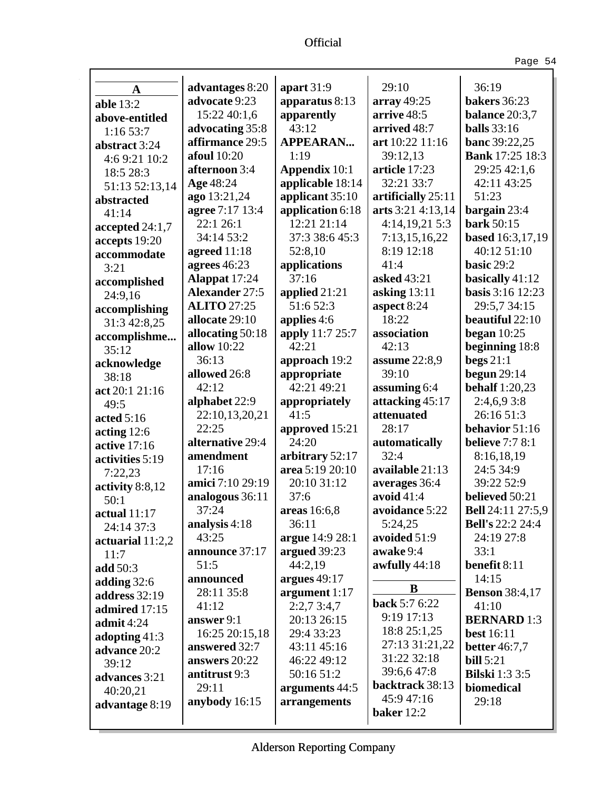Page 54

| A                             | advantages 8:20         | apart $31:9$                       | 29:10                 | 36:19                                    |
|-------------------------------|-------------------------|------------------------------------|-----------------------|------------------------------------------|
| <b>able 13:2</b>              | advocate 9:23           | apparatus 8:13                     | array $49:25$         | <b>bakers</b> 36:23                      |
| above-entitled                | 15:22 40:1,6            | apparently                         | arrive 48:5           | balance 20:3,7                           |
| 1:1653:7                      | advocating 35:8         | 43:12                              | arrived 48:7          | <b>balls</b> 33:16                       |
| abstract 3:24                 | affirmance 29:5         | <b>APPEARAN</b>                    | art 10:22 11:16       | banc 39:22,25                            |
| 4:6 9:21 10:2                 | <b>afoul</b> 10:20      | 1:19                               | 39:12,13              | <b>Bank</b> 17:25 18:3                   |
| 18:5 28:3                     | afternoon 3:4           | <b>Appendix 10:1</b>               | article 17:23         | 29:25 42:1,6                             |
| 51:13 52:13,14                | Age 48:24               | applicable 18:14                   | 32:21 33:7            | 42:11 43:25                              |
| abstracted                    | ago 13:21,24            | applicant 35:10                    | artificially 25:11    | 51:23                                    |
| 41:14                         | agree 7:17 13:4         | application 6:18                   | arts 3:21 4:13,14     | bargain 23:4                             |
| accepted 24:1,7               | 22:1 26:1               | 12:21 21:14                        | 4:14,19,215:3         | <b>bark</b> 50:15                        |
| accepts 19:20                 | 34:14 53:2              | 37:3 38:6 45:3                     | 7:13,15,16,22         | based 16:3,17,19                         |
| accommodate                   | agreed 11:18            | 52:8,10                            | 8:19 12:18            | 40:12 51:10                              |
| 3:21                          | agrees $46:23$          | applications                       | 41:4                  | basic 29:2                               |
| accomplished                  | Alappat 17:24           | 37:16                              | asked 43:21           | basically 41:12                          |
| 24:9,16                       | <b>Alexander 27:5</b>   | applied 21:21                      | asking $13:11$        | <b>basis</b> 3:16 12:23                  |
| accomplishing                 | <b>ALITO 27:25</b>      | 51:6 52:3                          | aspect 8:24           | 29:5,7 34:15                             |
| 31:3 42:8,25                  | allocate 29:10          | applies 4:6                        | 18:22                 | beautiful 22:10                          |
| accomplishme                  | allocating 50:18        | apply 11:7 25:7                    | association           | began $10:25$                            |
| 35:12                         | allow 10:22             | 42:21                              | 42:13                 | beginning 18:8                           |
| acknowledge                   | 36:13                   | approach 19:2                      | assume 22:8,9         | begs $21:1$                              |
| 38:18                         | allowed 26:8            | appropriate                        | 39:10                 | begun $29:14$                            |
| act 20:1 21:16                | 42:12                   | 42:21 49:21                        | assuming 6:4          | <b>behalf</b> 1:20,23                    |
| 49:5                          | alphabet 22:9           | appropriately<br>41:5              | attacking 45:17       | 2:4,6,93:8                               |
| acted $5:16$                  | 22:10,13,20,21<br>22:25 |                                    | attenuated<br>28:17   | 26:16 51:3                               |
| acting $12:6$                 | alternative 29:4        | approved 15:21<br>24:20            |                       | behavior 51:16<br><b>believe</b> 7:7 8:1 |
| active 17:16                  | amendment               |                                    | automatically<br>32:4 | 8:16,18,19                               |
| activities 5:19               | 17:16                   | arbitrary 52:17<br>area 5:19 20:10 | available 21:13       | 24:5 34:9                                |
| 7:22,23                       | amici 7:10 29:19        | 20:10 31:12                        | averages 36:4         | 39:22 52:9                               |
| activity 8:8,12               | analogous 36:11         | 37:6                               | avoid $41:4$          | believed 50:21                           |
| 50:1                          | 37:24                   | areas 16:6,8                       | avoidance 5:22        | <b>Bell</b> 24:11 27:5,9                 |
| actual $11:17$                | analysis 4:18           | 36:11                              | 5:24,25               | <b>Bell's</b> 22:2 24:4                  |
| 24:14 37:3                    | 43:25                   | argue 14:9 28:1                    | avoided 51:9          | 24:19 27:8                               |
| actuarial 11:2,2              | announce 37:17          | argued 39:23                       | awake 9:4             | 33:1                                     |
| 11:7                          | 51:5                    | 44:2,19                            | awfully $44:18$       | benefit 8:11                             |
| add 50:3                      | announced               | argues 49:17                       |                       | 14:15                                    |
| adding $32:6$                 | 28:11 35:8              | argument 1:17                      | B                     | <b>Benson</b> 38:4,17                    |
| address 32:19                 | 41:12                   | 2:2,73:4,7                         | back 5:7 6:22         | 41:10                                    |
| admired 17:15                 | answer 9:1              | 20:13 26:15                        | 9:19 17:13            | <b>BERNARD</b> 1:3                       |
| admit $4:24$                  | 16:25 20:15,18          | 29:4 33:23                         | 18:8 25:1,25          | <b>best</b> 16:11                        |
| adopting 41:3<br>advance 20:2 | answered 32:7           | 43:11 45:16                        | 27:13 31:21,22        | <b>better</b> 46:7,7                     |
| 39:12                         | answers 20:22           | 46:22 49:12                        | 31:22 32:18           | <b>bill</b> 5:21                         |
| advances 3:21                 | antitrust 9:3           | 50:16 51:2                         | 39:6,647:8            | <b>Bilski</b> 1:3 3:5                    |
| 40:20,21                      | 29:11                   | arguments 44:5                     | backtrack 38:13       | biomedical                               |
| advantage 8:19                | anybody 16:15           | arrangements                       | 45:9 47:16            | 29:18                                    |
|                               |                         |                                    | baker 12:2            |                                          |
|                               |                         |                                    |                       |                                          |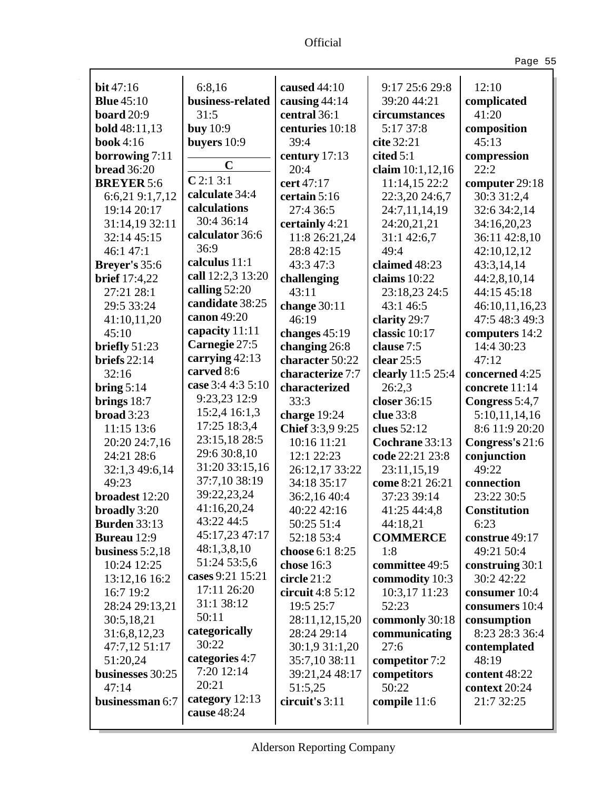Ŷ,

Page 55

| bit $47:16$          | 6:8,16            | caused 44:10      | 9:17 25:6 29:8    | 12:10               |
|----------------------|-------------------|-------------------|-------------------|---------------------|
| <b>Blue</b> 45:10    | business-related  | causing 44:14     | 39:20 44:21       | complicated         |
| <b>board</b> 20:9    | 31:5              | central 36:1      | circumstances     | 41:20               |
| <b>bold</b> 48:11,13 | <b>buy</b> 10:9   | centuries 10:18   | 5:17 37:8         | composition         |
| <b>book</b> 4:16     | buyers 10:9       | 39:4              | cite 32:21        | 45:13               |
| borrowing 7:11       | $\mathbf C$       | century 17:13     | cited $5:1$       | compression         |
| <b>bread</b> 36:20   |                   | 20:4              | claim 10:1,12,16  | 22:2                |
| <b>BREYER 5:6</b>    | C2:13:1           | cert 47:17        | 11:14,15 22:2     | computer 29:18      |
| 6:6,21 9:1,7,12      | calculate 34:4    | certain 5:16      | 22:3,20 24:6,7    | 30:3 31:2,4         |
| 19:14 20:17          | calculations      | 27:4 36:5         | 24:7,11,14,19     | 32:6 34:2,14        |
| 31:14,19 32:11       | 30:4 36:14        | certainly 4:21    | 24:20,21,21       | 34:16,20,23         |
| 32:14 45:15          | calculator 36:6   | 11:8 26:21,24     | 31:1 42:6,7       | 36:11 42:8,10       |
| 46:1 47:1            | 36:9              | 28:8 42:15        | 49:4              | 42:10,12,12         |
| Breyer's 35:6        | calculus 11:1     | 43:3 47:3         | claimed 48:23     | 43:3,14,14          |
| <b>brief</b> 17:4,22 | call 12:2,3 13:20 | challenging       | claims 10:22      | 44:2,8,10,14        |
| 27:21 28:1           | calling 52:20     | 43:11             | 23:18,23 24:5     | 44:15 45:18         |
| 29:5 33:24           | candidate 38:25   | change 30:11      | 43:1 46:5         | 46:10,11,16,23      |
| 41:10,11,20          | canon 49:20       | 46:19             | clarity 29:7      | 47:5 48:3 49:3      |
| 45:10                | capacity 11:11    | changes 45:19     | classic 10:17     | computers 14:2      |
| briefly 51:23        | Carnegie 27:5     | changing 26:8     | clause 7:5        | 14:4 30:23          |
| briefs $22:14$       | carrying $42:13$  | character 50:22   | clear $25:5$      | 47:12               |
| 32:16                | carved 8:6        | characterize 7:7  | clearly 11:5 25:4 | concerned 4:25      |
| bring $5:14$         | case 3:4 4:3 5:10 | characterized     | 26:2,3            | concrete 11:14      |
| brings $18:7$        | 9:23,23 12:9      | 33:3              | closer 36:15      | Congress 5:4,7      |
| broad 3:23           | 15:2,4 16:1,3     | charge 19:24      | clue 33:8         | 5:10,11,14,16       |
| 11:15 13:6           | 17:25 18:3,4      | Chief 3:3,9 9:25  | clues 52:12       | 8:6 11:9 20:20      |
| 20:20 24:7,16        | 23:15,18 28:5     | 10:16 11:21       | Cochrane 33:13    | Congress's 21:6     |
| 24:21 28:6           | 29:6 30:8,10      | 12:1 22:23        | code 22:21 23:8   | conjunction         |
| 32:1,3 49:6,14       | 31:20 33:15,16    | 26:12,17 33:22    | 23:11,15,19       | 49:22               |
| 49:23                | 37:7,10 38:19     | 34:18 35:17       | come 8:21 26:21   | connection          |
| broadest 12:20       | 39:22,23,24       | 36:2,16 40:4      | 37:23 39:14       | 23:22 30:5          |
| broadly 3:20         | 41:16,20,24       | 40:22 42:16       | 41:25 44:4,8      | <b>Constitution</b> |
| <b>Burden</b> 33:13  | 43:22 44:5        | 50:25 51:4        | 44:18,21          | 6:23                |
| <b>Bureau</b> 12:9   | 45:17,23 47:17    | 52:18 53:4        | <b>COMMERCE</b>   | construe 49:17      |
| business $5:2,18$    | 48:1,3,8,10       | choose 6:1 8:25   | 1:8               | 49:21 50:4          |
| 10:24 12:25          | 51:24 53:5,6      | chose 16:3        | committee 49:5    | construing 30:1     |
| 13:12,16 16:2        | cases 9:21 15:21  | circle 21:2       | commodity 10:3    | 30:2 42:22          |
| 16:7 19:2            | 17:11 26:20       | circuit $4:85:12$ | 10:3,17 11:23     | consumer 10:4       |
| 28:24 29:13,21       | 31:1 38:12        | 19:5 25:7         | 52:23             | consumers 10:4      |
| 30:5,18,21           | 50:11             | 28:11,12,15,20    | commonly 30:18    | consumption         |
| 31:6,8,12,23         | categorically     | 28:24 29:14       | communicating     | 8:23 28:3 36:4      |
| 47:7,12 51:17        | 30:22             | 30:1,9 31:1,20    | 27:6              | contemplated        |
| 51:20,24             | categories 4:7    | 35:7,10 38:11     | competitor 7:2    | 48:19               |
| businesses 30:25     | 7:20 12:14        | 39:21,24 48:17    | competitors       | content 48:22       |
| 47:14                | 20:21             | 51:5,25           | 50:22             | context 20:24       |
| businessman 6:7      | category 12:13    | circuit's 3:11    | compile 11:6      | 21:7 32:25          |
|                      | cause 48:24       |                   |                   |                     |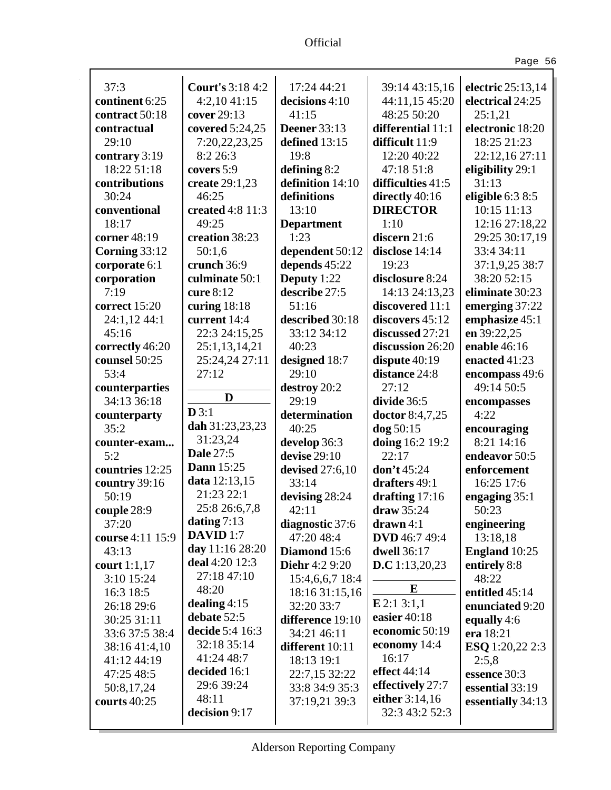| ۰. |  |
|----|--|
|----|--|

| 37:3             | <b>Court's 3:18 4:2</b> | 17:24 44:21           | 39:14 43:15,16       | electric 25:13,14      |
|------------------|-------------------------|-----------------------|----------------------|------------------------|
| continent 6:25   | 4:2,1041:15             | decisions 4:10        | 44:11,15 45:20       | electrical 24:25       |
| contract 50:18   | cover 29:13             | 41:15                 | 48:25 50:20          | 25:1,21                |
| contractual      | covered 5:24,25         | <b>Deener</b> 33:13   | differential 11:1    | electronic 18:20       |
| 29:10            | 7:20,22,23,25           | defined 13:15         | difficult 11:9       | 18:25 21:23            |
| contrary 3:19    | 8:2 26:3                | 19:8                  | 12:20 40:22          | 22:12,16 27:11         |
| 18:22 51:18      | covers 5:9              | defining 8:2          | 47:18 51:8           | eligibility 29:1       |
| contributions    | create 29:1,23          | definition 14:10      | difficulties 41:5    | 31:13                  |
| 30:24            | 46:25                   | definitions           | directly 40:16       | eligible 6:3 8:5       |
| conventional     | created 4:8 11:3        | 13:10                 | <b>DIRECTOR</b>      | 10:15 11:13            |
| 18:17            | 49:25                   | <b>Department</b>     | 1:10                 | 12:16 27:18,22         |
| corner 48:19     | creation 38:23          | 1:23                  | discern 21:6         | 29:25 30:17,19         |
| Corning 33:12    | 50:1,6                  | dependent 50:12       | disclose 14:14       | 33:4 34:11             |
| corporate 6:1    | crunch 36:9             | depends 45:22         | 19:23                | 37:1,9,25 38:7         |
| corporation      | culminate 50:1          | Deputy 1:22           | disclosure 8:24      | 38:20 52:15            |
| 7:19             | cure 8:12               | describe 27:5         | 14:13 24:13,23       | eliminate 30:23        |
| correct 15:20    | curing $18:18$          | 51:16                 | discovered 11:1      | emerging 37:22         |
| 24:1,12 44:1     | current 14:4            | described 30:18       | discovers 45:12      | emphasize 45:1         |
| 45:16            | 22:3 24:15,25           | 33:12 34:12           | discussed 27:21      | en 39:22,25            |
| correctly 46:20  | 25:1,13,14,21           | 40:23                 | discussion 26:20     | enable 46:16           |
| counsel 50:25    | 25:24,24 27:11          | designed 18:7         | dispute $40:19$      | enacted 41:23          |
| 53:4             | 27:12                   | 29:10                 | distance 24:8        | encompass 49:6         |
| counterparties   |                         | destroy 20:2          | 27:12                | 49:14 50:5             |
| 34:13 36:18      | D                       | 29:19                 | divide 36:5          | encompasses            |
| counterparty     | D3:1                    | determination         | doctor 8:4,7,25      | 4:22                   |
| 35:2             | dah 31:23,23,23         | 40:25                 | dog 50:15            | encouraging            |
| counter-exam     | 31:23,24                | develop 36:3          | doing 16:2 19:2      | 8:21 14:16             |
| 5:2              | <b>Dale 27:5</b>        | devise $29:10$        | 22:17                | endeavor 50:5          |
| countries 12:25  | <b>Dann</b> 15:25       | devised 27:6,10       | don't 45:24          | enforcement            |
| country 39:16    | data 12:13,15           | 33:14                 | drafters 49:1        | 16:25 17:6             |
| 50:19            | 21:23 22:1              | devising 28:24        | drafting 17:16       | engaging $35:1$        |
| couple 28:9      | 25:8 26:6,7,8           | 42:11                 | draw 35:24           | 50:23                  |
| 37:20            | dating $7:13$           | diagnostic 37:6       | $d$ rawn $4:1$       | engineering            |
| course 4:11 15:9 | DAVID <sub>1:7</sub>    | 47:20 48:4            | <b>DVD</b> 46:7 49:4 | 13:18,18               |
| 43:13            | day 11:16 28:20         | Diamond 15:6          | <b>dwell</b> 36:17   | <b>England</b> 10:25   |
| court $1:1,17$   | deal 4:20 12:3          | <b>Diehr</b> 4:2 9:20 | D.C 1:13,20,23       | entirely 8:8           |
| 3:10 15:24       | 27:18 47:10             | 15:4,6,6,7 18:4       |                      | 48:22                  |
| 16:3 18:5        | 48:20                   | 18:16 31:15,16        | E                    | entitled 45:14         |
| 26:18 29:6       | dealing $4:15$          | 32:20 33:7            | $E$ 2:1 3:1,1        | enunciated 9:20        |
| 30:25 31:11      | debate 52:5             | difference 19:10      | easier 40:18         | equally 4:6            |
| 33:6 37:5 38:4   | decide 5:4 16:3         | 34:21 46:11           | economic 50:19       | era 18:21              |
| 38:16 41:4,10    | 32:18 35:14             | different 10:11       | economy 14:4         | <b>ESQ</b> 1:20,22 2:3 |
| 41:12 44:19      | 41:24 48:7              | 18:13 19:1            | 16:17                | 2:5,8                  |
| 47:25 48:5       | decided 16:1            | 22:7,15 32:22         | effect 44:14         | essence 30:3           |
| 50:8,17,24       | 29:6 39:24              | 33:8 34:9 35:3        | effectively 27:7     | essential 33:19        |
| courts $40:25$   | 48:11                   | 37:19,21 39:3         | either 3:14,16       | essentially 34:13      |
|                  | decision 9:17           |                       | 32:3 43:2 52:3       |                        |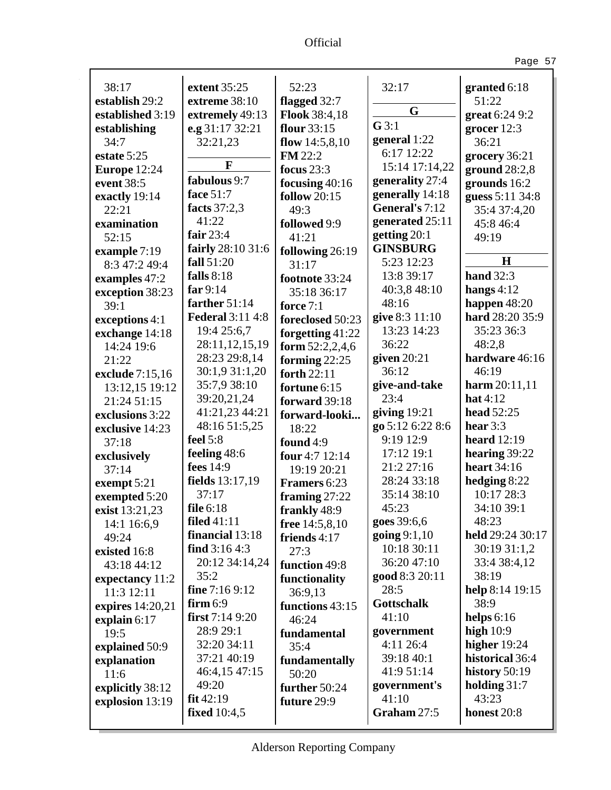Ŷ,

Page 57

| 38:17            | extent 35:25            | 52:23               | 32:17             | granted $6:18$     |
|------------------|-------------------------|---------------------|-------------------|--------------------|
| establish 29:2   | extreme 38:10           | flagged 32:7        | G                 | 51:22              |
| established 3:19 | extremely 49:13         | Flook 38:4,18       |                   | great 6:24 9:2     |
| establishing     | e.g 31:17 32:21         | flour 33:15         | G3:1              | grocer $12:3$      |
| 34:7             | 32:21,23                | flow $14:5,8,10$    | general 1:22      | 36:21              |
| estate 5:25      | F                       | <b>FM</b> 22:2      | 6:17 12:22        | grocery 36:21      |
| Europe 12:24     |                         | focus $23:3$        | 15:14 17:14,22    | ground $28:2,8$    |
| event 38:5       | fabulous 9:7            | focusing $40:16$    | generality 27:4   | grounds 16:2       |
| exactly 19:14    | face 51:7               | <b>follow</b> 20:15 | generally 14:18   | guess 5:11 34:8    |
| 22:21            | facts 37:2,3            | 49:3                | General's 7:12    | 35:4 37:4,20       |
| examination      | 41:22                   | followed 9:9        | generated 25:11   | 45:8 46:4          |
| 52:15            | fair $23:4$             | 41:21               | getting 20:1      | 49:19              |
| example 7:19     | fairly 28:10 31:6       | following 26:19     | <b>GINSBURG</b>   | H                  |
| 8:3 47:2 49:4    | fall 51:20              | 31:17               | 5:23 12:23        |                    |
| examples 47:2    | falls $8:18$            | footnote 33:24      | 13:8 39:17        | hand $32:3$        |
| exception 38:23  | far $9:14$              | 35:18 36:17         | 40:3,8 48:10      | hangs $4:12$       |
| 39:1             | farther 51:14           | force $7:1$         | 48:16             | happen $48:20$     |
| exceptions 4:1   | <b>Federal 3:11 4:8</b> | foreclosed 50:23    | give 8:3 11:10    | hard 28:20 35:9    |
| exchange 14:18   | 19:4 25:6,7             | forgetting $41:22$  | 13:23 14:23       | 35:23 36:3         |
| 14:24 19:6       | 28:11,12,15,19          | form $52:2,2,4,6$   | 36:22             | 48:2,8             |
| 21:22            | 28:23 29:8,14           | forming $22:25$     | given $20:21$     | hardware 46:16     |
| exclude 7:15,16  | 30:1,9 31:1,20          | forth 22:11         | 36:12             | 46:19              |
| 13:12,15 19:12   | 35:7,9 38:10            | fortune 6:15        | give-and-take     | harm $20:11,11$    |
| 21:24 51:15      | 39:20,21,24             | forward 39:18       | 23:4              | hat $4:12$         |
| exclusions 3:22  | 41:21,23 44:21          | forward-looki       | giving $19:21$    | <b>head</b> 52:25  |
| exclusive 14:23  | 48:16 51:5,25           | 18:22               | go 5:12 6:22 8:6  | hear $3:3$         |
| 37:18            | feel $5:8$              | found 4:9           | 9:19 12:9         | <b>heard</b> 12:19 |
| exclusively      | feeling 48:6            | four 4:7 12:14      | 17:12 19:1        | hearing 39:22      |
| 37:14            | fees 14:9               | 19:19 20:21         | 21:2 27:16        | <b>heart</b> 34:16 |
| exempt 5:21      | fields 13:17,19         | Framers 6:23        | 28:24 33:18       | hedging $8:22$     |
| exempted 5:20    | 37:17                   | framing $27:22$     | 35:14 38:10       | 10:17 28:3         |
| exist 13:21,23   | file 6:18               | frankly 48:9        | 45:23             | 34:10 39:1         |
| 14:1 16:6,9      | <b>filed</b> 41:11      | free 14:5,8,10      | goes 39:6,6       | 48:23              |
| 49:24            | financial 13:18         | friends 4:17        | going $9:1,10$    | held 29:24 30:17   |
| existed 16:8     | find $3:164:3$          | 27:3                | 10:18 30:11       | 30:19 31:1,2       |
| 43:18 44:12      | 20:12 34:14,24          | function 49:8       | 36:20 47:10       | 33:4 38:4,12       |
| expectancy 11:2  | 35:2                    | functionality       | good 8:3 20:11    | 38:19              |
| 11:3 12:11       | fine $7:169:12$         | 36:9,13             | 28:5              | help 8:14 19:15    |
| expires 14:20,21 | $firm 6:9$              | functions 43:15     | <b>Gottschalk</b> | 38:9               |
| explain 6:17     | first $7:149:20$        | 46:24               | 41:10             | helps $6:16$       |
| 19:5             | 28:9 29:1               | fundamental         | government        | high $10:9$        |
| explained 50:9   | 32:20 34:11             | 35:4                | 4:11 26:4         | higher 19:24       |
| explanation      | 37:21 40:19             | fundamentally       | 39:18 40:1        | historical 36:4    |
| 11:6             | 46:4,15 47:15           | 50:20               | 41:9 51:14        | history $50:19$    |
| explicitly 38:12 | 49:20                   | further 50:24       | government's      | holding $31:7$     |
| explosion 13:19  | fit 42:19               | future 29:9         | 41:10             | 43:23              |
|                  | <b>fixed</b> 10:4,5     |                     | Graham 27:5       | honest 20:8        |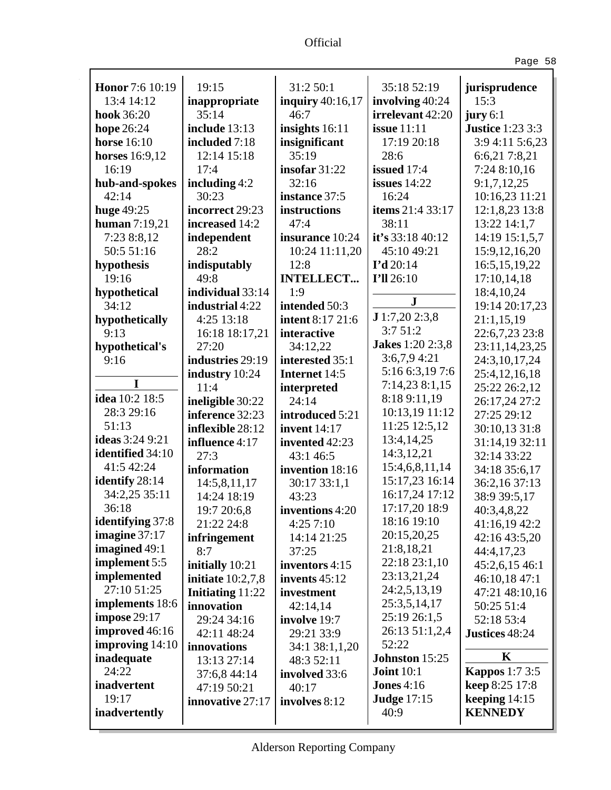Ŷ,

| $\sim$ |  |
|--------|--|
|--------|--|

| <b>Honor</b> 7:6 10:19 | 19:15                   | 31:2 50:1               | 35:18 52:19             | jurisprudence           |
|------------------------|-------------------------|-------------------------|-------------------------|-------------------------|
| 13:4 14:12             | inappropriate           | inquiry 40:16,17        | involving 40:24         | 15:3                    |
| hook 36:20             | 35:14                   | 46:7                    | irrelevant 42:20        | jury 6:1                |
| hope 26:24             | include 13:13           | insights $16:11$        | <b>issue</b> 11:11      | <b>Justice</b> 1:23 3:3 |
| <b>horse</b> 16:10     | included 7:18           | insignificant           | 17:19 20:18             | 3:9 4:11 5:6,23         |
| horses 16:9,12         | 12:14 15:18             | 35:19                   | 28:6                    | 6:6,21 7:8,21           |
| 16:19                  | 17:4                    | insofar $31:22$         | issued 17:4             | 7:24 8:10,16            |
| hub-and-spokes         | including $4:2$         | 32:16                   | issues $14:22$          | 9:1,7,12,25             |
| 42:14                  | 30:23                   | instance 37:5           | 16:24                   | 10:16,23 11:21          |
| huge 49:25             | incorrect 29:23         | instructions            | items 21:4 33:17        | 12:1,8,23 13:8          |
| human $7:19,21$        | increased 14:2          | 47:4                    | 38:11                   | 13:22 14:1,7            |
| 7:23 8:8,12            | independent             | insurance 10:24         | it's 33:18 40:12        | 14:19 15:1,5,7          |
| 50:5 51:16             | 28:2                    | 10:24 11:11,20          | 45:10 49:21             | 15:9, 12, 16, 20        |
| hypothesis             | indisputably            | 12:8                    | $I'd$ 20:14             | 16:5, 15, 19, 22        |
| 19:16                  | 49:8                    | <b>INTELLECT</b>        | I'll 26:10              | 17:10,14,18             |
| hypothetical           | individual 33:14        | 1:9                     |                         | 18:4,10,24              |
| 34:12                  | industrial 4:22         | intended 50:3           | ${\bf J}$               | 19:14 20:17,23          |
| hypothetically         | 4:25 13:18              | <b>intent 8:17 21:6</b> | J1:7,202:3,8            | 21:1,15,19              |
| 9:13                   | 16:18 18:17,21          | interactive             | 3:751:2                 | 22:6,7,23 23:8          |
| hypothetical's         | 27:20                   | 34:12,22                | <b>Jakes</b> 1:20 2:3,8 | 23:11,14,23,25          |
| 9:16                   | industries 29:19        | interested 35:1         | 3:6,7,94:21             | 24:3,10,17,24           |
|                        | industry 10:24          | Internet 14:5           | 5:16 6:3,19 7:6         | 25:4, 12, 16, 18        |
| I                      | 11:4                    | interpreted             | 7:14,238:1,15           | 25:22 26:2,12           |
| idea 10:2 18:5         | ineligible 30:22        | 24:14                   | 8:18 9:11,19            | 26:17,24 27:2           |
| 28:3 29:16             | inference 32:23         | introduced 5:21         | 10:13,19 11:12          | 27:25 29:12             |
| 51:13                  | inflexible 28:12        | <b>invent</b> 14:17     | 11:25 12:5,12           | 30:10,13 31:8           |
| <b>ideas</b> 3:24 9:21 | influence 4:17          | invented 42:23          | 13:4,14,25              | 31:14,19 32:11          |
| identified 34:10       | 27:3                    | 43:1 46:5               | 14:3,12,21              | 32:14 33:22             |
| 41:5 42:24             | information             | invention 18:16         | 15:4,6,8,11,14          | 34:18 35:6,17           |
| identify 28:14         | 14:5,8,11,17            | 30:17 33:1,1            | 15:17,23 16:14          | 36:2,16 37:13           |
| 34:2,25 35:11          | 14:24 18:19             | 43:23                   | 16:17,24 17:12          | 38:9 39:5,17            |
| 36:18                  | 19:7 20:6,8             | inventions 4:20         | 17:17,20 18:9           | 40:3,4,8,22             |
| identifying 37:8       | 21:22 24:8              | 4:257:10                | 18:16 19:10             | 41:16,19 42:2           |
| imagine $37:17$        | infringement            | 14:14 21:25             | 20:15,20,25             | 42:16 43:5,20           |
| imagined 49:1          | 8:7                     | 37:25                   | 21:8,18,21              | 44:4,17,23              |
| implement 5:5          | initially 10:21         | inventors 4:15          | 22:18 23:1,10           | 45:2,6,15 46:1          |
| implemented            | initiate $10:2,7,8$     | invents $45:12$         | 23:13,21,24             | 46:10,18 47:1           |
| 27:10 51:25            | <b>Initiating 11:22</b> | investment              | 24:2,5,13,19            | 47:21 48:10,16          |
| implements 18:6        | innovation              | 42:14,14                | 25:3,5,14,17            | 50:25 51:4              |
| impose $29:17$         | 29:24 34:16             | involve 19:7            | 25:19 26:1,5            | 52:18 53:4              |
| improved 46:16         | 42:11 48:24             | 29:21 33:9              | 26:13 51:1,2,4          | Justices 48:24          |
| improving 14:10        | innovations             | 34:1 38:1,1,20          | 52:22                   |                         |
| inadequate             | 13:13 27:14             | 48:3 52:11              | <b>Johnston 15:25</b>   | K                       |
| 24:22                  | 37:6,8 44:14            | involved 33:6           | <b>Joint 10:1</b>       | <b>Kappos</b> 1:7 3:5   |
| inadvertent            | 47:19 50:21             | 40:17                   | <b>Jones 4:16</b>       | keep 8:25 17:8          |
| 19:17                  | innovative 27:17        | involves 8:12           | <b>Judge 17:15</b>      | keeping $14:15$         |
| inadvertently          |                         |                         | 40:9                    | <b>KENNEDY</b>          |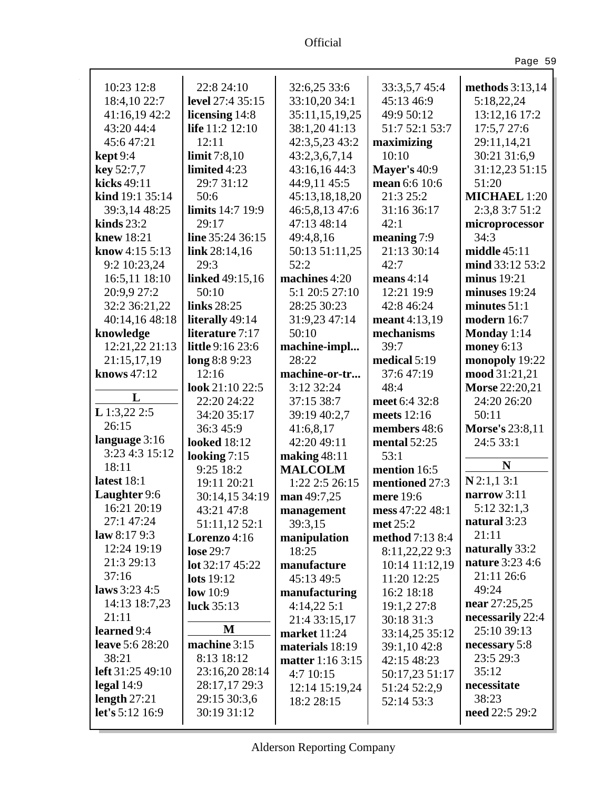i,

| ۰. |  |
|----|--|
|----|--|

| 10:23 12:8             | 22:8 24:10              | 32:6,25 33:6            |                     |                        |
|------------------------|-------------------------|-------------------------|---------------------|------------------------|
|                        |                         |                         | 33:3,5,7 45:4       | methods $3:13,14$      |
| 18:4,10 22:7           | level 27:4 35:15        | 33:10,20 34:1           | 45:13 46:9          | 5:18,22,24             |
| 41:16,19 42:2          | licensing 14:8          | 35:11,15,19,25          | 49:9 50:12          | 13:12,16 17:2          |
| 43:20 44:4             | life 11:2 12:10         | 38:1,20 41:13           | 51:7 52:1 53:7      | 17:5,7 27:6            |
| 45:647:21              | 12:11                   | 42:3,5,23 43:2          | maximizing          | 29:11,14,21            |
| $\text{kept } 9:4$     | limit $7:8,10$          | 43:2,3,6,7,14           | 10:10               | 30:21 31:6,9           |
| key 52:7,7             | limited 4:23            | 43:16,16 44:3           | <b>Mayer's 40:9</b> | 31:12,23 51:15         |
| kicks 49:11            | 29:7 31:12              | 44:9,11 45:5            | mean 6:6 10:6       | 51:20                  |
| kind 19:1 35:14        | 50:6                    | 45:13,18,18,20          | 21:3 25:2           | <b>MICHAEL 1:20</b>    |
| 39:3,14 48:25          | <b>limits</b> 14:7 19:9 | 46:5,8,13 47:6          | 31:16 36:17         | 2:3,8 3:7 51:2         |
| kinds $23:2$           | 29:17                   | 47:13 48:14             | 42:1                | microprocessor         |
| knew 18:21             | line 35:24 36:15        | 49:4,8,16               | meaning 7:9         | 34:3                   |
| know 4:15 5:13         | link $28:14,16$         | 50:13 51:11,25          | 21:13 30:14         | middle $45:11$         |
| 9:2 10:23,24           | 29:3                    | 52:2                    | 42:7                | mind 33:12 53:2        |
| 16:5,11 18:10          | <b>linked</b> 49:15,16  | machines 4:20           | means $4:14$        | minus 19:21            |
| 20:9,9 27:2            | 50:10                   | 5:1 20:5 27:10          | 12:21 19:9          | minuses 19:24          |
| 32:2 36:21,22          | links 28:25             | 28:25 30:23             | 42:8 46:24          | minutes $51:1$         |
| 40:14,16 48:18         | literally 49:14         | 31:9,23 47:14           | meant 4:13,19       | modern 16:7            |
| knowledge              | literature 7:17         | 50:10                   | mechanisms          | Monday 1:14            |
| 12:21,22 21:13         | little 9:16 23:6        | machine-impl            | 39:7                | money $6:13$           |
| 21:15,17,19            | long 8:8 9:23           | 28:22                   | medical $5:19$      | monopoly 19:22         |
| knows 47:12            | 12:16                   | machine-or-tr           | 37:647:19           | mood 31:21,21          |
|                        | look 21:10 22:5         | 3:12 32:24              | 48:4                | Morse 22:20,21         |
| L                      | 22:20 24:22             | 37:15 38:7              | meet 6:4 32:8       | 24:20 26:20            |
| $L$ 1:3,22 2:5         | 34:20 35:17             | 39:19 40:2,7            | meets 12:16         | 50:11                  |
| 26:15                  | 36:3 45:9               | 41:6,8,17               | members 48:6        | <b>Morse's 23:8,11</b> |
| language 3:16          | <b>looked</b> 18:12     | 42:20 49:11             | mental $52:25$      | 24:5 33:1              |
| 3:23 4:3 15:12         | looking $7:15$          | making $48:11$          | 53:1                |                        |
| 18:11                  | 9:25 18:2               | <b>MALCOLM</b>          | mention 16:5        | N                      |
| latest 18:1            | 19:11 20:21             | 1:22 2:5 26:15          | mentioned 27:3      | $N$ 2:1,1 3:1          |
| Laughter 9:6           | 30:14,15 34:19          | man 49:7,25             | mere 19:6           | narrow 3:11            |
| 16:21 20:19            | 43:21 47:8              | management              | mess 47:22 48:1     | 5:12 32:1,3            |
| 27:1 47:24             | 51:11,12 52:1           | 39:3,15                 | met 25:2            | natural 3:23           |
| law $8:179:3$          | Lorenzo 4:16            | manipulation            | method 7:13 8:4     | 21:11                  |
| 12:24 19:19            | lose 29:7               | 18:25                   | 8:11,22,22 9:3      | naturally 33:2         |
| 21:3 29:13             | lot 32:17 45:22         | manufacture             | 10:14 11:12,19      | nature 3:23 4:6        |
| 37:16                  | lots 19:12              | 45:13 49:5              | 11:20 12:25         | 21:11 26:6             |
| laws 3:23 4:5          | low $10:9$              | manufacturing           | 16:2 18:18          | 49:24                  |
| 14:13 18:7,23          | luck $35:13$            | 4:14,225:1              | 19:1,2 27:8         | near 27:25,25          |
| 21:11                  |                         | 21:4 33:15,17           | 30:18 31:3          | necessarily 22:4       |
| learned 9:4            | M                       | market 11:24            | 33:14,25 35:12      | 25:10 39:13            |
| <b>leave</b> 5:6 28:20 | machine 3:15            |                         |                     | necessary 5:8          |
| 38:21                  | 8:13 18:12              | materials 18:19         | 39:1,10 42:8        | 23:5 29:3              |
| left 31:25 49:10       | 23:16,20 28:14          | <b>matter</b> 1:16 3:15 | 42:15 48:23         | 35:12                  |
| legal $14:9$           | 28:17,17 29:3           | 4:7 10:15               | 50:17,23 51:17      | necessitate            |
| length $27:21$         | 29:15 30:3,6            | 12:14 15:19,24          | 51:24 52:2,9        | 38:23                  |
| let's 5:12 16:9        | 30:19 31:12             | 18:2 28:15              | 52:14 53:3          | need 22:5 29:2         |
|                        |                         |                         |                     |                        |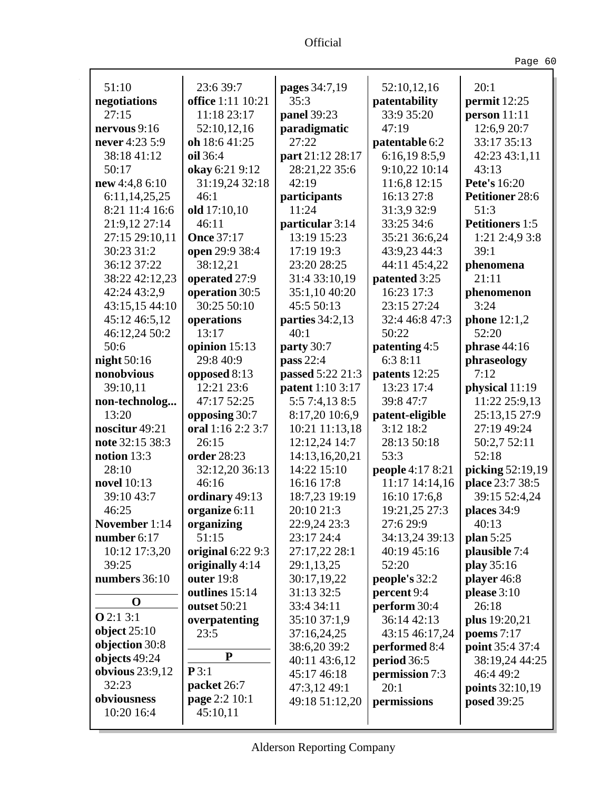| <b>Ifficial</b> |  |
|-----------------|--|
|                 |  |

Ŷ,

Page 60

| 51:10             | 23:6 39:7         | pages 34:7,19           | 52:10,12,16      | 20:1                   |
|-------------------|-------------------|-------------------------|------------------|------------------------|
| negotiations      | office 1:11 10:21 | 35:3                    | patentability    | permit 12:25           |
| 27:15             | 11:18 23:17       | panel 39:23             | 33:9 35:20       | person 11:11           |
| nervous $9:16$    | 52:10,12,16       | paradigmatic            | 47:19            | 12:6,9 20:7            |
| never 4:23 5:9    | oh 18:6 41:25     | 27:22                   | patentable 6:2   | 33:17 35:13            |
| 38:18 41:12       | oil 36:4          | part 21:12 28:17        | 6:16,198:5,9     | 42:23 43:1,11          |
| 50:17             | okay 6:21 9:12    | 28:21,22 35:6           | 9:10,22 10:14    | 43:13                  |
| new 4:4,8 6:10    | 31:19,24 32:18    | 42:19                   | 11:6,8 12:15     | <b>Pete's</b> 16:20    |
| 6:11,14,25,25     | 46:1              | participants            | 16:13 27:8       | <b>Petitioner 28:6</b> |
| 8:21 11:4 16:6    | old 17:10,10      | 11:24                   | 31:3,9 32:9      | 51:3                   |
| 21:9,12 27:14     | 46:11             | particular 3:14         | 33:25 34:6       | <b>Petitioners</b> 1:5 |
| 27:15 29:10,11    | <b>Once 37:17</b> | 13:19 15:23             | 35:21 36:6,24    | 1:21 2:4,9 3:8         |
| 30:23 31:2        | open 29:9 38:4    | 17:19 19:3              | 43:9,23 44:3     | 39:1                   |
| 36:12 37:22       | 38:12,21          | 23:20 28:25             | 44:11 45:4,22    | phenomena              |
| 38:22 42:12,23    | operated 27:9     | 31:4 33:10,19           | patented 3:25    | 21:11                  |
| 42:24 43:2,9      | operation 30:5    | 35:1,10 40:20           | 16:23 17:3       | phenomenon             |
| 43:15,15 44:10    | 30:25 50:10       | 45:5 50:13              | 23:15 27:24      | 3:24                   |
| 45:12 46:5,12     | operations        | parties 34:2,13         | 32:4 46:8 47:3   | phone $12:1,2$         |
| 46:12,24 50:2     | 13:17             | 40:1                    | 50:22            | 52:20                  |
| 50:6              | opinion 15:13     | party 30:7              | patenting 4:5    | phrase 44:16           |
| night 50:16       | 29:8 40:9         | pass 22:4               | 6:3 8:11         | phraseology            |
| nonobvious        | opposed 8:13      | passed 5:22 21:3        | patents 12:25    | 7:12                   |
| 39:10,11          | 12:21 23:6        | <b>patent</b> 1:10 3:17 | 13:23 17:4       | physical 11:19         |
| non-technolog     | 47:17 52:25       | 5:5 7:4,13 8:5          | 39:8 47:7        | 11:22 25:9,13          |
| 13:20             | opposing 30:7     | 8:17,20 10:6,9          | patent-eligible  | 25:13,15 27:9          |
| noscitur 49:21    | oral 1:16 2:2 3:7 | 10:21 11:13,18          | 3:12 18:2        | 27:19 49:24            |
| note 32:15 38:3   | 26:15             | 12:12,24 14:7           | 28:13 50:18      | 50:2,7 52:11           |
| notion $13:3$     | order 28:23       | 14:13,16,20,21          | 53:3             | 52:18                  |
| 28:10             | 32:12,20 36:13    | 14:22 15:10             | people 4:17 8:21 | picking 52:19,19       |
| novel 10:13       | 46:16             | 16:16 17:8              | 11:17 14:14,16   | place 23:7 38:5        |
| 39:10 43:7        | ordinary 49:13    | 18:7,23 19:19           | 16:10 17:6,8     | 39:15 52:4,24          |
| 46:25             | organize 6:11     | 20:10 21:3              | 19:21,25 27:3    | places 34:9            |
| November 1:14     | organizing        | 22:9,24 23:3            | 27:6 29:9        | 40:13                  |
| number 6:17       | 51:15             | 23:17 24:4              | 34:13,24 39:13   | plan 5:25              |
| 10:12 17:3,20     | original 6:22 9:3 | 27:17,22 28:1           | 40:19 45:16      | plausible 7:4          |
| 39:25             | originally 4:14   | 29:1,13,25              | 52:20            | play 35:16             |
| numbers 36:10     | outer 19:8        | 30:17,19,22             | people's 32:2    | player 46:8            |
|                   | outlines 15:14    | 31:13 32:5              | percent 9:4      | please 3:10            |
| $\mathbf 0$       | outset 50:21      | 33:4 34:11              | perform 30:4     | 26:18                  |
| <b>O</b> 2:1 3:1  | overpatenting     | 35:10 37:1,9            | 36:14 42:13      | plus 19:20,21          |
| object $25:10$    | 23:5              | 37:16,24,25             | 43:15 46:17,24   | poems $7:17$           |
| objection 30:8    |                   | 38:6,20 39:2            | performed 8:4    | point 35:4 37:4        |
| objects 49:24     | ${\bf P}$         | 40:11 43:6,12           | period 36:5      | 38:19,24 44:25         |
| obvious $23:9,12$ | P3:1              | 45:17 46:18             | permission 7:3   | 46:4 49:2              |
| 32:23             | packet 26:7       | 47:3,12 49:1            | 20:1             | points 32:10,19        |
| obviousness       | page 2:2 10:1     | 49:18 51:12,20          | permissions      | posed 39:25            |
| 10:20 16:4        | 45:10,11          |                         |                  |                        |
|                   |                   |                         |                  |                        |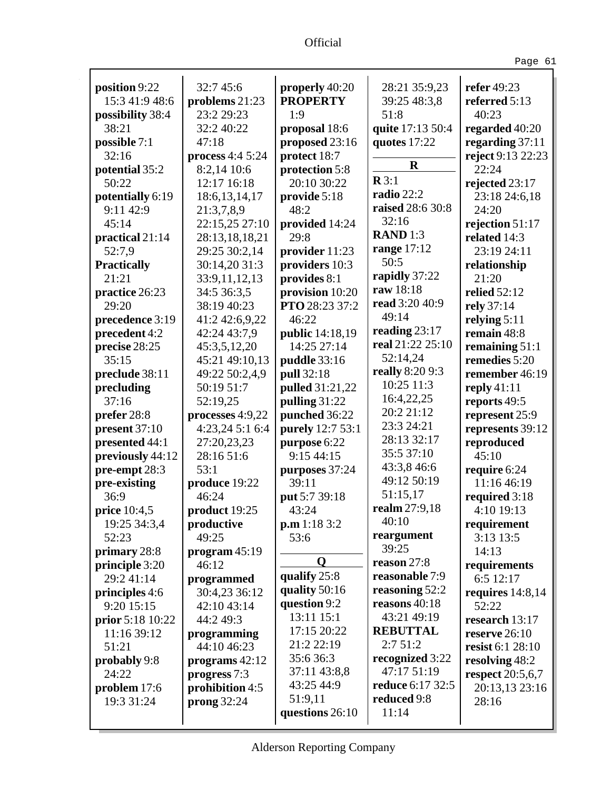| .,<br>$\sim$ | × |
|--------------|---|
|--------------|---|

| position 9:22             | 32:7 45:6         | properly 40:20   | 28:21 35:9,23    | refer 49:23         |
|---------------------------|-------------------|------------------|------------------|---------------------|
| 15:3 41:9 48:6            | problems 21:23    | <b>PROPERTY</b>  | 39:25 48:3,8     | referred 5:13       |
|                           | 23:2 29:23        | 1:9              | 51:8             | 40:23               |
| possibility 38:4<br>38:21 | 32:2 40:22        |                  |                  |                     |
|                           | 47:18             | proposal 18:6    | quite 17:13 50:4 | regarded 40:20      |
| possible 7:1              |                   | proposed 23:16   | quotes 17:22     | regarding $37:11$   |
| 32:16                     | process $4:45:24$ | protect 18:7     | $\mathbf R$      | reject 9:13 22:23   |
| potential 35:2            | 8:2,14 10:6       | protection 5:8   | $\mathbf{R}3:1$  | 22:24               |
| 50:22                     | 12:17 16:18       | 20:10 30:22      | radio 22:2       | rejected 23:17      |
| potentially 6:19          | 18:6, 13, 14, 17  | provide 5:18     | raised 28:6 30:8 | 23:18 24:6,18       |
| 9:11 42:9                 | 21:3,7,8,9        | 48:2             |                  | 24:20               |
| 45:14                     | 22:15,25 27:10    | provided 14:24   | 32:16            | rejection 51:17     |
| practical 21:14           | 28:13,18,18,21    | 29:8             | <b>RAND</b> 1:3  | related 14:3        |
| 52:7,9                    | 29:25 30:2,14     | provider 11:23   | range $17:12$    | 23:19 24:11         |
| <b>Practically</b>        | 30:14,20 31:3     | providers 10:3   | 50:5             | relationship        |
| 21:21                     | 33:9,11,12,13     | provides 8:1     | rapidly 37:22    | 21:20               |
| practice 26:23            | 34:5 36:3,5       | provision 10:20  | raw 18:18        | <b>relied</b> 52:12 |
| 29:20                     | 38:19 40:23       | PTO 28:23 37:2   | read 3:20 40:9   | rely 37:14          |
| precedence 3:19           | 41:2 42:6,9,22    | 46:22            | 49:14            | relying $5:11$      |
| precedent 4:2             | 42:24 43:7,9      | public 14:18,19  | reading $23:17$  | remain 48:8         |
| precise 28:25             | 45:3,5,12,20      | 14:25 27:14      | real 21:22 25:10 | remaining $51:1$    |
| 35:15                     | 45:21 49:10,13    | puddle 33:16     | 52:14,24         | remedies 5:20       |
| preclude 38:11            | 49:22 50:2,4,9    | pull 32:18       | really 8:20 9:3  | remember 46:19      |
| precluding                | 50:19 51:7        | pulled 31:21,22  | 10:25 11:3       | reply $41:11$       |
| 37:16                     | 52:19,25          | pulling 31:22    | 16:4,22,25       | reports 49:5        |
| prefer 28:8               | processes 4:9,22  | punched 36:22    | 20:2 21:12       | represent 25:9      |
| present 37:10             | 4:23,24 5:1 6:4   | purely 12:7 53:1 | 23:3 24:21       | represents 39:12    |
| presented 44:1            | 27:20,23,23       | purpose 6:22     | 28:13 32:17      | reproduced          |
| previously 44:12          | 28:16 51:6        | 9:15 44:15       | 35:5 37:10       | 45:10               |
| pre-empt 28:3             | 53:1              | purposes 37:24   | 43:3,8 46:6      | require 6:24        |
| pre-existing              | produce 19:22     | 39:11            | 49:12 50:19      | 11:16 46:19         |
| 36:9                      | 46:24             | put 5:7 39:18    | 51:15,17         | required 3:18       |
| price 10:4,5              | product 19:25     | 43:24            | realm 27:9,18    | 4:10 19:13          |
| 19:25 34:3,4              | productive        | p.m 1:18 3:2     | 40:10            | requirement         |
| 52:23                     | 49:25             | 53:6             | reargument       | 3:13 13:5           |
| primary 28:8              | program 45:19     |                  | 39:25            | 14:13               |
| principle 3:20            | 46:12             | O                | reason 27:8      | requirements        |
| 29:2 41:14                | programmed        | qualify 25:8     | reasonable 7:9   | 6:5 12:17           |
| principles 4:6            | 30:4,23 36:12     | quality 50:16    | reasoning 52:2   | requires $14:8,14$  |
| 9:20 15:15                | 42:10 43:14       | question 9:2     | reasons $40:18$  | 52:22               |
| prior 5:18 10:22          | 44:2 49:3         | 13:11 15:1       | 43:21 49:19      | research 13:17      |
| 11:16 39:12               | programming       | 17:15 20:22      | <b>REBUTTAL</b>  | reserve $26:10$     |
| 51:21                     | 44:10 46:23       | 21:2 22:19       | 2:751:2          | resist 6:1 28:10    |
| probably 9:8              | programs 42:12    | 35:636:3         | recognized 3:22  | resolving 48:2      |
| 24:22                     | progress 7:3      | 37:11 43:8,8     | 47:17 51:19      | respect $20:5,6,7$  |
| problem 17:6              | prohibition 4:5   | 43:25 44:9       | reduce 6:17 32:5 | 20:13,13 23:16      |
| 19:3 31:24                | prong $32:24$     | 51:9,11          | reduced 9:8      | 28:16               |
|                           |                   | questions 26:10  | 11:14            |                     |
|                           |                   |                  |                  |                     |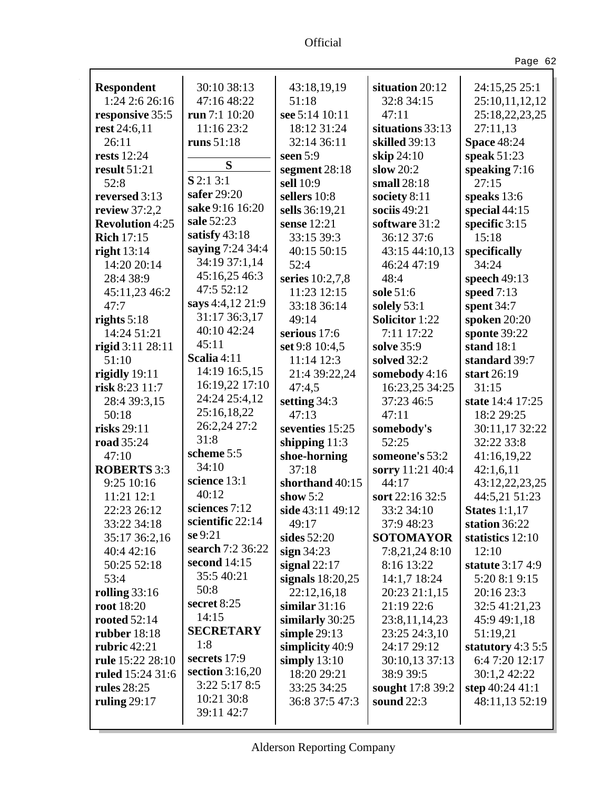| <b>Respondent</b>      | 30:10 38:13       | 43:18,19,19        | situation 20:12       | 24:15,25 25:1        |
|------------------------|-------------------|--------------------|-----------------------|----------------------|
| 1:24 2:6 26:16         | 47:16 48:22       | 51:18              | 32:8 34:15            | 25:10,11,12,12       |
| responsive 35:5        | run 7:1 10:20     | see 5:14 10:11     | 47:11                 | 25:18,22,23,25       |
| rest 24:6,11           | 11:16 23:2        | 18:12 31:24        | situations 33:13      | 27:11,13             |
| 26:11                  | runs $51:18$      | 32:14 36:11        | skilled 39:13         | <b>Space 48:24</b>   |
| <b>rests</b> 12:24     |                   | seen $5:9$         | skip 24:10            | speak 51:23          |
| result 51:21           | S                 | segment 28:18      | slow $20:2$           | speaking $7:16$      |
| 52:8                   | $S$ 2:1 3:1       | sell 10:9          | small $28:18$         | 27:15                |
| reversed 3:13          | safer 29:20       | sellers 10:8       | society 8:11          | speaks 13:6          |
| review 37:2,2          | sake 9:16 16:20   | sells 36:19,21     | sociis $49:21$        | special 44:15        |
| <b>Revolution 4:25</b> | sale 52:23        | sense 12:21        | software 31:2         | specific 3:15        |
| <b>Rich 17:15</b>      | satisfy 43:18     | 33:15 39:3         | 36:12 37:6            | 15:18                |
| right $13:14$          | saying 7:24 34:4  | 40:15 50:15        | 43:15 44:10,13        | specifically         |
| 14:20 20:14            | 34:19 37:1,14     | 52:4               | 46:24 47:19           | 34:24                |
| 28:4 38:9              | 45:16,25 46:3     | series 10:2,7,8    | 48:4                  | speech 49:13         |
| 45:11,23 46:2          | 47:5 52:12        | 11:23 12:15        | sole 51:6             | speed $7:13$         |
| 47:7                   | says 4:4,12 21:9  | 33:18 36:14        | solely $53:1$         | spent 34:7           |
| rights $5:18$          | 31:17 36:3,17     | 49:14              | <b>Solicitor</b> 1:22 | spoken 20:20         |
| 14:24 51:21            | 40:10 42:24       | serious 17:6       | 7:11 17:22            | sponte 39:22         |
| rigid 3:11 28:11       | 45:11             | set 9:8 10:4,5     | solve 35:9            | stand 18:1           |
| 51:10                  | Scalia 4:11       | 11:14 12:3         | solved 32:2           | standard 39:7        |
| rigidly 19:11          | 14:19 16:5,15     | 21:4 39:22,24      | somebody 4:16         | start 26:19          |
| risk 8:23 11:7         | 16:19,22 17:10    | 47:4,5             | 16:23,25 34:25        | 31:15                |
| 28:4 39:3,15           | 24:24 25:4,12     | setting 34:3       | 37:23 46:5            | state 14:4 17:25     |
| 50:18                  | 25:16,18,22       | 47:13              | 47:11                 | 18:2 29:25           |
| risks 29:11            | 26:2,24 27:2      | seventies 15:25    | somebody's            | 30:11,17 32:22       |
| road 35:24             | 31:8              | shipping $11:3$    | 52:25                 | 32:22 33:8           |
| 47:10                  | scheme 5:5        | shoe-horning       | someone's 53:2        | 41:16,19,22          |
| <b>ROBERTS</b> 3:3     | 34:10             | 37:18              | sorry 11:21 40:4      | 42:1,6,11            |
| 9:25 10:16             | science 13:1      | shorthand 40:15    | 44:17                 | 43:12,22,23,25       |
| 11:21 12:1             | 40:12             | show $5:2$         | sort 22:16 32:5       | 44:5,21 51:23        |
| 22:23 26:12            | sciences 7:12     | side 43:11 49:12   | 33:2 34:10            | <b>States</b> 1:1,17 |
| 33:22 34:18            | scientific 22:14  | 49:17              | 37:9 48:23            | station 36:22        |
| 35:17 36:2,16          | se 9:21           | sides 52:20        | <b>SOTOMAYOR</b>      | statistics 12:10     |
| 40:4 42:16             | search 7:2 36:22  | sign $34:23$       | 7:8,21,24 8:10        | 12:10                |
| 50:25 52:18            | second 14:15      | signal $22:17$     | 8:16 13:22            | statute 3:17 4:9     |
| 53:4                   | 35:5 40:21        | signals $18:20,25$ | 14:1,7 18:24          | 5:20 8:1 9:15        |
| rolling 33:16          | 50:8              | 22:12,16,18        | 20:23 21:1,15         | 20:16 23:3           |
| root 18:20             | secret 8:25       | similar $31:16$    | 21:19 22:6            | 32:5 41:21,23        |
| <b>rooted</b> 52:14    | 14:15             | similarly 30:25    | 23:8,11,14,23         | 45:9 49:1,18         |
| <b>rubber</b> 18:18    | <b>SECRETARY</b>  | simple $29:13$     | 23:25 24:3,10         | 51:19,21             |
| rubric $42:21$         | 1:8               | simplicity 40:9    | 24:17 29:12           | statutory $4:35:5$   |
| rule 15:22 28:10       | secrets 17:9      | simply $13:10$     | 30:10,13 37:13        | 6:4 7:20 12:17       |
| ruled 15:24 31:6       | section $3:16,20$ | 18:20 29:21        | 38:9 39:5             | 30:1,2 42:22         |
| <b>rules</b> 28:25     | 3:225:178:5       | 33:25 34:25        | sought 17:8 39:2      | step 40:24 41:1      |
| ruling $29:17$         | 10:21 30:8        | 36:8 37:5 47:3     | sound $22:3$          | 48:11,13 52:19       |
|                        | 39:11 42:7        |                    |                       |                      |
|                        |                   |                    |                       |                      |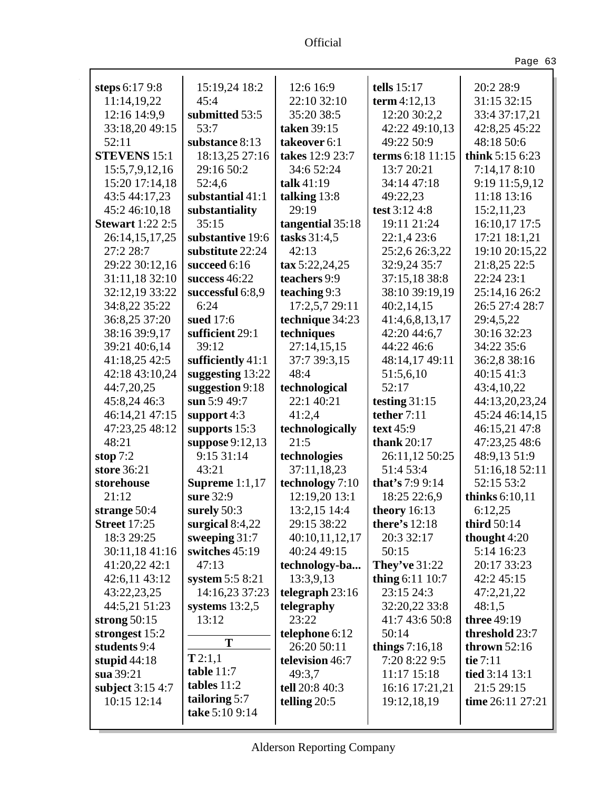| steps 6:17 9:8          | 15:19,24 18:2      | 12:6 16:9                | tells $15:17$        | 20:2 28:9           |
|-------------------------|--------------------|--------------------------|----------------------|---------------------|
| 11:14,19,22             | 45:4               | 22:10 32:10              | term $4:12,13$       | 31:15 32:15         |
| 12:16 14:9,9            | submitted 53:5     | 35:20 38:5               | 12:20 30:2,2         | 33:4 37:17,21       |
| 33:18,20 49:15          | 53:7               | taken 39:15              | 42:22 49:10,13       | 42:8,25 45:22       |
| 52:11                   | substance 8:13     | takeover 6:1             | 49:22 50:9           | 48:18 50:6          |
| <b>STEVENS 15:1</b>     | 18:13,25 27:16     | takes 12:9 23:7          | terms 6:18 11:15     | think 5:15 6:23     |
| 15:5,7,9,12,16          | 29:16 50:2         | 34:6 52:24               | 13:7 20:21           | 7:14,178:10         |
| 15:20 17:14,18          | 52:4,6             | talk $41:19$             | 34:14 47:18          | 9:19 11:5,9,12      |
| 43:5 44:17,23           | substantial 41:1   | talking 13:8             | 49:22,23             | 11:18 13:16         |
| 45:2 46:10,18           | substantiality     | 29:19                    | test 3:12 4:8        | 15:2,11,23          |
| <b>Stewart</b> 1:22 2:5 | 35:15              | tangential 35:18         | 19:11 21:24          | 16:10,17 17:5       |
| 26:14,15,17,25          | substantive 19:6   | tasks 31:4,5             | 22:1,4 23:6          | 17:21 18:1,21       |
| 27:2 28:7               | substitute 22:24   | 42:13                    | 25:2,6 26:3,22       | 19:10 20:15,22      |
| 29:22 30:12,16          | succeed 6:16       | $\text{tax } 5:22,24,25$ | 32:9,24 35:7         | 21:8,25 22:5        |
| 31:11,18 32:10          | success $46:22$    | teachers 9:9             | 37:15,18 38:8        | 22:24 23:1          |
| 32:12,19 33:22          | successful 6:8,9   | teaching 9:3             | 38:10 39:19,19       | 25:14,16 26:2       |
| 34:8,22 35:22           | 6:24               | 17:2,5,7 29:11           | 40:2,14,15           | 26:5 27:4 28:7      |
| 36:8,25 37:20           | sued 17:6          | technique 34:23          | 41:4,6,8,13,17       | 29:4,5,22           |
| 38:16 39:9,17           | sufficient 29:1    | techniques               | 42:20 44:6,7         | 30:16 32:23         |
| 39:21 40:6,14           | 39:12              | 27:14,15,15              | 44:22 46:6           | 34:22 35:6          |
| 41:18,25 42:5           | sufficiently 41:1  | 37:7 39:3,15             | 48:14,17 49:11       | 36:2,8 38:16        |
| 42:18 43:10,24          | suggesting $13:22$ | 48:4                     | 51:5,6,10            | 40:15 41:3          |
| 44:7,20,25              | suggestion 9:18    | technological            | 52:17                | 43:4,10,22          |
| 45:8,24 46:3            | sun 5:9 49:7       | 22:1 40:21               | testing 31:15        | 44:13,20,23,24      |
| 46:14,21 47:15          | support $4:3$      | 41:2,4                   | tether 7:11          | 45:24 46:14,15      |
| 47:23,25 48:12          | supports 15:3      | technologically          | text 45:9            | 46:15,21 47:8       |
| 48:21                   | suppose 9:12,13    | 21:5                     | thank $20:17$        | 47:23,25 48:6       |
| stop $7:2$              | 9:15 31:14         | technologies             | 26:11,12 50:25       | 48:9,13 51:9        |
| store 36:21             | 43:21              | 37:11,18,23              | 51:4 53:4            | 51:16,18 52:11      |
| storehouse              | Supreme $1:1,17$   | technology 7:10          | that's 7:9 9:14      | 52:15 53:2          |
| 21:12                   | sure 32:9          | 12:19,20 13:1            | 18:25 22:6,9         | thinks 6:10,11      |
| strange 50:4            | surely 50:3        | 13:2,15 14:4             | theory $16:13$       | 6:12,25             |
| <b>Street 17:25</b>     | surgical $8:4,22$  | 29:15 38:22              | <b>there's</b> 12:18 | third 50:14         |
| 18:3 29:25              | sweeping $31:7$    | 40:10,11,12,17           | 20:3 32:17           | thought 4:20        |
| 30:11,18 41:16          | switches 45:19     | 40:24 49:15              | 50:15                | 5:14 16:23          |
| 41:20,22 42:1           | 47:13              | technology-ba            | <b>They've</b> 31:22 | 20:17 33:23         |
| 42:6,11 43:12           | system $5:58:21$   | 13:3,9,13                | thing 6:11 10:7      | 42:2 45:15          |
| 43:22,23,25             | 14:16,23 37:23     | telegraph $23:16$        | 23:15 24:3           | 47:2,21,22          |
| 44:5,21 51:23           | systems $13:2,5$   | telegraphy               | 32:20,22 33:8        | 48:1,5              |
| strong $50:15$          | 13:12              | 23:22                    | 41:7 43:6 50:8       | three 49:19         |
| strongest 15:2          | T                  | telephone 6:12           | 50:14                | threshold 23:7      |
| students 9:4            | T2:1,1             | 26:20 50:11              | things $7:16,18$     | thrown $52:16$      |
| stupid $44:18$          | table 11:7         | television 46:7          | 7:20 8:22 9:5        | tie 7:11            |
| sua 39:21               | tables $11:2$      | 49:3,7                   | 11:17 15:18          | tied 3:14 13:1      |
| subject 3:15 4:7        | tailoring 5:7      | tell 20:8 40:3           | 16:16 17:21,21       | 21:5 29:15          |
| 10:15 12:14             | take 5:10 9:14     | telling $20:5$           | 19:12,18,19          | time $26:11\ 27:21$ |
|                         |                    |                          |                      |                     |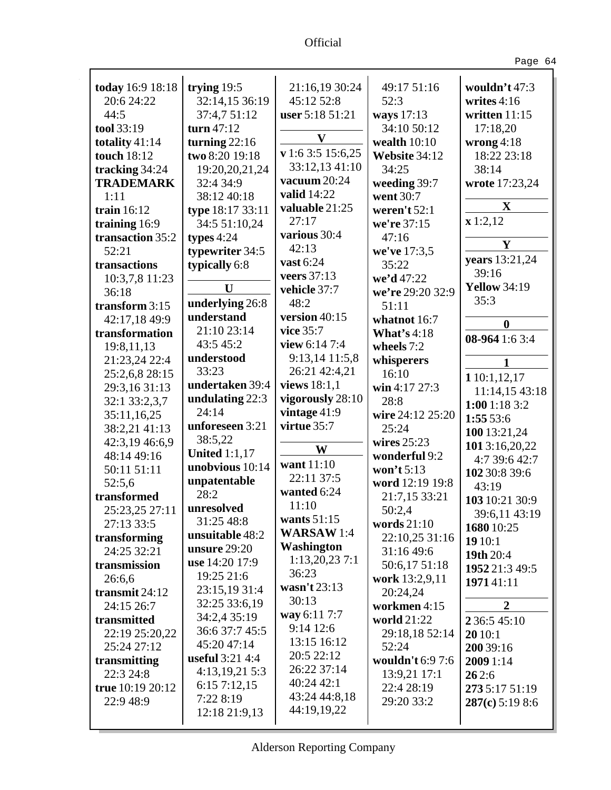Ŷ,

| ۰. |  |
|----|--|
|----|--|

| today 16:9 18:18          | trying $19:5$        | 21:16,19 30:24    | 49:17 51:16        | wouldn't $47:3$                |
|---------------------------|----------------------|-------------------|--------------------|--------------------------------|
| 20:6 24:22                | 32:14,15 36:19       | 45:12 52:8        | 52:3               | writes $4:16$                  |
| 44:5                      | 37:4,7 51:12         | user 5:18 51:21   | ways 17:13         | written 11:15                  |
| tool 33:19                | turn $47:12$         | $\mathbf{V}$      | 34:10 50:12        | 17:18,20                       |
| totality 41:14            | turning $22:16$      |                   | wealth $10:10$     | wrong $4:18$                   |
| touch 18:12               | two 8:20 19:18       | v 1:6 3:5 15:6,25 | Website 34:12      | 18:22 23:18                    |
| tracking 34:24            | 19:20,20,21,24       | 33:12,13 41:10    | 34:25              | 38:14                          |
| <b>TRADEMARK</b>          | 32:4 34:9            | vacuum 20:24      | weeding 39:7       | wrote 17:23,24                 |
| 1:11                      | 38:12 40:18          | valid 14:22       | went 30:7          |                                |
| train 16:12               | type 18:17 33:11     | valuable 21:25    | weren't $52:1$     | $\mathbf X$                    |
| training 16:9             | 34:5 51:10,24        | 27:17             | we're 37:15        | x 1:2,12                       |
| transaction 35:2          | types $4:24$         | various 30:4      | 47:16              | Y                              |
| 52:21                     | typewriter 34:5      | 42:13             | we've 17:3,5       |                                |
| transactions              | typically 6:8        | vast 6:24         | 35:22              | years 13:21,24                 |
| 10:3,7,8 11:23            |                      | veers 37:13       | we'd 47:22         | 39:16                          |
| 36:18                     | U                    | vehicle 37:7      | we're 29:20 32:9   | <b>Yellow 34:19</b>            |
| transform $3:15$          | underlying 26:8      | 48:2              | 51:11              | 35:3                           |
| 42:17,18 49:9             | understand           | version 40:15     | whatnot 16:7       | $\bf{0}$                       |
| transformation            | 21:10 23:14          | vice 35:7         | <b>What's 4:18</b> |                                |
| 19:8,11,13                | 43:5 45:2            | view 6:14 7:4     | wheels 7:2         | 08-964 1:6 3:4                 |
| 21:23,24 22:4             | understood           | 9:13,14 11:5,8    | whisperers         |                                |
| 25:2,6,8 28:15            | 33:23                | 26:21 42:4,21     | 16:10              | 1 10:1,12,17                   |
| 29:3,16 31:13             | undertaken 39:4      | views 18:1,1      | win 4:17 27:3      | 11:14,15 43:18                 |
| 32:1 33:2,3,7             | undulating 22:3      | vigorously 28:10  | 28:8               | 1:001:183:2                    |
| 35:11,16,25               | 24:14                | vintage $41:9$    | wire 24:12 25:20   | 1:55 53:6                      |
| 38:2,21 41:13             | unforeseen 3:21      | virtue 35:7       | 25:24              |                                |
| 42:3,19 46:6,9            | 38:5,22              |                   | wires 25:23        | 100 13:21,24                   |
| 48:14 49:16               | <b>United 1:1,17</b> | W                 | wonderful 9:2      | 1013:16,20,22<br>4:7 39:6 42:7 |
| 50:11 51:11               | unobvious 10:14      | want 11:10        | won't 5:13         | 102 30:8 39:6                  |
| 52:5,6                    | unpatentable         | 22:11 37:5        | word 12:19 19:8    |                                |
| transformed               | 28:2                 | wanted 6:24       | 21:7,15 33:21      | 43:19                          |
| 25:23,25 27:11            | unresolved           | 11:10             | 50:2,4             | 103 10:21 30:9                 |
| 27:13 33:5                | 31:25 48:8           | wants $51:15$     | words $21:10$      | 39:6,11 43:19                  |
| transforming              | unsuitable 48:2      | <b>WARSAW1:4</b>  | 22:10,25 31:16     | 1680 10:25                     |
| 24:25 32:21               | unsure $29:20$       | <b>Washington</b> | 31:16 49:6         | 19 10:1                        |
| transmission              | use 14:20 17:9       | 1:13,20,237:1     | 50:6,17 51:18      | 19th 20:4                      |
| 26:6,6                    | 19:25 21:6           | 36:23             | work 13:2,9,11     | 1952 21:3 49:5                 |
| transmit $24:12$          | 23:15,19 31:4        | wasn't $23:13$    | 20:24,24           | 197141:11                      |
| 24:15 26:7                | 32:25 33:6,19        | 30:13             | workmen 4:15       | $\overline{2}$                 |
| transmitted               | 34:2,4 35:19         | way 6:11 7:7      | world 21:22        | 2 36:5 45:10                   |
| 22:19 25:20,22            | 36:6 37:7 45:5       | $9:14$ 12:6       | 29:18,18 52:14     |                                |
| 25:24 27:12               | 45:20 47:14          | 13:15 16:12       | 52:24              | 20 10:1                        |
|                           | useful $3:21$ 4:4    | 20:5 22:12        | wouldn't 6:9 7:6   | 200 39:16                      |
| transmitting<br>22:3 24:8 | 4:13,19,21 5:3       | 26:22 37:14       | 13:9,21 17:1       | 2009 1:14                      |
|                           | 6:157:12,15          | 40:24 42:1        |                    | 262:6                          |
| true 10:19 20:12          | 7:22 8:19            | 43:24 44:8,18     | 22:4 28:19         | 273 5:17 51:19                 |
| 22:9 48:9                 | 12:18 21:9,13        | 44:19,19,22       | 29:20 33:2         | 287(c) 5:19 8:6                |
|                           |                      |                   |                    |                                |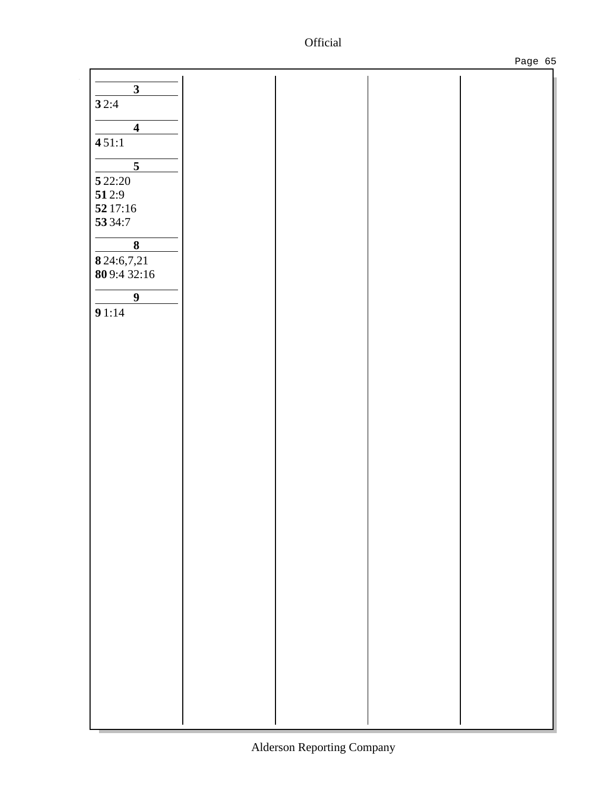Ŷ,

|                         |  | ╯ |
|-------------------------|--|---|
|                         |  |   |
| $\overline{\mathbf{3}}$ |  |   |
| 32:4                    |  |   |
| $\overline{\mathbf{4}}$ |  |   |
|                         |  |   |
| 451:1                   |  |   |
| $\overline{5}$          |  |   |
| 5 2 2:20                |  |   |
| 512:9                   |  |   |
| 52 17:16                |  |   |
| 53 34:7                 |  |   |
|                         |  |   |
| $\overline{\mathbf{8}}$ |  |   |
| 8 24:6,7,21             |  |   |
| 809:432:16              |  |   |
|                         |  |   |
| $\overline{9}$          |  |   |
| 91:14                   |  |   |
|                         |  |   |
|                         |  |   |
|                         |  |   |
|                         |  |   |
|                         |  |   |
|                         |  |   |
|                         |  |   |
|                         |  |   |
|                         |  |   |
|                         |  |   |
|                         |  |   |
|                         |  |   |
|                         |  |   |
|                         |  |   |
|                         |  |   |
|                         |  |   |
|                         |  |   |
|                         |  |   |
|                         |  |   |
|                         |  |   |
|                         |  |   |
|                         |  |   |
|                         |  |   |
|                         |  |   |
|                         |  |   |
|                         |  |   |
|                         |  |   |
|                         |  |   |
|                         |  |   |
|                         |  |   |
|                         |  |   |